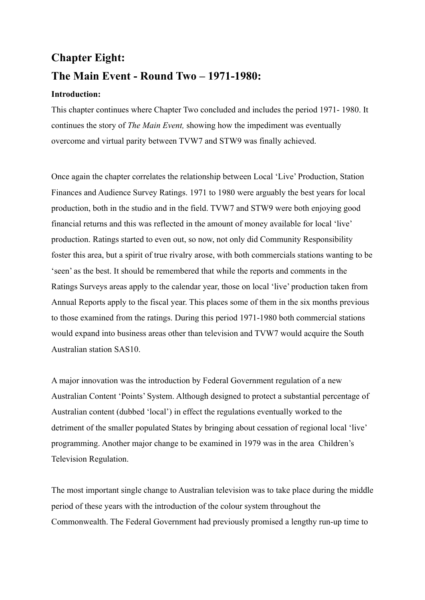# **Chapter Eight: The Main Event - Round Two – 1971-1980:**

# **Introduction:**

This chapter continues where Chapter Two concluded and includes the period 1971- 1980. It continues the story of *The Main Event,* showing how the impediment was eventually overcome and virtual parity between TVW7 and STW9 was finally achieved.

Once again the chapter correlates the relationship between Local 'Live' Production, Station Finances and Audience Survey Ratings. 1971 to 1980 were arguably the best years for local production, both in the studio and in the field. TVW7 and STW9 were both enjoying good financial returns and this was reflected in the amount of money available for local 'live' production. Ratings started to even out, so now, not only did Community Responsibility foster this area, but a spirit of true rivalry arose, with both commercials stations wanting to be 'seen' as the best. It should be remembered that while the reports and comments in the Ratings Surveys areas apply to the calendar year, those on local 'live' production taken from Annual Reports apply to the fiscal year. This places some of them in the six months previous to those examined from the ratings. During this period 1971-1980 both commercial stations would expand into business areas other than television and TVW7 would acquire the South Australian station SAS10.

A major innovation was the introduction by Federal Government regulation of a new Australian Content 'Points' System. Although designed to protect a substantial percentage of Australian content (dubbed 'local') in effect the regulations eventually worked to the detriment of the smaller populated States by bringing about cessation of regional local 'live' programming. Another major change to be examined in 1979 was in the area Children's Television Regulation.

The most important single change to Australian television was to take place during the middle period of these years with the introduction of the colour system throughout the Commonwealth. The Federal Government had previously promised a lengthy run-up time to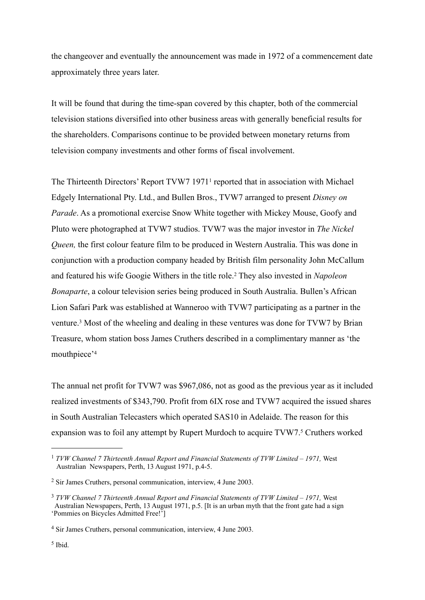the changeover and eventually the announcement was made in 1972 of a commencement date approximately three years later.

It will be found that during the time-span covered by this chapter, both of the commercial television stations diversified into other business areas with generally beneficial results for the shareholders. Comparisons continue to be provided between monetary returns from television company investments and other forms of fiscal involvement.

The Thirteenth Directors' Report TVW7 1971[1](#page-1-0) reported that in association with Michael Edgely International Pty. Ltd., and Bullen Bros., TVW7 arranged to present *Disney on Parade*. As a promotional exercise Snow White together with Mickey Mouse, Goofy and Pluto were photographed at TVW7 studios. TVW7 was the major investor in *The Nickel Queen,* the first colour feature film to be produced in Western Australia. This was done in conjunction with a production company headed by British film personality John McCallum and featured his wife Googie Withers in the title role.[2](#page-1-1) They also invested in *Napoleon Bonaparte*, a colour television series being produced in South Australia. Bullen's African Lion Safari Park was established at Wanneroo with TVW7 participating as a partner in the venture.[3](#page-1-2) Most of the wheeling and dealing in these ventures was done for TVW7 by Brian Treasure, whom station boss James Cruthers described in a complimentary manner as 'the mouthpiece'[4](#page-1-3)

The annual net profit for TVW7 was \$967,086, not as good as the previous year as it included realized investments of \$343,790. Profit from 6IX rose and TVW7 acquired the issued shares in South Australian Telecasters which operated SAS10 in Adelaide. The reason for this expansion was to foil any attempt by Rupert Murdoch to acquire TVW7.<sup>5</sup> Cruthers worked

<span id="page-1-0"></span><sup>1</sup> *TVW Channel 7 Thirteenth Annual Report and Financial Statements of TVW Limited – 1971,* West Australian Newspapers, Perth, 13 August 1971, p.4-5.

<span id="page-1-1"></span><sup>2</sup> Sir James Cruthers, personal communication, interview, 4 June 2003.

<span id="page-1-2"></span><sup>&</sup>lt;sup>3</sup> *TVW Channel 7 Thirteenth Annual Report and Financial Statements of TVW Limited – 1971, West*  Australian Newspapers, Perth, 13 August 1971, p.5. [It is an urban myth that the front gate had a sign 'Pommies on Bicycles Admitted Free!']

<span id="page-1-4"></span><span id="page-1-3"></span><sup>4</sup> Sir James Cruthers, personal communication, interview, 4 June 2003.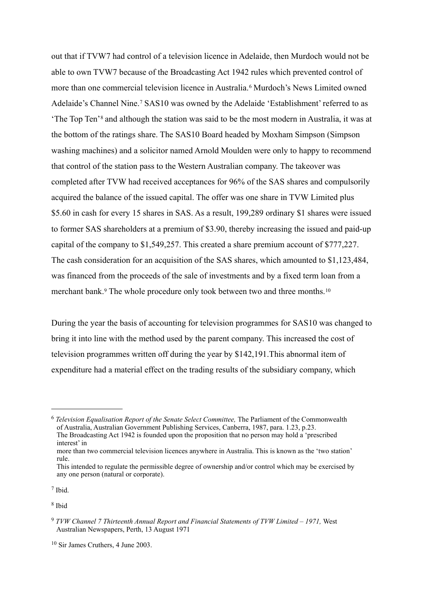out that if TVW7 had control of a television licence in Adelaide, then Murdoch would not be able to own TVW7 because of the Broadcasting Act 1942 rules which prevented control of more than one commercial television licence in Australia.<sup>[6](#page-2-0)</sup> Murdoch's News Limited owned Adelaide's Channel Nine.[7](#page-2-1) SAS10 was owned by the Adelaide 'Establishment' referred to as 'The Top Ten'[8](#page-2-2) and although the station was said to be the most modern in Australia, it was at the bottom of the ratings share. The SAS10 Board headed by Moxham Simpson (Simpson washing machines) and a solicitor named Arnold Moulden were only to happy to recommend that control of the station pass to the Western Australian company. The takeover was completed after TVW had received acceptances for 96% of the SAS shares and compulsorily acquired the balance of the issued capital. The offer was one share in TVW Limited plus \$5.60 in cash for every 15 shares in SAS. As a result, 199,289 ordinary \$1 shares were issued to former SAS shareholders at a premium of \$3.90, thereby increasing the issued and paid-up capital of the company to \$1,549,257. This created a share premium account of \$777,227. The cash consideration for an acquisition of the SAS shares, which amounted to \$1,123,484, was financed from the proceeds of the sale of investments and by a fixed term loan from a merchant bank.<sup>9</sup> The whole procedure only took between two and three months.<sup>[10](#page-2-4)</sup>

During the year the basis of accounting for television programmes for SAS10 was changed to bring it into line with the method used by the parent company. This increased the cost of television programmes written off during the year by \$142,191.This abnormal item of expenditure had a material effect on the trading results of the subsidiary company, which

<span id="page-2-0"></span><sup>6</sup> *Television Equalisation Report of the Senate Select Committee,* The Parliament of the Commonwealth of Australia, Australian Government Publishing Services, Canberra, 1987, para. 1.23, p.23. The Broadcasting Act 1942 is founded upon the proposition that no person may hold a 'prescribed interest' in

 more than two commercial television licences anywhere in Australia. This is known as the 'two station' rule.

<span id="page-2-1"></span><sup>7</sup> Ibid.

This intended to regulate the permissible degree of ownership and/or control which may be exercised by any one person (natural or corporate).

<span id="page-2-2"></span><sup>8</sup> Ibid

<span id="page-2-3"></span><sup>9</sup> *TVW Channel 7 Thirteenth Annual Report and Financial Statements of TVW Limited – 1971,* West Australian Newspapers, Perth, 13 August 1971

<span id="page-2-4"></span><sup>10</sup> Sir James Cruthers, 4 June 2003.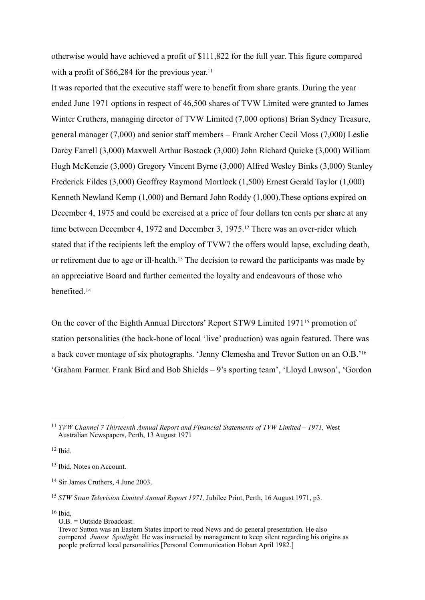otherwise would have achieved a profit of \$111,822 for the full year. This figure compared with a profit of  $$66,284$  for the previous year.<sup>11</sup>

It was reported that the executive staff were to benefit from share grants. During the year ended June 1971 options in respect of 46,500 shares of TVW Limited were granted to James Winter Cruthers, managing director of TVW Limited (7,000 options) Brian Sydney Treasure, general manager (7,000) and senior staff members – Frank Archer Cecil Moss (7,000) Leslie Darcy Farrell (3,000) Maxwell Arthur Bostock (3,000) John Richard Quicke (3,000) William Hugh McKenzie (3,000) Gregory Vincent Byrne (3,000) Alfred Wesley Binks (3,000) Stanley Frederick Fildes (3,000) Geoffrey Raymond Mortlock (1,500) Ernest Gerald Taylor (1,000) Kenneth Newland Kemp (1,000) and Bernard John Roddy (1,000).These options expired on December 4, 1975 and could be exercised at a price of four dollars ten cents per share at any time between December 4, 1972 and December 3, 1975[.12](#page-3-1) There was an over-rider which stated that if the recipients left the employ of TVW7 the offers would lapse, excluding death, or retirement due to age or ill-health.[13](#page-3-2) The decision to reward the participants was made by an appreciative Board and further cemented the loyalty and endeavours of those who benefited.[14](#page-3-3)

On the cover of the Eighth Annual Directors' Report STW9 Limited 1971[15](#page-3-4) promotion of station personalities (the back-bone of local 'live' production) was again featured. There was a back cover montage of six photographs. 'Jenny Clemesha and Trevor Sutton on an O.B.['16](#page-3-5) 'Graham Farmer. Frank Bird and Bob Shields – 9's sporting team', 'Lloyd Lawson', 'Gordon

<span id="page-3-1"></span> $12$  Ibid.

<span id="page-3-5"></span>16 Ibid,

<span id="page-3-0"></span><sup>11</sup> *TVW Channel 7 Thirteenth Annual Report and Financial Statements of TVW Limited – 1971,* West Australian Newspapers, Perth, 13 August 1971

<span id="page-3-2"></span><sup>13</sup> Ibid, Notes on Account.

<span id="page-3-3"></span><sup>14</sup> Sir James Cruthers, 4 June 2003.

<span id="page-3-4"></span><sup>15</sup> *STW Swan Television Limited Annual Report 1971,* Jubilee Print, Perth, 16 August 1971, p3.

O.B. = Outside Broadcast.

Trevor Sutton was an Eastern States import to read News and do general presentation. He also compered *Junior Spotlight.* He was instructed by management to keep silent regarding his origins as people preferred local personalities [Personal Communication Hobart April 1982.]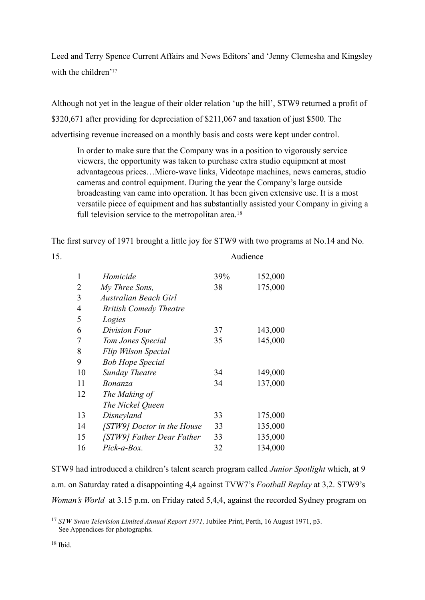Leed and Terry Spence Current Affairs and News Editors' and 'Jenny Clemesha and Kingsley with the children'<sup>17</sup>

Although not yet in the league of their older relation 'up the hill', STW9 returned a profit of \$320,671 after providing for depreciation of \$211,067 and taxation of just \$500. The advertising revenue increased on a monthly basis and costs were kept under control.

In order to make sure that the Company was in a position to vigorously service viewers, the opportunity was taken to purchase extra studio equipment at most advantageous prices…Micro-wave links, Videotape machines, news cameras, studio cameras and control equipment. During the year the Company's large outside broadcasting van came into operation. It has been given extensive use. It is a most versatile piece of equipment and has substantially assisted your Company in giving a full television service to the metropolitan area.<sup>[18](#page-4-1)</sup>

The first survey of 1971 brought a little joy for STW9 with two programs at No.14 and No.

| 15. |                |                               | Audience |         |
|-----|----------------|-------------------------------|----------|---------|
|     | 1              | Homicide                      | 39%      | 152,000 |
|     | $\overline{2}$ | My Three Sons,                | 38       | 175,000 |
|     | 3              | Australian Beach Girl         |          |         |
|     | $\overline{4}$ | <b>British Comedy Theatre</b> |          |         |
|     | 5              | Logies                        |          |         |
|     | 6              | Division Four                 | 37       | 143,000 |
|     | 7              | Tom Jones Special             | 35       | 145,000 |
|     | 8              | Flip Wilson Special           |          |         |
|     | 9              | <b>Bob Hope Special</b>       |          |         |
|     | 10             | <b>Sunday Theatre</b>         | 34       | 149,000 |
|     | 11             | <b>Bonanza</b>                | 34       | 137,000 |
|     | 12             | The Making of                 |          |         |
|     |                | The Nickel Queen              |          |         |
|     | 13             | Disneyland                    | 33       | 175,000 |
|     | 14             | [STW9] Doctor in the House    | 33       | 135,000 |
|     | 15             | [STW9] Father Dear Father     | 33       | 135,000 |
|     | 16             | Pick-a-Box.                   | 32       | 134,000 |

STW9 had introduced a children's talent search program called *Junior Spotlight* which, at 9 a.m. on Saturday rated a disappointing 4,4 against TVW7's *Football Replay* at 3,2. STW9's *Woman's World* at 3.15 p.m. on Friday rated 5,4,4, against the recorded Sydney program on

<span id="page-4-1"></span><span id="page-4-0"></span><sup>17</sup> *STW Swan Television Limited Annual Report 1971,* Jubilee Print, Perth, 16 August 1971, p3. See Appendices for photographs.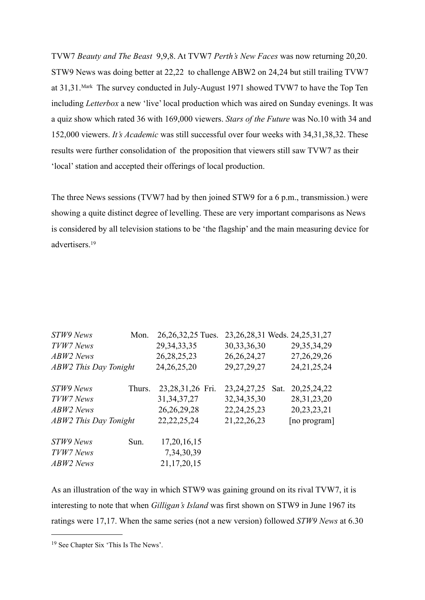TVW7 *Beauty and The Beast* 9,9,8. At TVW7 *Perth's New Faces* was now returning 20,20. STW9 News was doing better at 22,22 to challenge ABW2 on 24,24 but still trailing TVW7 at 31,31.Mark The survey conducted in July-August 1971 showed TVW7 to have the Top Ten including *Letterbox* a new 'live' local production which was aired on Sunday evenings. It was a quiz show which rated 36 with 169,000 viewers. *Stars of the Future* was No.10 with 34 and 152,000 viewers. *It's Academic* was still successful over four weeks with 34,31,38,32. These results were further consolidation of the proposition that viewers still saw TVW7 as their 'local' station and accepted their offerings of local production.

The three News sessions (TVW7 had by then joined STW9 for a 6 p.m., transmission.) were showing a quite distinct degree of levelling. These are very important comparisons as News is considered by all television stations to be 'the flagship' and the main measuring device for advertisers.[19](#page-5-0)

| STW9 News                    | Mon.   | 26, 26, 32, 25 Tues. |                | 23, 26, 28, 31 Weds. 24, 25, 31, 27 |
|------------------------------|--------|----------------------|----------------|-------------------------------------|
| TVW7 News                    |        | 29, 34, 33, 35       | 30, 33, 36, 30 | 29, 35, 34, 29                      |
| <b>ABW2</b> News             |        | 26, 28, 25, 23       | 26, 26, 24, 27 | 27, 26, 29, 26                      |
| <b>ABW2</b> This Day Tonight |        | 24, 26, 25, 20       | 29, 27, 29, 27 | 24, 21, 25, 24                      |
| STW9 News                    | Thurs. | 23,28,31,26 Fri.     | 23, 24, 27, 25 | 20, 25, 24, 22<br>Sat.              |
| TVW7 News                    |        | 31, 34, 37, 27       | 32, 34, 35, 30 | 28, 31, 23, 20                      |
| ABW2 News                    |        | 26, 26, 29, 28       | 22, 24, 25, 23 | 20, 23, 23, 21                      |
| <b>ABW2</b> This Day Tonight |        | 22, 22, 25, 24       | 21, 22, 26, 23 | [no program]                        |
| STW9 News                    | Sun.   | 17, 20, 16, 15       |                |                                     |
| TVW7 News                    |        | 7, 34, 30, 39        |                |                                     |
| <b>ABW2</b> News             |        | 21, 17, 20, 15       |                |                                     |

As an illustration of the way in which STW9 was gaining ground on its rival TVW7, it is interesting to note that when *Gilligan's Island* was first shown on STW9 in June 1967 its ratings were 17,17. When the same series (not a new version) followed *STW9 News* at 6.30

<span id="page-5-0"></span><sup>19</sup> See Chapter Six 'This Is The News'.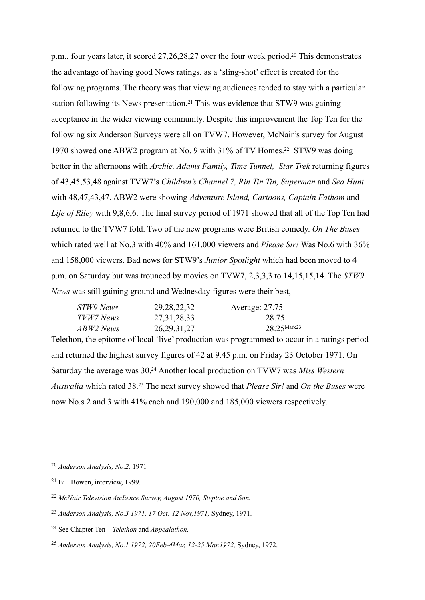p.m., four years later, it scored 27,26,28,27 over the four week period[.20](#page-6-0) This demonstrates the advantage of having good News ratings, as a 'sling-shot' effect is created for the following programs. The theory was that viewing audiences tended to stay with a particular station following its News presentation.[21](#page-6-1) This was evidence that STW9 was gaining acceptance in the wider viewing community. Despite this improvement the Top Ten for the following six Anderson Surveys were all on TVW7. However, McNair's survey for August 1970 showed one ABW2 program at No. 9 with 31% of TV Homes[.22](#page-6-2) STW9 was doing better in the afternoons with *Archie, Adams Family, Time Tunnel, Star Trek* returning figures of 43,45,53,48 against TVW7's *Children's Channel 7, Rin Tin Tin, Superman* and *Sea Hunt*  with 48,47,43,47. ABW2 were showing *Adventure Island, Cartoons, Captain Fathom* and *Life of Riley* with 9,8,6,6. The final survey period of 1971 showed that all of the Top Ten had returned to the TVW7 fold. Two of the new programs were British comedy. *On The Buses*  which rated well at No.3 with 40% and 161,000 viewers and *Please Sir!* Was No.6 with 36% and 158,000 viewers. Bad news for STW9's *Junior Spotlight* which had been moved to 4 p.m. on Saturday but was trounced by movies on TVW7, 2,3,3,3 to 14,15,15,14. The *STW9 News* was still gaining ground and Wednesday figures were their best,

| STW9 News | 29, 28, 22, 32 | Average: 27.75 |
|-----------|----------------|----------------|
| TVW7 News | 27, 31, 28, 33 | 28.75          |
| ABW2 News | 26, 29, 31, 27 | $28.25$ Mark23 |

Telethon, the epitome of local 'live' production was programmed to occur in a ratings period and returned the highest survey figures of 42 at 9.45 p.m. on Friday 23 October 1971. On Saturday the average was 30[.24](#page-6-4) Another local production on TVW7 was *Miss Western Australia* which rated 38.[25](#page-6-5) The next survey showed that *Please Sir!* and *On the Buses* were now No.s 2 and 3 with 41% each and 190,000 and 185,000 viewers respectively.

<span id="page-6-0"></span><sup>20</sup> *Anderson Analysis, No.2,* 1971

<span id="page-6-1"></span><sup>21</sup> Bill Bowen, interview, 1999.

<span id="page-6-2"></span><sup>22</sup> *McNair Television Audience Survey, August 1970, Steptoe and Son.*

<span id="page-6-3"></span><sup>23</sup> *Anderson Analysis, No.3 1971, 17 Oct.-12 Nov,1971,* Sydney, 1971.

<span id="page-6-4"></span><sup>24</sup> See Chapter Ten – *Telethon* and *Appealathon.*

<span id="page-6-5"></span><sup>25</sup> *Anderson Analysis, No.1 1972, 20Feb-4Mar, 12-25 Mar.1972,* Sydney, 1972.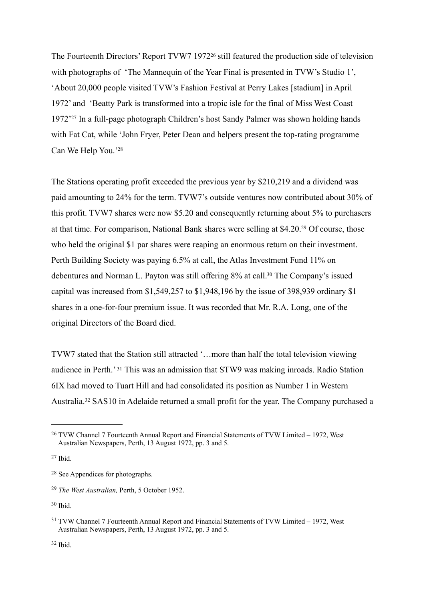The Fourteenth Directors' Report TVW7 1972<sup>26</sup> still featured the production side of television with photographs of 'The Mannequin of the Year Final is presented in TVW's Studio 1', 'About 20,000 people visited TVW's Fashion Festival at Perry Lakes [stadium] in April 1972' and 'Beatty Park is transformed into a tropic isle for the final of Miss West Coast 1972'[27](#page-7-1) In a full-page photograph Children's host Sandy Palmer was shown holding hands with Fat Cat, while 'John Fryer, Peter Dean and helpers present the top-rating programme Can We Help You.['28](#page-7-2)

The Stations operating profit exceeded the previous year by \$210,219 and a dividend was paid amounting to 24% for the term. TVW7's outside ventures now contributed about 30% of this profit. TVW7 shares were now \$5.20 and consequently returning about 5% to purchasers at that time. For comparison, National Bank shares were selling at \$4.20[.29](#page-7-3) Of course, those who held the original \$1 par shares were reaping an enormous return on their investment. Perth Building Society was paying 6.5% at call, the Atlas Investment Fund 11% on debentures and Norman L. Payton was still offering 8% at call.<sup>30</sup> The Company's issued capital was increased from \$1,549,257 to \$1,948,196 by the issue of 398,939 ordinary \$1 shares in a one-for-four premium issue. It was recorded that Mr. R.A. Long, one of the original Directors of the Board died.

TVW7 stated that the Station still attracted '…more than half the total television viewing audience in Perth.' [31](#page-7-5) This was an admission that STW9 was making inroads. Radio Station 6IX had moved to Tuart Hill and had consolidated its position as Number 1 in Western Australia.[32](#page-7-6) SAS10 in Adelaide returned a small profit for the year. The Company purchased a

<span id="page-7-0"></span><sup>&</sup>lt;sup>26</sup> TVW Channel 7 Fourteenth Annual Report and Financial Statements of TVW Limited – 1972, West Australian Newspapers, Perth, 13 August 1972, pp. 3 and 5.

<span id="page-7-1"></span> $27$  Ibid.

<span id="page-7-2"></span><sup>28</sup> See Appendices for photographs.

<span id="page-7-3"></span><sup>29</sup> *The West Australian,* Perth, 5 October 1952.

<span id="page-7-4"></span><sup>30</sup> Ibid.

<span id="page-7-6"></span><span id="page-7-5"></span><sup>31</sup> TVW Channel 7 Fourteenth Annual Report and Financial Statements of TVW Limited – 1972, West Australian Newspapers, Perth, 13 August 1972, pp. 3 and 5.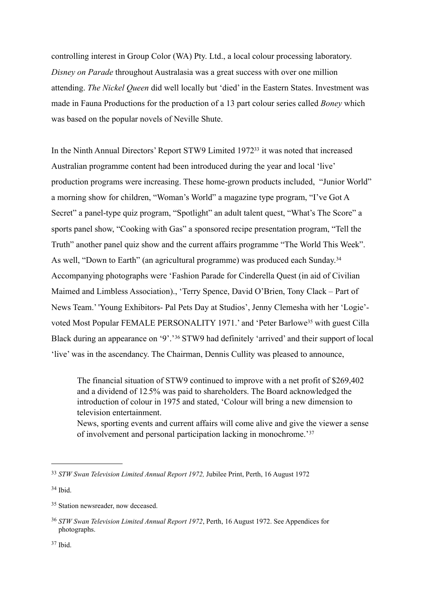controlling interest in Group Color (WA) Pty. Ltd., a local colour processing laboratory. *Disney on Parade* throughout Australasia was a great success with over one million attending. *The Nickel Queen* did well locally but 'died' in the Eastern States. Investment was made in Fauna Productions for the production of a 13 part colour series called *Boney* which was based on the popular novels of Neville Shute.

In the Ninth Annual Directors' Report STW9 Limited 197[233](#page-8-0) it was noted that increased Australian programme content had been introduced during the year and local 'live' production programs were increasing. These home-grown products included, "Junior World" a morning show for children, "Woman's World" a magazine type program, "I've Got A Secret" a panel-type quiz program, "Spotlight" an adult talent quest, "What's The Score" a sports panel show, "Cooking with Gas" a sponsored recipe presentation program, "Tell the Truth" another panel quiz show and the current affairs programme "The World This Week". As well, "Down to Earth" (an agricultural programme) was produced each Sunday.<sup>[34](#page-8-1)</sup> Accompanying photographs were 'Fashion Parade for Cinderella Quest (in aid of Civilian Maimed and Limbless Association)., 'Terry Spence, David O'Brien, Tony Clack – Part of News Team.' 'Young Exhibitors- Pal Pets Day at Studios', Jenny Clemesha with her 'Logie' voted Most Popular FEMALE PERSONALITY 1971.' and 'Peter Barlowe[35](#page-8-2) with guest Cilla Black during an appearance on '9'.'[36](#page-8-3) STW9 had definitely 'arrived' and their support of local 'live' was in the ascendancy. The Chairman, Dennis Cullity was pleased to announce,

The financial situation of STW9 continued to improve with a net profit of \$269,402 and a dividend of 12.5% was paid to shareholders. The Board acknowledged the introduction of colour in 1975 and stated, 'Colour will bring a new dimension to television entertainment. News, sporting events and current affairs will come alive and give the viewer a sense of involvement and personal participation lacking in monochrome.'[37](#page-8-4)

<span id="page-8-0"></span><sup>33</sup> *STW Swan Television Limited Annual Report 1972,* Jubilee Print, Perth, 16 August 1972

<span id="page-8-1"></span><sup>34</sup> Ibid.

<span id="page-8-2"></span><sup>&</sup>lt;sup>35</sup> Station newsreader, now deceased.

<span id="page-8-4"></span><span id="page-8-3"></span><sup>36</sup> *STW Swan Television Limited Annual Report 1972*, Perth, 16 August 1972. See Appendices for photographs.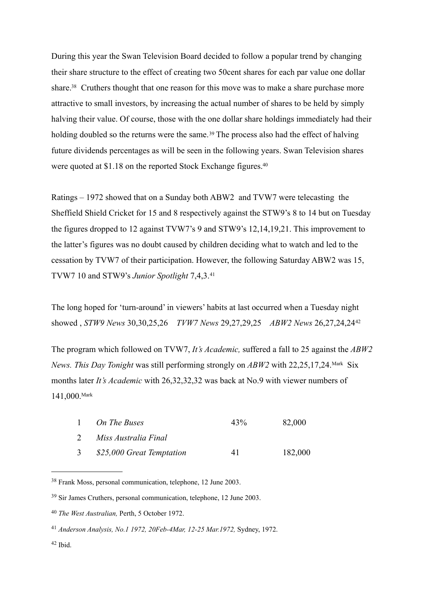During this year the Swan Television Board decided to follow a popular trend by changing their share structure to the effect of creating two 50cent shares for each par value one dollar share.<sup>38</sup> Cruthers thought that one reason for this move was to make a share purchase more attractive to small investors, by increasing the actual number of shares to be held by simply halving their value. Of course, those with the one dollar share holdings immediately had their holding doubled so the returns were the same.<sup>39</sup> The process also had the effect of halving future dividends percentages as will be seen in the following years. Swan Television shares were quoted at \$1.18 on the reported Stock Exchange figures.<sup>40</sup>

Ratings – 1972 showed that on a Sunday both ABW2 and TVW7 were telecasting the Sheffield Shield Cricket for 15 and 8 respectively against the STW9's 8 to 14 but on Tuesday the figures dropped to 12 against TVW7's 9 and STW9's 12,14,19,21. This improvement to the latter's figures was no doubt caused by children deciding what to watch and led to the cessation by TVW7 of their participation. However, the following Saturday ABW2 was 15, TVW7 10 and STW9's *Junior Spotlight* 7,4,3.[41](#page-9-3)

The long hoped for 'turn-around' in viewers' habits at last occurred when a Tuesday night showed , *STW9 News* 30,30,25,26 *TVW7 News* 29,27,29,25 *ABW2 News* 26,27,24,24[42](#page-9-4)

The program which followed on TVW7, *It's Academic,* suffered a fall to 25 against the *ABW2 News. This Day Tonight* was still performing strongly on *ABW2* with 22,25,17,24.Mark Six months later *It's Academic* with 26,32,32,32 was back at No.9 with viewer numbers of 141,000.Mark

|               | On The Buses              | 43% | 82,000  |
|---------------|---------------------------|-----|---------|
|               | Miss Australia Final      |     |         |
| $\mathcal{F}$ | \$25,000 Great Temptation | 41  | 182,000 |

<span id="page-9-0"></span><sup>38</sup> Frank Moss, personal communication, telephone, 12 June 2003.

<span id="page-9-4"></span> $42$  Ibid.

<span id="page-9-1"></span><sup>39</sup> Sir James Cruthers, personal communication, telephone, 12 June 2003.

<span id="page-9-2"></span><sup>40</sup> *The West Australian,* Perth, 5 October 1972.

<span id="page-9-3"></span><sup>41</sup> *Anderson Analysis, No.1 1972, 20Feb-4Mar, 12-25 Mar.1972,* Sydney, 1972.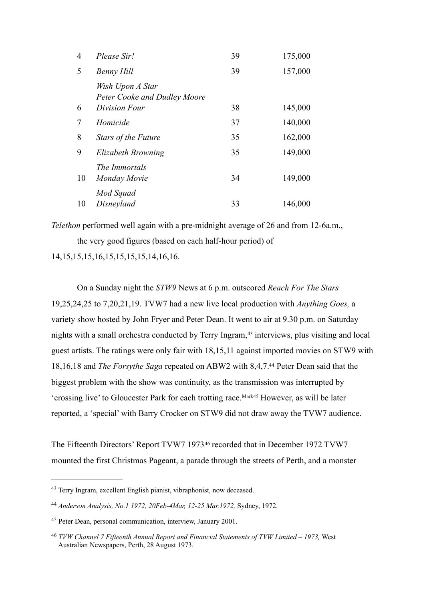| 4      | Please Sir!                                      | 39 | 175,000 |
|--------|--------------------------------------------------|----|---------|
| 5      | Benny Hill                                       | 39 | 157,000 |
|        | Wish Upon A Star<br>Peter Cooke and Dudley Moore |    |         |
| 6      | Division Four                                    | 38 | 145,000 |
| $\tau$ | Homicide                                         | 37 | 140,000 |
| 8      | <b>Stars of the Future</b>                       | 35 | 162,000 |
| 9      | Elizabeth Browning                               | 35 | 149,000 |
| 10     | The Immortals<br>Monday Movie                    | 34 | 149,000 |
| 10     | Mod Squad<br>Disneyland                          | 33 | 146,000 |

*Telethon* performed well again with a pre-midnight average of 26 and from 12-6a.m., the very good figures (based on each half-hour period) of

14,15,15,15,16,15,15,15,15,14,16,16.

 On a Sunday night the *STW9* News at 6 p.m. outscored *Reach For The Stars*  19,25,24,25 to 7,20,21,19. TVW7 had a new live local production with *Anything Goes,* a variety show hosted by John Fryer and Peter Dean. It went to air at 9.30 p.m. on Saturday nights with a small orchestra conducted by Terry Ingram,<sup>43</sup> interviews, plus visiting and local guest artists. The ratings were only fair with 18,15,11 against imported movies on STW9 with 18,16,18 and *The Forsythe Saga* repeated on ABW2 with 8,4,7[.44](#page-10-1) Peter Dean said that the biggest problem with the show was continuity, as the transmission was interrupted by 'crossing live' to Gloucester Park for each trotting race.Mark[45](#page-10-2) However, as will be later reported, a 'special' with Barry Crocker on STW9 did not draw away the TVW7 audience.

The Fifteenth Directors' Report TVW7 1973[46](#page-10-3) recorded that in December 1972 TVW7 mounted the first Christmas Pageant, a parade through the streets of Perth, and a monster

<span id="page-10-0"></span><sup>43</sup> Terry Ingram, excellent English pianist, vibraphonist, now deceased.

<span id="page-10-1"></span><sup>44</sup> *Anderson Analysis, No.1 1972, 20Feb-4Mar, 12-25 Mar.1972,* Sydney, 1972.

<span id="page-10-2"></span><sup>45</sup> Peter Dean, personal communication, interview, January 2001.

<span id="page-10-3"></span><sup>46</sup> *TVW Channel 7 Fifteenth Annual Report and Financial Statements of TVW Limited – 1973,* West Australian Newspapers, Perth, 28 August 1973.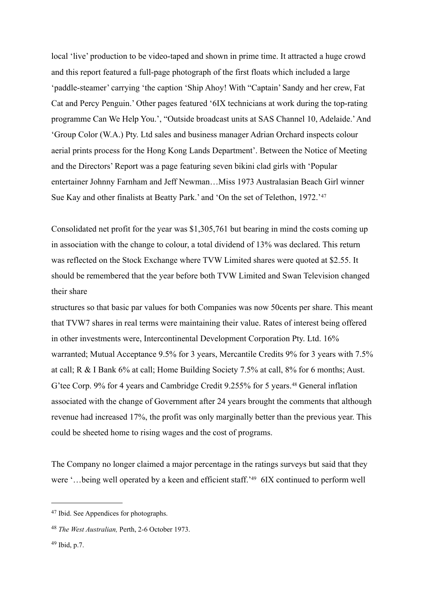local 'live' production to be video-taped and shown in prime time. It attracted a huge crowd and this report featured a full-page photograph of the first floats which included a large 'paddle-steamer' carrying 'the caption 'Ship Ahoy! With "Captain' Sandy and her crew, Fat Cat and Percy Penguin.' Other pages featured '6IX technicians at work during the top-rating programme Can We Help You.', "Outside broadcast units at SAS Channel 10, Adelaide.' And 'Group Color (W.A.) Pty. Ltd sales and business manager Adrian Orchard inspects colour aerial prints process for the Hong Kong Lands Department'. Between the Notice of Meeting and the Directors' Report was a page featuring seven bikini clad girls with 'Popular entertainer Johnny Farnham and Jeff Newman…Miss 1973 Australasian Beach Girl winner Sue Kay and other finalists at Beatty Park.' and 'On the set of Telethon, 1972.'[47](#page-11-0)

Consolidated net profit for the year was \$1,305,761 but bearing in mind the costs coming up in association with the change to colour, a total dividend of 13% was declared. This return was reflected on the Stock Exchange where TVW Limited shares were quoted at \$2.55. It should be remembered that the year before both TVW Limited and Swan Television changed their share

structures so that basic par values for both Companies was now 50cents per share. This meant that TVW7 shares in real terms were maintaining their value. Rates of interest being offered in other investments were, Intercontinental Development Corporation Pty. Ltd. 16% warranted; Mutual Acceptance 9.5% for 3 years, Mercantile Credits 9% for 3 years with 7.5% at call; R & I Bank 6% at call; Home Building Society 7.5% at call, 8% for 6 months; Aust. G'tee Corp. 9% for 4 years and Cambridge Credit 9.255% for 5 years.<sup>48</sup> General inflation associated with the change of Government after 24 years brought the comments that although revenue had increased 17%, the profit was only marginally better than the previous year. This could be sheeted home to rising wages and the cost of programs.

The Company no longer claimed a major percentage in the ratings surveys but said that they were '...being well operated by a keen and efficient staff.<sup>249</sup> 6IX continued to perform well

<span id="page-11-0"></span><sup>47</sup> Ibid. See Appendices for photographs.

<span id="page-11-1"></span><sup>48</sup> *The West Australian,* Perth, 2-6 October 1973.

<span id="page-11-2"></span> $49$  Ibid, p.7.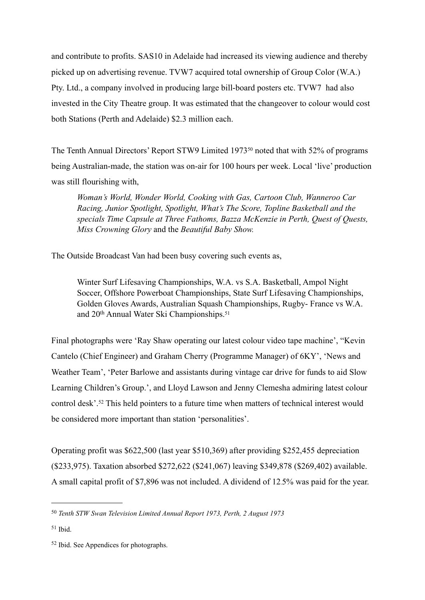and contribute to profits. SAS10 in Adelaide had increased its viewing audience and thereby picked up on advertising revenue. TVW7 acquired total ownership of Group Color (W.A.) Pty. Ltd., a company involved in producing large bill-board posters etc. TVW7 had also invested in the City Theatre group. It was estimated that the changeover to colour would cost both Stations (Perth and Adelaide) \$2.3 million each.

The Tenth Annual Directors' Report STW9 Limited 1973[50](#page-12-0) noted that with 52% of programs being Australian-made, the station was on-air for 100 hours per week. Local 'live' production was still flourishing with,

*Woman's World, Wonder World, Cooking with Gas, Cartoon Club, Wanneroo Car Racing, Junior Spotlight, Spotlight, What's The Score, Topline Basketball and the specials Time Capsule at Three Fathoms, Bazza McKenzie in Perth, Quest of Quests, Miss Crowning Glory* and the *Beautiful Baby Show.*

The Outside Broadcast Van had been busy covering such events as,

Winter Surf Lifesaving Championships, W.A. vs S.A. Basketball, Ampol Night Soccer, Offshore Powerboat Championships, State Surf Lifesaving Championships, Golden Gloves Awards, Australian Squash Championships, Rugby- France vs W.A. and 20th Annual Water Ski Championships[.51](#page-12-1)

Final photographs were 'Ray Shaw operating our latest colour video tape machine', "Kevin Cantelo (Chief Engineer) and Graham Cherry (Programme Manager) of 6KY', 'News and Weather Team', 'Peter Barlowe and assistants during vintage car drive for funds to aid Slow Learning Children's Group.', and Lloyd Lawson and Jenny Clemesha admiring latest colour control desk'.[52](#page-12-2) This held pointers to a future time when matters of technical interest would be considered more important than station 'personalities'.

Operating profit was \$622,500 (last year \$510,369) after providing \$252,455 depreciation (\$233,975). Taxation absorbed \$272,622 (\$241,067) leaving \$349,878 (\$269,402) available. A small capital profit of \$7,896 was not included. A dividend of 12.5% was paid for the year.

<span id="page-12-0"></span><sup>50</sup> *Tenth STW Swan Television Limited Annual Report 1973, Perth, 2 August 1973*

<span id="page-12-1"></span><sup>51</sup> Ibid.

<span id="page-12-2"></span><sup>52</sup> Ibid. See Appendices for photographs.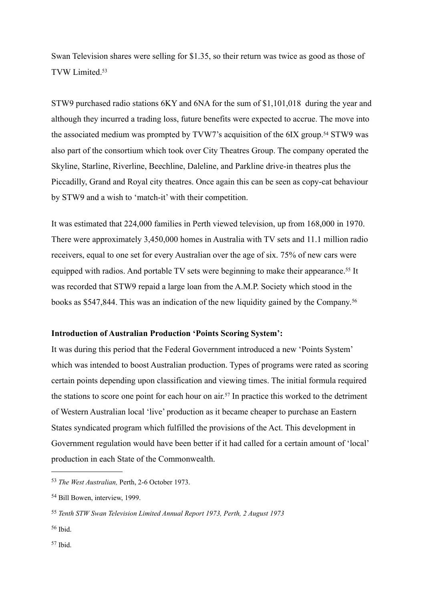Swan Television shares were selling for \$1.35, so their return was twice as good as those of TVW Limited[.53](#page-13-0)

STW9 purchased radio stations 6KY and 6NA for the sum of \$1,101,018 during the year and although they incurred a trading loss, future benefits were expected to accrue. The move into the associated medium was prompted by TVW7's acquisition of the 6IX group.<sup>54</sup> STW9 was also part of the consortium which took over City Theatres Group. The company operated the Skyline, Starline, Riverline, Beechline, Daleline, and Parkline drive-in theatres plus the Piccadilly, Grand and Royal city theatres. Once again this can be seen as copy-cat behaviour by STW9 and a wish to 'match-it' with their competition.

It was estimated that 224,000 families in Perth viewed television, up from 168,000 in 1970. There were approximately 3,450,000 homes in Australia with TV sets and 11.1 million radio receivers, equal to one set for every Australian over the age of six. 75% of new cars were equipped with radios. And portable TV sets were beginning to make their appearance.<sup>55</sup> It was recorded that STW9 repaid a large loan from the A.M.P. Society which stood in the books as \$547,844. This was an indication of the new liquidity gained by the Company.[56](#page-13-3)

# **Introduction of Australian Production 'Points Scoring System':**

It was during this period that the Federal Government introduced a new 'Points System' which was intended to boost Australian production. Types of programs were rated as scoring certain points depending upon classification and viewing times. The initial formula required the stations to score one point for each hour on air.[57](#page-13-4) In practice this worked to the detriment of Western Australian local 'live' production as it became cheaper to purchase an Eastern States syndicated program which fulfilled the provisions of the Act. This development in Government regulation would have been better if it had called for a certain amount of 'local' production in each State of the Commonwealth.

<span id="page-13-4"></span><span id="page-13-3"></span><sup>56</sup> Ibid.

<span id="page-13-0"></span><sup>53</sup> *The West Australian,* Perth, 2-6 October 1973.

<span id="page-13-1"></span><sup>54</sup> Bill Bowen, interview, 1999.

<span id="page-13-2"></span><sup>55</sup> *Tenth STW Swan Television Limited Annual Report 1973, Perth, 2 August 1973*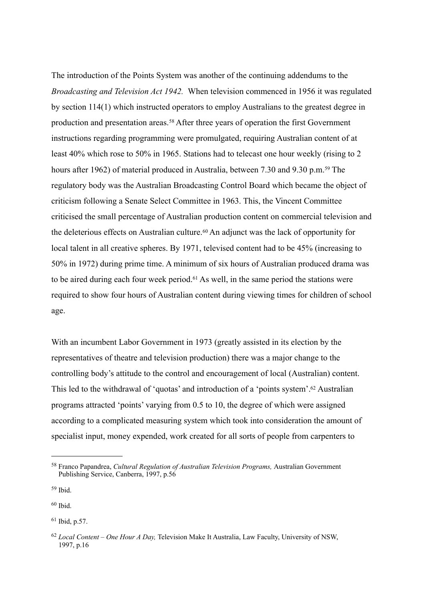The introduction of the Points System was another of the continuing addendums to the *Broadcasting and Television Act 1942.* When television commenced in 1956 it was regulated by section 114(1) which instructed operators to employ Australians to the greatest degree in production and presentation areas.[58](#page-14-0) After three years of operation the first Government instructions regarding programming were promulgated, requiring Australian content of at least 40% which rose to 50% in 1965. Stations had to telecast one hour weekly (rising to 2 hours after 1962) of material produced in Australia, between 7.30 and 9.30 p.m.<sup>[59](#page-14-1)</sup> The regulatory body was the Australian Broadcasting Control Board which became the object of criticism following a Senate Select Committee in 1963. This, the Vincent Committee criticised the small percentage of Australian production content on commercial television and the deleterious effects on Australian culture.<sup>[60](#page-14-2)</sup> An adjunct was the lack of opportunity for local talent in all creative spheres. By 1971, televised content had to be 45% (increasing to 50% in 1972) during prime time. A minimum of six hours of Australian produced drama was to be aired during each four week period.<sup>[61](#page-14-3)</sup> As well, in the same period the stations were required to show four hours of Australian content during viewing times for children of school age.

With an incumbent Labor Government in 1973 (greatly assisted in its election by the representatives of theatre and television production) there was a major change to the controlling body's attitude to the control and encouragement of local (Australian) content. This led to the withdrawal of 'quotas' and introduction of a 'points system'[.62](#page-14-4) Australian programs attracted 'points' varying from 0.5 to 10, the degree of which were assigned according to a complicated measuring system which took into consideration the amount of specialist input, money expended, work created for all sorts of people from carpenters to

<span id="page-14-1"></span><sup>59</sup> Ibid.

<span id="page-14-2"></span><sup>60</sup> Ibid.

<span id="page-14-3"></span> $61$  Ibid, p.57.

<span id="page-14-0"></span><sup>58</sup> Franco Papandrea, *Cultural Regulation of Australian Television Programs,* Australian Government Publishing Service, Canberra, 1997, p.56

<span id="page-14-4"></span><sup>62</sup> *Local Content – One Hour A Day,* Television Make It Australia, Law Faculty, University of NSW, 1997, p.16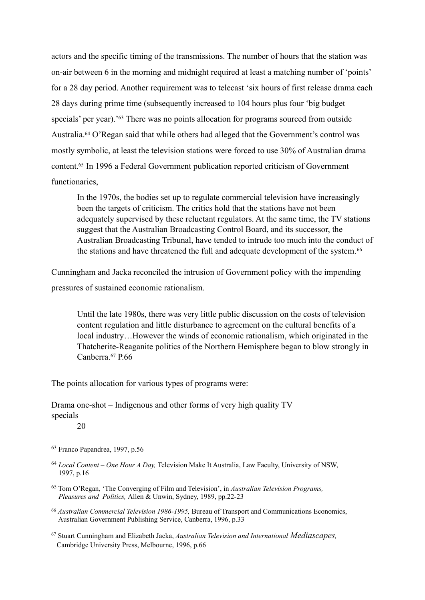actors and the specific timing of the transmissions. The number of hours that the station was on-air between 6 in the morning and midnight required at least a matching number of 'points' for a 28 day period. Another requirement was to telecast 'six hours of first release drama each 28 days during prime time (subsequently increased to 104 hours plus four 'big budget specials' per year).<sup>['63](#page-15-0)</sup> There was no points allocation for programs sourced from outside Australia.[64](#page-15-1) O'Regan said that while others had alleged that the Government's control was mostly symbolic, at least the television stations were forced to use 30% of Australian drama content[.65](#page-15-2) In 1996 a Federal Government publication reported criticism of Government functionaries,

In the 1970s, the bodies set up to regulate commercial television have increasingly been the targets of criticism. The critics hold that the stations have not been adequately supervised by these reluctant regulators. At the same time, the TV stations suggest that the Australian Broadcasting Control Board, and its successor, the Australian Broadcasting Tribunal, have tended to intrude too much into the conduct of the stations and have threatened the full and adequate development of the system.<sup>[66](#page-15-3)</sup>

Cunningham and Jacka reconciled the intrusion of Government policy with the impending pressures of sustained economic rationalism.

Until the late 1980s, there was very little public discussion on the costs of television content regulation and little disturbance to agreement on the cultural benefits of a local industry…However the winds of economic rationalism, which originated in the Thatcherite-Reaganite politics of the Northern Hemisphere began to blow strongly in Canberra.[67](#page-15-4) P.66

The points allocation for various types of programs were:

Drama one-shot – Indigenous and other forms of very high quality TV specials

<span id="page-15-3"></span><sup>66</sup> *Australian Commercial Television 1986-1995,* Bureau of Transport and Communications Economics, Australian Government Publishing Service, Canberra, 1996, p.33

<span id="page-15-4"></span>67 Stuart Cunningham and Elizabeth Jacka, *Australian Television and International Mediascapes,* Cambridge University Press, Melbourne, 1996, p.66

 <sup>20</sup> 

<span id="page-15-0"></span><sup>63</sup> Franco Papandrea, 1997, p.56

<span id="page-15-1"></span><sup>64</sup> *Local Content – One Hour A Day,* Television Make It Australia, Law Faculty, University of NSW, 1997, p.16

<span id="page-15-2"></span><sup>65</sup> Tom O'Regan, 'The Converging of Film and Television', in *Australian Television Programs, Pleasures and Politics,* Allen & Unwin, Sydney, 1989, pp.22-23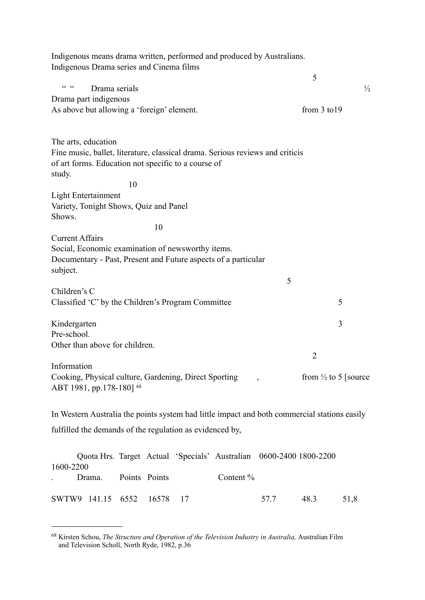| Indigenous means drama written, performed and produced by Australians.<br>Indigenous Drama series and Cinema films                                                    |                                  |
|-----------------------------------------------------------------------------------------------------------------------------------------------------------------------|----------------------------------|
|                                                                                                                                                                       | 5                                |
| $CC$ $CC$<br>Drama serials                                                                                                                                            | $\frac{1}{2}$                    |
| Drama part indigenous                                                                                                                                                 |                                  |
| As above but allowing a 'foreign' element.                                                                                                                            | from $3$ to $19$                 |
| The arts, education<br>Fine music, ballet, literature, classical drama. Serious reviews and criticis<br>of art forms. Education not specific to a course of<br>study. |                                  |
| 10                                                                                                                                                                    |                                  |
| <b>Light Entertainment</b><br>Variety, Tonight Shows, Quiz and Panel<br>Shows.                                                                                        |                                  |
| 10                                                                                                                                                                    |                                  |
| <b>Current Affairs</b><br>Social, Economic examination of newsworthy items.<br>Documentary - Past, Present and Future aspects of a particular<br>subject.             |                                  |
|                                                                                                                                                                       | 5                                |
| Children's C                                                                                                                                                          |                                  |
| Classified 'C' by the Children's Program Committee                                                                                                                    | 5                                |
| Kindergarten                                                                                                                                                          | 3                                |
| Pre-school.                                                                                                                                                           |                                  |
| Other than above for children.                                                                                                                                        |                                  |
|                                                                                                                                                                       | $\overline{2}$                   |
| Information<br>Cooking, Physical culture, Gardening, Direct Sporting<br>ABT 1981, pp.178-180] 68                                                                      | from $\frac{1}{2}$ to 5 [source] |
| In Western Australia the points system had little impact and both commercial stations easily                                                                          |                                  |
| fulfilled the demands of the regulation as evidenced by,                                                                                                              |                                  |
|                                                                                                                                                                       |                                  |
| Quota Hrs. Target Actual 'Specials' Australian 0600-2400 1800-2200<br>1600-2200                                                                                       |                                  |
| Points Points<br>Content %<br>Drama.                                                                                                                                  |                                  |

SWTW9 141.15 6552 16578 17 57.7 48.3 51,8

<span id="page-16-0"></span><sup>68</sup> Kirsten Schou, *The Structure and Operation of the Television Industry in Australia,* Australian Film and Television Scholl, North Ryde, 1982, p.36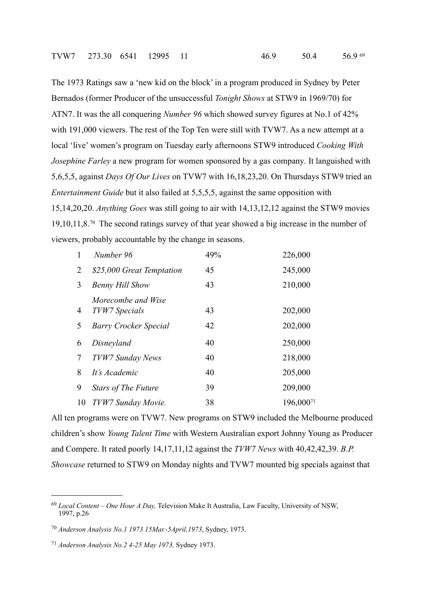The 1973 Ratings saw a 'new kid on the block' in a program produced in Sydney by Peter Bernados (former Producer of the unsuccessful *Tonight Shows* at STW9 in 1969/70) for ATN7. It was the all conquering *Number 96* which showed survey figures at No.1 of 42% with 191,000 viewers. The rest of the Top Ten were still with TVW7. As a new attempt at a local 'live' women's program on Tuesday early afternoons STW9 introduced *Cooking With Josephine Farley* a new program for women sponsored by a gas company*.* It languished with 5,6,5,5, against *Days Of Our Lives* on TVW7 with 16,18,23,20. On Thursdays STW9 tried an *Entertainment Guide* but it also failed at 5,5,5,5, against the same opposition with 15,14,20,20. *Anything Goes* was still going to air with 14,13,12,12 against the STW9 movies 19,10,11,8.[70](#page-17-1) The second ratings survey of that year showed a big increase in the number of viewers, probably accountable by the change in seasons.

| 1  | Number 96                           | 49% | 226,000   |
|----|-------------------------------------|-----|-----------|
| 2  | \$25,000 Great Temptation           | 45  | 245,000   |
| 3  | <b>Benny Hill Show</b>              | 43  | 210,000   |
| 4  | Morecombe and Wise<br>TVW7 Specials | 43  | 202,000   |
| 5  | <b>Barry Crocker Special</b>        | 42  | 202,000   |
| 6  | Disneyland                          | 40  | 250,000   |
| 7  | <b>TVW7 Sunday News</b>             | 40  | 218,000   |
| 8  | It's Academic                       | 40  | 205,000   |
| 9  | <b>Stars of The Future</b>          | 39  | 209,000   |
| 10 | TVW7 Sunday Movie.                  | 38  | 196,00071 |

All ten programs were on TVW7. New programs on STW9 included the Melbourne produced children's show *Young Talent Time* with Western Australian export Johnny Young as Producer and Compere. It rated poorly 14,17,11,12 against the *TVW7 News* with 40,42,42,39. *B.P. Showcase* returned to STW9 on Monday nights and TVW7 mounted big specials against that

<span id="page-17-0"></span><sup>69</sup> *Local Content – One Hour A Day,* Television Make It Australia, Law Faculty, University of NSW, 1997, p.26

<span id="page-17-1"></span><sup>70</sup> *Anderson Analysis No.1 1973 15Mar.-5April,1973*, Sydney, 1973.

<span id="page-17-2"></span><sup>71</sup> *Anderson Analysis No.2 4-25 May 1973,* Sydney 1973.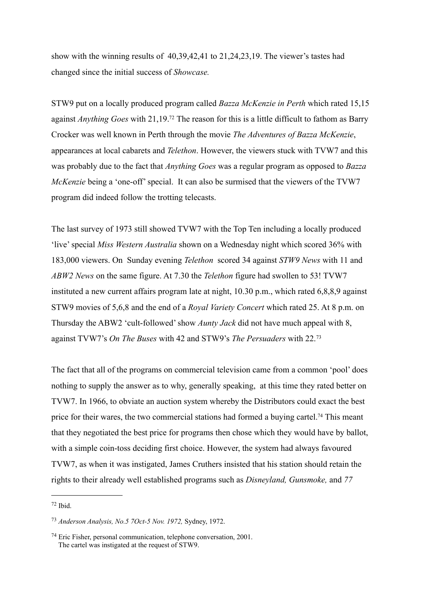show with the winning results of 40,39,42,41 to 21,24,23,19. The viewer's tastes had changed since the initial success of *Showcase.*

STW9 put on a locally produced program called *Bazza McKenzie in Perth* which rated 15,15 against *Anything Goes* with 21,19[.72](#page-18-0) The reason for this is a little difficult to fathom as Barry Crocker was well known in Perth through the movie *The Adventures of Bazza McKenzie*, appearances at local cabarets and *Telethon*. However, the viewers stuck with TVW7 and this was probably due to the fact that *Anything Goes* was a regular program as opposed to *Bazza McKenzie* being a 'one-off' special. It can also be surmised that the viewers of the TVW7 program did indeed follow the trotting telecasts.

The last survey of 1973 still showed TVW7 with the Top Ten including a locally produced 'live' special *Miss Western Australia* shown on a Wednesday night which scored 36% with 183,000 viewers. On Sunday evening *Telethon* scored 34 against *STW9 News* with 11 and *ABW2 News* on the same figure. At 7.30 the *Telethon* figure had swollen to 53! TVW7 instituted a new current affairs program late at night, 10.30 p.m., which rated 6,8,8,9 against STW9 movies of 5,6,8 and the end of a *Royal Variety Concert* which rated 25. At 8 p.m. on Thursday the ABW2 'cult-followed' show *Aunty Jack* did not have much appeal with 8, against TVW7's *On The Buses* with 42 and STW9's *The Persuaders* with 22.[73](#page-18-1)

The fact that all of the programs on commercial television came from a common 'pool' does nothing to supply the answer as to why, generally speaking, at this time they rated better on TVW7. In 1966, to obviate an auction system whereby the Distributors could exact the best price for their wares, the two commercial stations had formed a buying cartel[.74](#page-18-2) This meant that they negotiated the best price for programs then chose which they would have by ballot, with a simple coin-toss deciding first choice. However, the system had always favoured TVW7, as when it was instigated, James Cruthers insisted that his station should retain the rights to their already well established programs such as *Disneyland, Gunsmoke,* and *77* 

<span id="page-18-0"></span><sup>72</sup> Ibid.

<span id="page-18-1"></span><sup>73</sup> *Anderson Analysis, No.5 7Oct-5 Nov. 1972,* Sydney, 1972.

<span id="page-18-2"></span><sup>74</sup> Eric Fisher, personal communication, telephone conversation, 2001. The cartel was instigated at the request of STW9.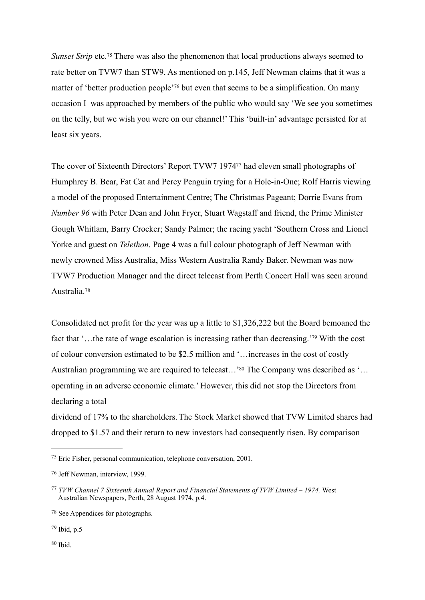*Sunset Strip* etc.<sup>75</sup> There was also the phenomenon that local productions always seemed to rate better on TVW7 than STW9. As mentioned on p.145, Jeff Newman claims that it was a matter of 'better production people'<sup>[76](#page-19-1)</sup> but even that seems to be a simplification. On many occasion I was approached by members of the public who would say 'We see you sometimes on the telly, but we wish you were on our channel!' This 'built-in' advantage persisted for at least six years.

The cover of Sixteenth Directors' Report TVW7 197[477](#page-19-2) had eleven small photographs of Humphrey B. Bear, Fat Cat and Percy Penguin trying for a Hole-in-One; Rolf Harris viewing a model of the proposed Entertainment Centre; The Christmas Pageant; Dorrie Evans from *Number 96* with Peter Dean and John Fryer, Stuart Wagstaff and friend, the Prime Minister Gough Whitlam, Barry Crocker; Sandy Palmer; the racing yacht 'Southern Cross and Lionel Yorke and guest on *Telethon*. Page 4 was a full colour photograph of Jeff Newman with newly crowned Miss Australia, Miss Western Australia Randy Baker. Newman was now TVW7 Production Manager and the direct telecast from Perth Concert Hall was seen around Australia.[78](#page-19-3)

Consolidated net profit for the year was up a little to \$1,326,222 but the Board bemoaned the fact that '…the rate of wage escalation is increasing rather than decreasing.['79](#page-19-4) With the cost of colour conversion estimated to be \$2.5 million and '…increases in the cost of costly Australian programming we are required to telecast...<sup>'80</sup> The Company was described as '... operating in an adverse economic climate.' However, this did not stop the Directors from declaring a total

dividend of 17% to the shareholders. The Stock Market showed that TVW Limited shares had dropped to \$1.57 and their return to new investors had consequently risen. By comparison

<span id="page-19-4"></span>79 Ibid, p.5

<span id="page-19-5"></span> $80$  Ibid.

<span id="page-19-0"></span><sup>75</sup> Eric Fisher, personal communication, telephone conversation, 2001.

<span id="page-19-1"></span><sup>76</sup> Jeff Newman, interview, 1999.

<span id="page-19-2"></span><sup>77</sup> *TVW Channel 7 Sixteenth Annual Report and Financial Statements of TVW Limited – 1974,* West Australian Newspapers, Perth, 28 August 1974, p.4.

<span id="page-19-3"></span><sup>78</sup> See Appendices for photographs.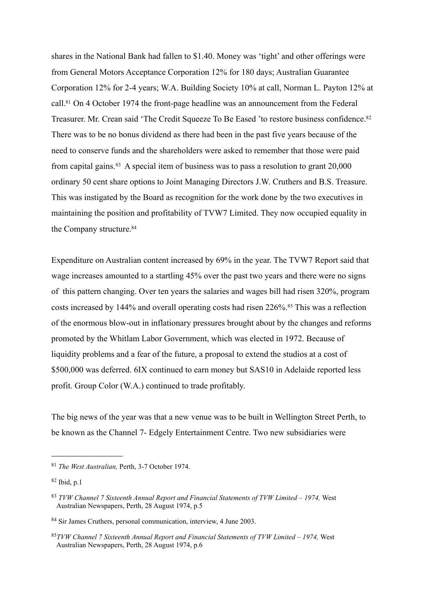shares in the National Bank had fallen to \$1.40. Money was 'tight' and other offerings were from General Motors Acceptance Corporation 12% for 180 days; Australian Guarantee Corporation 12% for 2-4 years; W.A. Building Society 10% at call, Norman L. Payton 12% at call[.81](#page-20-0) On 4 October 1974 the front-page headline was an announcement from the Federal Treasurer. Mr. Crean said 'The Credit Squeeze To Be Eased 'to restore business confidence.[82](#page-20-1) There was to be no bonus dividend as there had been in the past five years because of the need to conserve funds and the shareholders were asked to remember that those were paid from capital gains.[83](#page-20-2) A special item of business was to pass a resolution to grant 20,000 ordinary 50 cent share options to Joint Managing Directors J.W. Cruthers and B.S. Treasure. This was instigated by the Board as recognition for the work done by the two executives in maintaining the position and profitability of TVW7 Limited. They now occupied equality in the Company structure.<sup>84</sup>

Expenditure on Australian content increased by 69% in the year. The TVW7 Report said that wage increases amounted to a startling 45% over the past two years and there were no signs of this pattern changing. Over ten years the salaries and wages bill had risen 320%, program costs increased by 144% and overall operating costs had risen 226%.[85](#page-20-4) This was a reflection of the enormous blow-out in inflationary pressures brought about by the changes and reforms promoted by the Whitlam Labor Government, which was elected in 1972. Because of liquidity problems and a fear of the future, a proposal to extend the studios at a cost of \$500,000 was deferred. 6IX continued to earn money but SAS10 in Adelaide reported less profit. Group Color (W.A.) continued to trade profitably.

The big news of the year was that a new venue was to be built in Wellington Street Perth, to be known as the Channel 7- Edgely Entertainment Centre. Two new subsidiaries were

<span id="page-20-0"></span><sup>81</sup> *The West Australian,* Perth, 3-7 October 1974.

<span id="page-20-1"></span><sup>82</sup> Ibid, p.1

<span id="page-20-2"></span><sup>83</sup> *TVW Channel 7 Sixteenth Annual Report and Financial Statements of TVW Limited – 1974,* West Australian Newspapers, Perth, 28 August 1974, p.5

<span id="page-20-3"></span><sup>84</sup> Sir James Cruthers, personal communication, interview, 4 June 2003.

<span id="page-20-4"></span><sup>85</sup>*TVW Channel 7 Sixteenth Annual Report and Financial Statements of TVW Limited – 1974,* West Australian Newspapers, Perth, 28 August 1974, p.6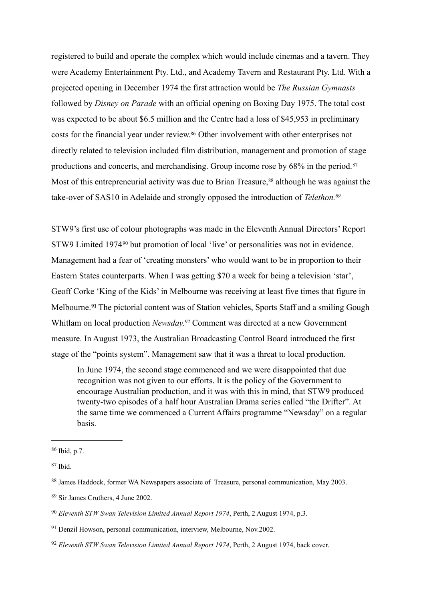registered to build and operate the complex which would include cinemas and a tavern. They were Academy Entertainment Pty. Ltd., and Academy Tavern and Restaurant Pty. Ltd. With a projected opening in December 1974 the first attraction would be *The Russian Gymnasts*  followed by *Disney on Parade* with an official opening on Boxing Day 1975. The total cost was expected to be about \$6.5 million and the Centre had a loss of \$45,953 in preliminary costs for the financial year under review[.86](#page-21-0) Other involvement with other enterprises not directly related to television included film distribution, management and promotion of stage productions and concerts, and merchandising. Group income rose by 68% in the period.[87](#page-21-1) Most of this entrepreneurial activity was due to Brian Treasure,<sup>[88](#page-21-2)</sup> although he was against the take-over of SAS10 in Adelaide and strongly opposed the introduction of *Telethon[.89](#page-21-3)*

STW9's first use of colour photographs was made in the Eleventh Annual Directors' Report STW9 Limited 1974<sup>[90](#page-21-4)</sup> but promotion of local 'live' or personalities was not in evidence. Management had a fear of 'creating monsters' who would want to be in proportion to their Eastern States counterparts. When I was getting \$70 a week for being a television 'star', Geoff Corke 'King of the Kids' in Melbourne was receiving at least five times that figure in Melbourne.**[91](#page-21-5)** The pictorial content was of Station vehicles, Sports Staff and a smiling Gough Whitlam on local production *Newsday.[92](#page-21-6)* Comment was directed at a new Government measure. In August 1973, the Australian Broadcasting Control Board introduced the first stage of the "points system". Management saw that it was a threat to local production.

In June 1974, the second stage commenced and we were disappointed that due recognition was not given to our efforts. It is the policy of the Government to encourage Australian production, and it was with this in mind, that STW9 produced twenty-two episodes of a half hour Australian Drama series called "the Drifter". At the same time we commenced a Current Affairs programme "Newsday" on a regular basis.

<span id="page-21-3"></span><sup>89</sup> Sir James Cruthers, 4 June 2002.

<span id="page-21-0"></span> $86$  Ibid, p.7.

<span id="page-21-1"></span><sup>87</sup> Ibid.

<span id="page-21-2"></span><sup>88</sup> James Haddock, former WA Newspapers associate of Treasure, personal communication, May 2003.

<span id="page-21-4"></span><sup>90</sup> *Eleventh STW Swan Television Limited Annual Report 1974*, Perth, 2 August 1974, p.3.

<span id="page-21-5"></span><sup>91</sup> Denzil Howson, personal communication, interview, Melbourne, Nov.2002.

<span id="page-21-6"></span><sup>92</sup> *Eleventh STW Swan Television Limited Annual Report 1974*, Perth, 2 August 1974, back cover.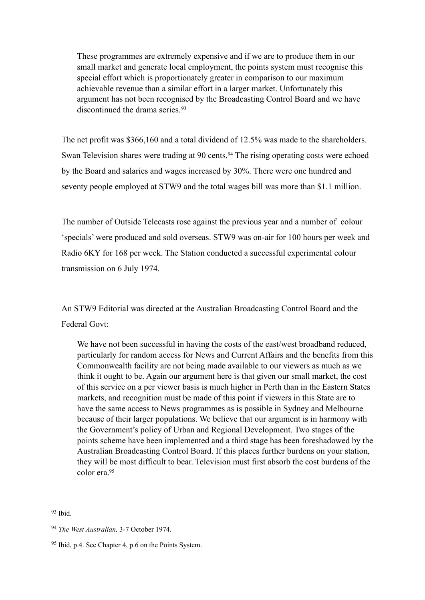These programmes are extremely expensive and if we are to produce them in our small market and generate local employment, the points system must recognise this special effort which is proportionately greater in comparison to our maximum achievable revenue than a similar effort in a larger market. Unfortunately this argument has not been recognised by the Broadcasting Control Board and we have discontinued the drama series.<sup>[93](#page-22-0)</sup>

The net profit was \$366,160 and a total dividend of 12.5% was made to the shareholders. Swan Television shares were trading at 90 cents.<sup>94</sup> The rising operating costs were echoed by the Board and salaries and wages increased by 30%. There were one hundred and seventy people employed at STW9 and the total wages bill was more than \$1.1 million.

The number of Outside Telecasts rose against the previous year and a number of colour 'specials' were produced and sold overseas. STW9 was on-air for 100 hours per week and Radio 6KY for 168 per week. The Station conducted a successful experimental colour transmission on 6 July 1974.

An STW9 Editorial was directed at the Australian Broadcasting Control Board and the Federal Govt:

We have not been successful in having the costs of the east/west broadband reduced, particularly for random access for News and Current Affairs and the benefits from this Commonwealth facility are not being made available to our viewers as much as we think it ought to be. Again our argument here is that given our small market, the cost of this service on a per viewer basis is much higher in Perth than in the Eastern States markets, and recognition must be made of this point if viewers in this State are to have the same access to News programmes as is possible in Sydney and Melbourne because of their larger populations. We believe that our argument is in harmony with the Government's policy of Urban and Regional Development. Two stages of the points scheme have been implemented and a third stage has been foreshadowed by the Australian Broadcasting Control Board. If this places further burdens on your station, they will be most difficult to bear. Television must first absorb the cost burdens of the color era[.95](#page-22-2)

<span id="page-22-0"></span> $93$  Ibid.

<span id="page-22-1"></span><sup>94</sup> *The West Australian,* 3-7 October 1974.

<span id="page-22-2"></span><sup>95</sup> Ibid, p.4. See Chapter 4, p.6 on the Points System.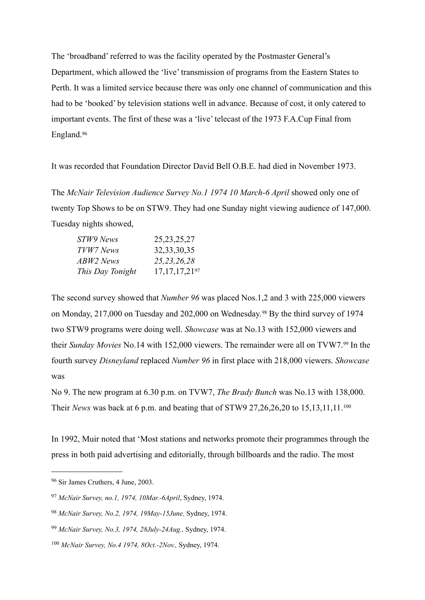The 'broadband' referred to was the facility operated by the Postmaster General's Department, which allowed the 'live' transmission of programs from the Eastern States to Perth. It was a limited service because there was only one channel of communication and this had to be 'booked' by television stations well in advance. Because of cost, it only catered to important events. The first of these was a 'live' telecast of the 1973 F.A.Cup Final from England.[96](#page-23-0)

It was recorded that Foundation Director David Bell O.B.E. had died in November 1973.

The *McNair Television Audience Survey No.1 1974 10 March-6 April* showed only one of twenty Top Shows to be on STW9. They had one Sunday night viewing audience of 147,000. Tuesday nights showed,

| STW9 News        | 25, 23, 25, 27               |
|------------------|------------------------------|
| TVW7 News        | 32, 33, 30, 35               |
| ABW2 News        | 25, 23, 26, 28               |
| This Day Tonight | 17, 17, 17, 21 <sup>97</sup> |

The second survey showed that *Number 96* was placed Nos.1,2 and 3 with 225,000 viewers on Monday, 217,000 on Tuesday and 202,000 on Wednesday.[98](#page-23-2) By the third survey of 1974 two STW9 programs were doing well. *Showcase* was at No.13 with 152,000 viewers and their *Sunday Movies* No.14 with 152,000 viewers. The remainder were all on TVW7.[99](#page-23-3) In the fourth survey *Disneyland* replaced *Number 96* in first place with 218,000 viewers. *Showcase*  was

No 9. The new program at 6.30 p.m. on TVW7, *The Brady Bunch* was No.13 with 138,000. Their *News* was back at 6 p.m. and beating that of STW9 27,26,26,20 to 15,13,11,11.[100](#page-23-4)

In 1992, Muir noted that 'Most stations and networks promote their programmes through the press in both paid advertising and editorially, through billboards and the radio. The most

<span id="page-23-0"></span><sup>96</sup> Sir James Cruthers, 4 June, 2003.

<span id="page-23-1"></span><sup>97</sup> *McNair Survey, no.1, 1974, 10Mar.-6April*, Sydney, 1974.

<span id="page-23-2"></span><sup>98</sup> *McNair Survey, No.2, 1974, 19May-15June,* Sydney, 1974.

<span id="page-23-3"></span><sup>99</sup> *McNair Survey, No.3, 1974, 28July-24Aug.,* Sydney, 1974.

<span id="page-23-4"></span><sup>100</sup> *McNair Survey, No.4 1974, 8Oct.-2Nov.,* Sydney, 1974.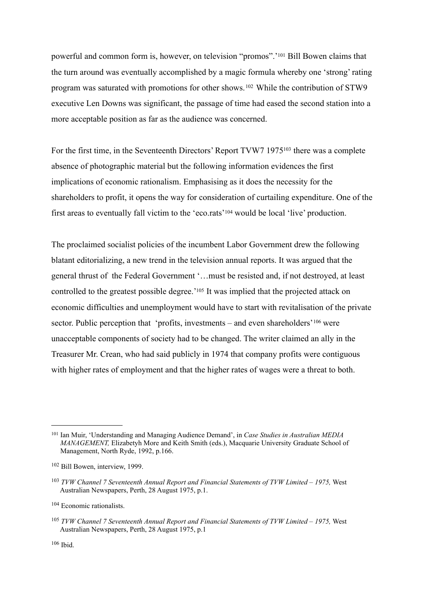powerful and common form is, however, on television "promos".['101](#page-24-0) Bill Bowen claims that the turn around was eventually accomplished by a magic formula whereby one 'strong' rating program was saturated with promotions for other shows.[102](#page-24-1) While the contribution of STW9 executive Len Downs was significant, the passage of time had eased the second station into a more acceptable position as far as the audience was concerned.

For the first time, in the Seventeenth Directors' Report TVW7 1975<sup>103</sup> there was a complete absence of photographic material but the following information evidences the first implications of economic rationalism. Emphasising as it does the necessity for the shareholders to profit, it opens the way for consideration of curtailing expenditure. One of the first areas to eventually fall victim to the 'eco.rats'[104](#page-24-3) would be local 'live' production.

The proclaimed socialist policies of the incumbent Labor Government drew the following blatant editorializing, a new trend in the television annual reports. It was argued that the general thrust of the Federal Government '…must be resisted and, if not destroyed, at least controlled to the greatest possible degree.['105](#page-24-4) It was implied that the projected attack on economic difficulties and unemployment would have to start with revitalisation of the private sector. Public perception that 'profits, investments – and even shareholders'<sup>106</sup> were unacceptable components of society had to be changed. The writer claimed an ally in the Treasurer Mr. Crean, who had said publicly in 1974 that company profits were contiguous with higher rates of employment and that the higher rates of wages were a threat to both.

<span id="page-24-0"></span><sup>101</sup> Ian Muir, 'Understanding and Managing Audience Demand', in *Case Studies in Australian MEDIA MANAGEMENT,* Elizabetyh More and Keith Smith (eds.), Macquarie University Graduate School of Management, North Ryde, 1992, p.166.

<span id="page-24-1"></span><sup>102</sup> Bill Bowen, interview, 1999.

<span id="page-24-2"></span><sup>103</sup> *TVW Channel 7 Seventeenth Annual Report and Financial Statements of TVW Limited – 1975,* West Australian Newspapers, Perth, 28 August 1975, p.1.

<span id="page-24-3"></span><sup>104</sup> Economic rationalists.

<span id="page-24-5"></span><span id="page-24-4"></span><sup>105</sup> *TVW Channel 7 Seventeenth Annual Report and Financial Statements of TVW Limited – 1975,* West Australian Newspapers, Perth, 28 August 1975, p.1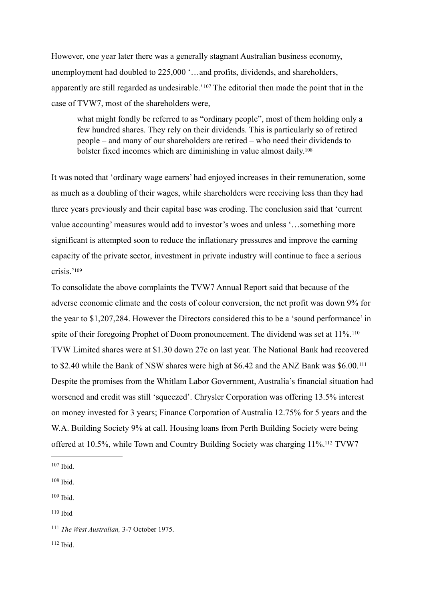However, one year later there was a generally stagnant Australian business economy, unemployment had doubled to 225,000 '…and profits, dividends, and shareholders, apparently are still regarded as undesirable.'[107](#page-25-0) The editorial then made the point that in the case of TVW7, most of the shareholders were,

what might fondly be referred to as "ordinary people", most of them holding only a few hundred shares. They rely on their dividends. This is particularly so of retired people – and many of our shareholders are retired – who need their dividends to bolster fixed incomes which are diminishing in value almost daily[.108](#page-25-1)

It was noted that 'ordinary wage earners' had enjoyed increases in their remuneration, some as much as a doubling of their wages, while shareholders were receiving less than they had three years previously and their capital base was eroding. The conclusion said that 'current value accounting' measures would add to investor's woes and unless '…something more significant is attempted soon to reduce the inflationary pressures and improve the earning capacity of the private sector, investment in private industry will continue to face a serious crisis<sup>['109](#page-25-2)</sup>

To consolidate the above complaints the TVW7 Annual Report said that because of the adverse economic climate and the costs of colour conversion, the net profit was down 9% for the year to \$1,207,284. However the Directors considered this to be a 'sound performance' in spite of their foregoing Prophet of Doom pronouncement. The dividend was set at  $11\%$ <sup>[110](#page-25-3)</sup> TVW Limited shares were at \$1.30 down 27c on last year. The National Bank had recovered to \$2.40 while the Bank of NSW shares were high at \$6.42 and the ANZ Bank was \$6.00.[111](#page-25-4) Despite the promises from the Whitlam Labor Government, Australia's financial situation had worsened and credit was still 'squeezed'. Chrysler Corporation was offering 13.5% interest on money invested for 3 years; Finance Corporation of Australia 12.75% for 5 years and the W.A. Building Society 9% at call. Housing loans from Perth Building Society were being offered at 10.5%, while Town and Country Building Society was charging 11%[.112](#page-25-5) TVW7

<span id="page-25-3"></span> $110$  Ibid

<span id="page-25-5"></span> $112$  Ibid.

<span id="page-25-0"></span> $107$  Ibid.

<span id="page-25-1"></span><sup>108</sup> Ibid.

<span id="page-25-2"></span> $109$  Ihid.

<span id="page-25-4"></span><sup>111</sup> *The West Australian,* 3-7 October 1975.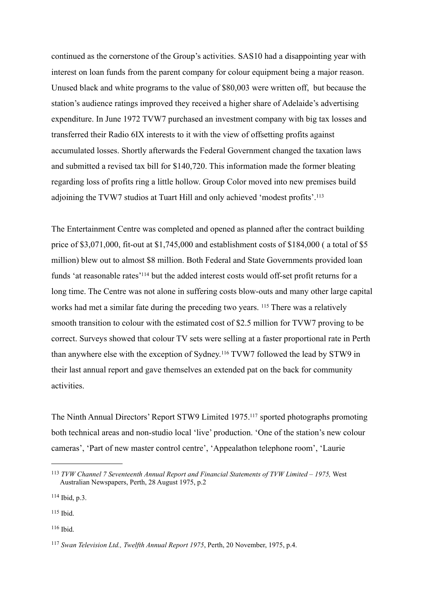continued as the cornerstone of the Group's activities. SAS10 had a disappointing year with interest on loan funds from the parent company for colour equipment being a major reason. Unused black and white programs to the value of \$80,003 were written off, but because the station's audience ratings improved they received a higher share of Adelaide's advertising expenditure. In June 1972 TVW7 purchased an investment company with big tax losses and transferred their Radio 6IX interests to it with the view of offsetting profits against accumulated losses. Shortly afterwards the Federal Government changed the taxation laws and submitted a revised tax bill for \$140,720. This information made the former bleating regarding loss of profits ring a little hollow. Group Color moved into new premises build adjoining the TVW7 studios at Tuart Hill and only achieved 'modest profits'[.113](#page-26-0)

The Entertainment Centre was completed and opened as planned after the contract building price of \$3,071,000, fit-out at \$1,745,000 and establishment costs of \$184,000 ( a total of \$5 million) blew out to almost \$8 million. Both Federal and State Governments provided loan funds 'at reasonable rates['114](#page-26-1) but the added interest costs would off-set profit returns for a long time. The Centre was not alone in suffering costs blow-outs and many other large capital works had met a similar fate during the preceding two years. [115](#page-26-2) There was a relatively smooth transition to colour with the estimated cost of \$2.5 million for TVW7 proving to be correct. Surveys showed that colour TV sets were selling at a faster proportional rate in Perth than anywhere else with the exception of Sydney.[116](#page-26-3) TVW7 followed the lead by STW9 in their last annual report and gave themselves an extended pat on the back for community activities.

The Ninth Annual Directors' Report STW9 Limited 1975[.117](#page-26-4) sported photographs promoting both technical areas and non-studio local 'live' production. 'One of the station's new colour cameras', 'Part of new master control centre', 'Appealathon telephone room', 'Laurie

<span id="page-26-1"></span>114 Ibid, p.3.

<span id="page-26-2"></span> $115$  Ibid.

<span id="page-26-3"></span>116 Ibid.

<span id="page-26-0"></span><sup>113</sup> *TVW Channel 7 Seventeenth Annual Report and Financial Statements of TVW Limited – 1975,* West Australian Newspapers, Perth, 28 August 1975, p.2

<span id="page-26-4"></span><sup>117</sup> *Swan Television Ltd., Twelfth Annual Report 1975*, Perth, 20 November, 1975, p.4.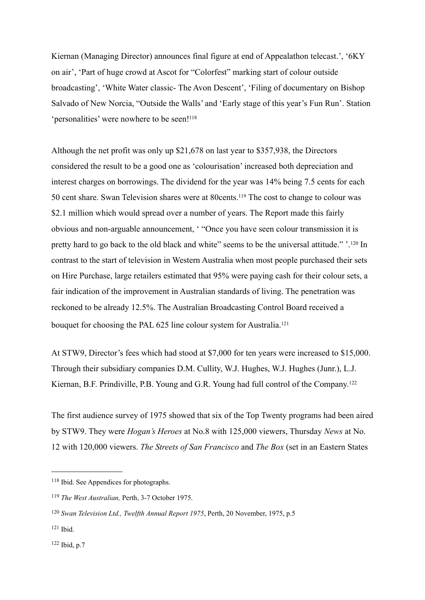Kiernan (Managing Director) announces final figure at end of Appealathon telecast.', '6KY on air', 'Part of huge crowd at Ascot for "Colorfest" marking start of colour outside broadcasting', 'White Water classic- The Avon Descent', 'Filing of documentary on Bishop Salvado of New Norcia, "Outside the Walls' and 'Early stage of this year's Fun Run'. Station 'personalities' were nowhere to be seen!<sup>118</sup>

Although the net profit was only up \$21,678 on last year to \$357,938, the Directors considered the result to be a good one as 'colourisation' increased both depreciation and interest charges on borrowings. The dividend for the year was 14% being 7.5 cents for each 50 cent share. Swan Television shares were at 80cents[.119](#page-27-1) The cost to change to colour was \$2.1 million which would spread over a number of years. The Report made this fairly obvious and non-arguable announcement, ' "Once you have seen colour transmission it is pretty hard to go back to the old black and white" seems to be the universal attitude." '.[120](#page-27-2) In contrast to the start of television in Western Australia when most people purchased their sets on Hire Purchase, large retailers estimated that 95% were paying cash for their colour sets, a fair indication of the improvement in Australian standards of living. The penetration was reckoned to be already 12.5%. The Australian Broadcasting Control Board received a bouquet for choosing the PAL 625 line colour system for Australia.<sup>121</sup>

At STW9, Director's fees which had stood at \$7,000 for ten years were increased to \$15,000. Through their subsidiary companies D.M. Cullity, W.J. Hughes, W.J. Hughes (Junr.), L.J. Kiernan, B.F. Prindiville, P.B. Young and G.R. Young had full control of the Company.[122](#page-27-4)

The first audience survey of 1975 showed that six of the Top Twenty programs had been aired by STW9. They were *Hogan's Heroes* at No.8 with 125,000 viewers, Thursday *News* at No. 12 with 120,000 viewers. *The Streets of San Francisco* and *The Box* (set in an Eastern States

<span id="page-27-4"></span> $122$  Ibid, p.7

<span id="page-27-0"></span><sup>118</sup> Ibid. See Appendices for photographs.

<span id="page-27-1"></span><sup>119</sup> *The West Australian,* Perth, 3-7 October 1975.

<span id="page-27-2"></span><sup>120</sup> *Swan Television Ltd., Twelfth Annual Report 1975*, Perth, 20 November, 1975, p.5

<span id="page-27-3"></span> $121$  Ibid.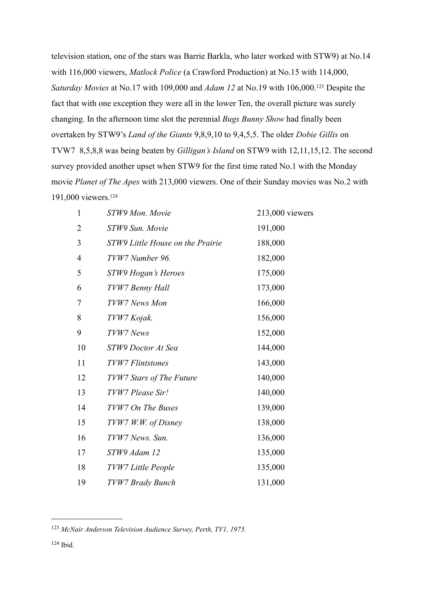television station, one of the stars was Barrie Barkla, who later worked with STW9) at No.14 with 116,000 viewers, *Matlock Police* (a Crawford Production) at No.15 with 114,000, *Saturday Movies* at No.17 with 109,000 and *Adam 12* at No.19 with 106,000[.123](#page-28-0) Despite the fact that with one exception they were all in the lower Ten, the overall picture was surely changing. In the afternoon time slot the perennial *Bugs Bunny Show* had finally been overtaken by STW9's *Land of the Giants* 9,8,9,10 to 9,4,5,5. The older *Dobie Gillis* on TVW7 8,5,8,8 was being beaten by *Gilligan's Island* on STW9 with 12,11,15,12. The second survey provided another upset when STW9 for the first time rated No.1 with the Monday movie *Planet of The Apes* with 213,000 viewers. One of their Sunday movies was No.2 with 191,000 viewers[.124](#page-28-1)

| 1              | STW9 Mon. Movie                  | 213,000 viewers |
|----------------|----------------------------------|-----------------|
| 2              | STW9 Sun. Movie                  | 191,000         |
| 3              | STW9 Little House on the Prairie | 188,000         |
| $\overline{4}$ | TVW7 Number 96.                  | 182,000         |
| 5              | STW9 Hogan's Heroes              | 175,000         |
| 6              | TVW7 Benny Hall                  | 173,000         |
| 7              | TVW7 News Mon                    | 166,000         |
| 8              | TVW7 Kojak.                      | 156,000         |
| 9              | TVW7 News                        | 152,000         |
| 10             | STW9 Doctor At Sea               | 144,000         |
| 11             | <b>TVW7</b> Flintstones          | 143,000         |
| 12             | TVW7 Stars of The Future         | 140,000         |
| 13             | TVW7 Please Sir!                 | 140,000         |
| 14             | TVW7 On The Buses                | 139,000         |
| 15             | TVW7 W.W. of Disney              | 138,000         |
| 16             | TVW7 News. Sun.                  | 136,000         |
| 17             | STW9 Adam 12                     | 135,000         |
| 18             | TVW7 Little People               | 135,000         |
| 19             | TVW7 Brady Bunch                 | 131,000         |

<span id="page-28-1"></span><span id="page-28-0"></span>*McNair Anderson Television Audience Survey, Perth, TV1, 1975.*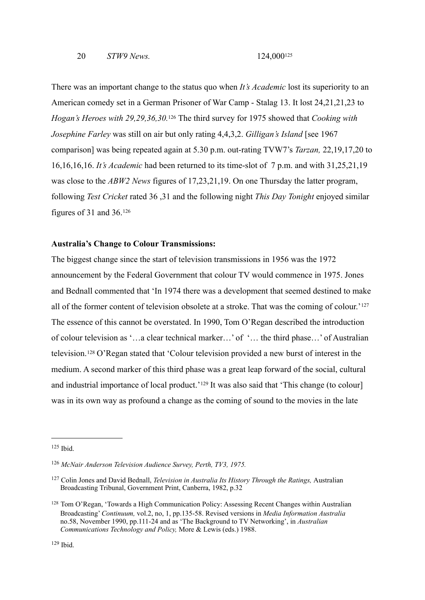There was an important change to the status quo when *It's Academic* lost its superiority to an American comedy set in a German Prisoner of War Camp - Stalag 13. It lost 24,21,21,23 to *Hogan's Heroes with 29,29,36,30.*<sup>126</sup> The third survey for 1975 showed that *Cooking with Josephine Farley* was still on air but only rating 4,4,3,2. *Gilligan's Island* [see 1967 comparison] was being repeated again at 5.30 p.m. out-rating TVW7's *Tarzan,* 22,19,17,20 to 16,16,16,16. *It's Academic* had been returned to its time-slot of 7 p.m. and with 31,25,21,19 was close to the *ABW2 News* figures of 17,23,21,19. On one Thursday the latter program, following *Test Cricket* rated 36 ,31 and the following night *This Day Tonight* enjoyed similar figures of 31 and 36.[126](#page-29-1)

#### **Australia's Change to Colour Transmissions:**

The biggest change since the start of television transmissions in 1956 was the 1972 announcement by the Federal Government that colour TV would commence in 1975. Jones and Bednall commented that 'In 1974 there was a development that seemed destined to make all of the former content of television obsolete at a stroke. That was the coming of colour.'[127](#page-29-2) The essence of this cannot be overstated. In 1990, Tom O'Regan described the introduction of colour television as '…a clear technical marker…' of '… the third phase…' of Australian television.[128](#page-29-3) O'Regan stated that 'Colour television provided a new burst of interest in the medium. A second marker of this third phase was a great leap forward of the social, cultural and industrial importance of local product.'<sup>129</sup> It was also said that 'This change (to colour] was in its own way as profound a change as the coming of sound to the movies in the late

<span id="page-29-0"></span> $125$  Ihid.

<span id="page-29-1"></span><sup>126</sup> *McNair Anderson Television Audience Survey, Perth, TV3, 1975.*

<span id="page-29-2"></span><sup>127</sup> Colin Jones and David Bednall, *Television in Australia Its History Through the Ratings,* Australian Broadcasting Tribunal, Government Print, Canberra, 1982, p.32

<span id="page-29-4"></span><span id="page-29-3"></span><sup>128</sup> Tom O'Regan, 'Towards a High Communication Policy: Assessing Recent Changes within Australian Broadcasting' *Continuum,* vol.2, no, 1, pp.135-58. Revised versions in *Media Information Australia* no.58, November 1990, pp.111-24 and as 'The Background to TV Networking', in *Australian Communications Technology and Policy,* More & Lewis (eds.) 1988.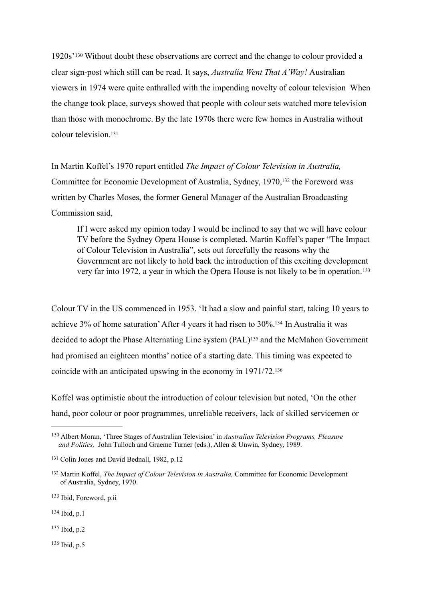1920s'[130](#page-30-0) Without doubt these observations are correct and the change to colour provided a clear sign-post which still can be read. It says, *Australia Went That A'Way!* Australian viewers in 1974 were quite enthralled with the impending novelty of colour television When the change took place, surveys showed that people with colour sets watched more television than those with monochrome. By the late 1970s there were few homes in Australia without colour television<sup>131</sup>

In Martin Koffel's 1970 report entitled *The Impact of Colour Television in Australia,*  Committee for Economic Development of Australia, Sydney, 1970[,132](#page-30-2) the Foreword was written by Charles Moses, the former General Manager of the Australian Broadcasting Commission said,

If I were asked my opinion today I would be inclined to say that we will have colour TV before the Sydney Opera House is completed. Martin Koffel's paper "The Impact of Colour Television in Australia", sets out forcefully the reasons why the Government are not likely to hold back the introduction of this exciting development very far into 1972, a year in which the Opera House is not likely to be in operation.[133](#page-30-3)

Colour TV in the US commenced in 1953. 'It had a slow and painful start, taking 10 years to achieve 3% of home saturation' After 4 years it had risen to 30%[.134](#page-30-4) In Australia it was decided to adopt the Phase Alternating Line system (PAL)[135](#page-30-5) and the McMahon Government had promised an eighteen months' notice of a starting date. This timing was expected to coincide with an anticipated upswing in the economy in 1971/72[.136](#page-30-6)

Koffel was optimistic about the introduction of colour television but noted, 'On the other hand, poor colour or poor programmes, unreliable receivers, lack of skilled servicemen or

<span id="page-30-4"></span><sup>134</sup> Ibid, p.1

<span id="page-30-5"></span><sup>135</sup> Ibid, p.2

<span id="page-30-6"></span> $136$  Ibid, p.5

<span id="page-30-0"></span><sup>130</sup> Albert Moran, 'Three Stages of Australian Television' in *Australian Television Programs, Pleasure and Politics,* John Tulloch and Graeme Turner (eds.), Allen & Unwin, Sydney, 1989.

<span id="page-30-1"></span><sup>&</sup>lt;sup>131</sup> Colin Jones and David Bednall, 1982, p.12

<span id="page-30-2"></span><sup>132</sup> Martin Koffel, *The Impact of Colour Television in Australia,* Committee for Economic Development of Australia, Sydney, 1970.

<span id="page-30-3"></span><sup>133</sup> Ibid, Foreword, p.ii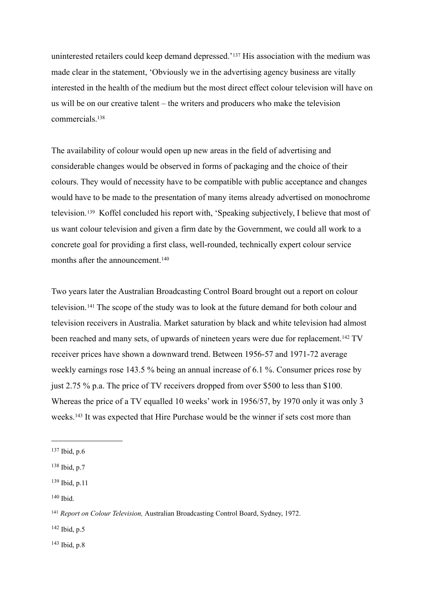uninterested retailers could keep demand depressed.'[137](#page-31-0) His association with the medium was made clear in the statement, 'Obviously we in the advertising agency business are vitally interested in the health of the medium but the most direct effect colour television will have on us will be on our creative talent – the writers and producers who make the television commercials<sup>138</sup>

The availability of colour would open up new areas in the field of advertising and considerable changes would be observed in forms of packaging and the choice of their colours. They would of necessity have to be compatible with public acceptance and changes would have to be made to the presentation of many items already advertised on monochrome television.[139](#page-31-2) Koffel concluded his report with, 'Speaking subjectively, I believe that most of us want colour television and given a firm date by the Government, we could all work to a concrete goal for providing a first class, well-rounded, technically expert colour service months after the announcement.<sup>[140](#page-31-3)</sup>

Two years later the Australian Broadcasting Control Board brought out a report on colour television.[141](#page-31-4) The scope of the study was to look at the future demand for both colour and television receivers in Australia. Market saturation by black and white television had almost been reached and many sets, of upwards of nineteen years were due for replacement.<sup>142</sup> TV receiver prices have shown a downward trend. Between 1956-57 and 1971-72 average weekly earnings rose 143.5 % being an annual increase of 6.1 %. Consumer prices rose by just 2.75 % p.a. The price of TV receivers dropped from over \$500 to less than \$100. Whereas the price of a TV equalled 10 weeks' work in 1956/57, by 1970 only it was only 3 weeks.[143](#page-31-6) It was expected that Hire Purchase would be the winner if sets cost more than

<span id="page-31-3"></span> $140$  Ibid.

<span id="page-31-5"></span>142 Ibid, p.5

<span id="page-31-6"></span> $143$  Ibid, p.8

<span id="page-31-0"></span><sup>137</sup> Ibid, p.6

<span id="page-31-1"></span><sup>138</sup> Ibid, p.7

<span id="page-31-2"></span><sup>139</sup> Ibid, p.11

<span id="page-31-4"></span><sup>141</sup> *Report on Colour Television,* Australian Broadcasting Control Board, Sydney, 1972.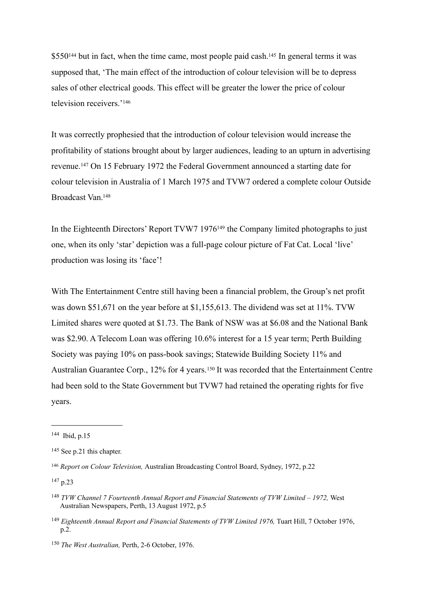\$550<sup>144</sup> but in fact, when the time came, most people paid cash.<sup>145</sup> In general terms it was supposed that, 'The main effect of the introduction of colour television will be to depress sales of other electrical goods. This effect will be greater the lower the price of colour television receivers.'[146](#page-32-2)

It was correctly prophesied that the introduction of colour television would increase the profitability of stations brought about by larger audiences, leading to an upturn in advertising revenue.[147](#page-32-3) On 15 February 1972 the Federal Government announced a starting date for colour television in Australia of 1 March 1975 and TVW7 ordered a complete colour Outside Broadcast Van[.148](#page-32-4)

In the Eighteenth Directors' Report TVW7 1976<sup>149</sup> the Company limited photographs to just one, when its only 'star' depiction was a full-page colour picture of Fat Cat. Local 'live' production was losing its 'face'!

With The Entertainment Centre still having been a financial problem, the Group's net profit was down \$51,671 on the year before at \$1,155,613. The dividend was set at 11%. TVW Limited shares were quoted at \$1.73. The Bank of NSW was at \$6.08 and the National Bank was \$2.90. A Telecom Loan was offering 10.6% interest for a 15 year term; Perth Building Society was paying 10% on pass-book savings; Statewide Building Society 11% and Australian Guarantee Corp., 12% for 4 years.<sup>150</sup> It was recorded that the Entertainment Centre had been sold to the State Government but TVW7 had retained the operating rights for five years.

<span id="page-32-0"></span> $144$  Ibid n 15

<span id="page-32-1"></span><sup>145</sup> See p.21 this chapter.

<span id="page-32-2"></span><sup>146</sup> *Report on Colour Television,* Australian Broadcasting Control Board, Sydney, 1972, p.22

<span id="page-32-3"></span><sup>147</sup> p.23

<span id="page-32-4"></span><sup>148</sup> *TVW Channel 7 Fourteenth Annual Report and Financial Statements of TVW Limited – 1972,* West Australian Newspapers, Perth, 13 August 1972, p.5

<span id="page-32-5"></span><sup>&</sup>lt;sup>149</sup> Eighteenth Annual Report and Financial Statements of TVW Limited 1976, Tuart Hill, 7 October 1976, p.2.

<span id="page-32-6"></span><sup>150</sup> *The West Australian,* Perth, 2-6 October, 1976.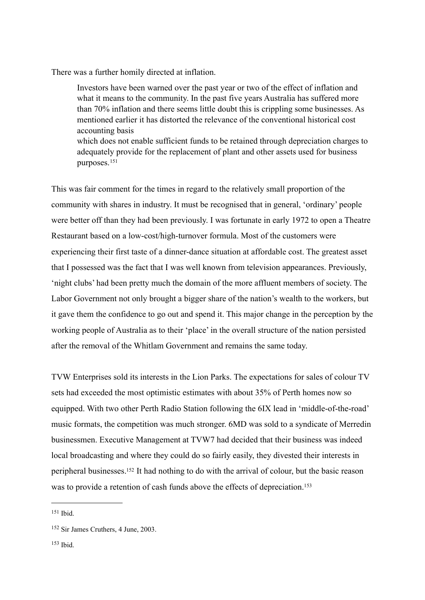There was a further homily directed at inflation.

Investors have been warned over the past year or two of the effect of inflation and what it means to the community. In the past five years Australia has suffered more than 70% inflation and there seems little doubt this is crippling some businesses. As mentioned earlier it has distorted the relevance of the conventional historical cost accounting basis which does not enable sufficient funds to be retained through depreciation charges to adequately provide for the replacement of plant and other assets used for business purposes.[151](#page-33-0)

This was fair comment for the times in regard to the relatively small proportion of the community with shares in industry. It must be recognised that in general, 'ordinary' people were better off than they had been previously. I was fortunate in early 1972 to open a Theatre Restaurant based on a low-cost/high-turnover formula. Most of the customers were experiencing their first taste of a dinner-dance situation at affordable cost. The greatest asset that I possessed was the fact that I was well known from television appearances. Previously, 'night clubs' had been pretty much the domain of the more affluent members of society. The Labor Government not only brought a bigger share of the nation's wealth to the workers, but it gave them the confidence to go out and spend it. This major change in the perception by the working people of Australia as to their 'place' in the overall structure of the nation persisted after the removal of the Whitlam Government and remains the same today.

TVW Enterprises sold its interests in the Lion Parks. The expectations for sales of colour TV sets had exceeded the most optimistic estimates with about 35% of Perth homes now so equipped. With two other Perth Radio Station following the 6IX lead in 'middle-of-the-road' music formats, the competition was much stronger. 6MD was sold to a syndicate of Merredin businessmen. Executive Management at TVW7 had decided that their business was indeed local broadcasting and where they could do so fairly easily, they divested their interests in peripheral businesses[.152](#page-33-1) It had nothing to do with the arrival of colour, but the basic reason was to provide a retention of cash funds above the effects of depreciation.<sup>[153](#page-33-2)</sup>

<span id="page-33-0"></span> $151$  Ihid.

<span id="page-33-1"></span><sup>152</sup> Sir James Cruthers, 4 June, 2003.

<span id="page-33-2"></span> $153$  Ihid.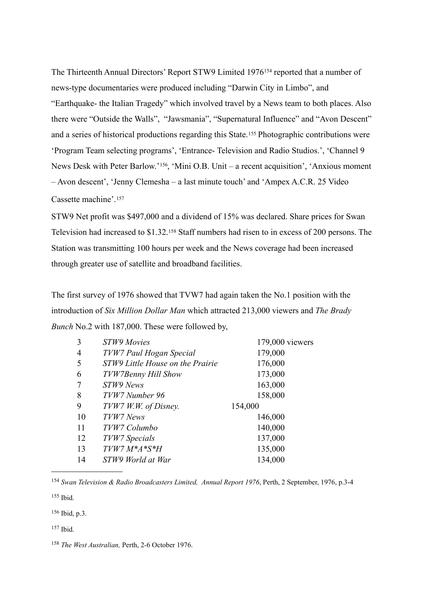The Thirteenth Annual Directors' Report STW9 Limited 1976[154](#page-34-0) reported that a number of news-type documentaries were produced including "Darwin City in Limbo", and "Earthquake- the Italian Tragedy" which involved travel by a News team to both places. Also there were "Outside the Walls", "Jawsmania", "Supernatural Influence" and "Avon Descent" and a series of historical productions regarding this State.<sup>155</sup> Photographic contributions were 'Program Team selecting programs', 'Entrance- Television and Radio Studios.', 'Channel 9 News Desk with Peter Barlow.'[156,](#page-34-2) 'Mini O.B. Unit – a recent acquisition', 'Anxious moment – Avon descent', 'Jenny Clemesha – a last minute touch' and 'Ampex A.C.R. 25 Video Cassette machine'.[157](#page-34-3) 

STW9 Net profit was \$497,000 and a dividend of 15% was declared. Share prices for Swan Television had increased to \$1.32.[158](#page-34-4) Staff numbers had risen to in excess of 200 persons. The Station was transmitting 100 hours per week and the News coverage had been increased through greater use of satellite and broadband facilities.

The first survey of 1976 showed that TVW7 had again taken the No.1 position with the introduction of *Six Million Dollar Man* which attracted 213,000 viewers and *The Brady Bunch* No.2 with 187,000. These were followed by,

| 3  | <b>STW9 Movies</b>               | 179,000 viewers |
|----|----------------------------------|-----------------|
| 4  | TVW7 Paul Hogan Special          | 179,000         |
| 5  | STW9 Little House on the Prairie | 176,000         |
| 6  | TVW7Benny Hill Show              | 173,000         |
|    | STW9 News                        | 163,000         |
| 8  | TVW7 Number 96                   | 158,000         |
| 9  | TVW7 W.W. of Disney.             | 154,000         |
| 10 | TVW7 News                        | 146,000         |
| 11 | TVW7 Columbo                     | 140,000         |
| 12 | TVW7 Specials                    | 137,000         |
| 13 | $T V W 7 M^* A^* S^* H$          | 135,000         |
| 14 | STW9 World at War                | 134,000         |
|    |                                  |                 |

<span id="page-34-0"></span><sup>154</sup> *Swan Television & Radio Broadcasters Limited, Annual Report 1976*, Perth, 2 September, 1976, p.3-4

<span id="page-34-1"></span> $155$  Ibid.

<span id="page-34-2"></span>156 Ibid, p.3.

<span id="page-34-3"></span> $157$  Ibid.

<span id="page-34-4"></span><sup>158</sup> *The West Australian,* Perth, 2-6 October 1976.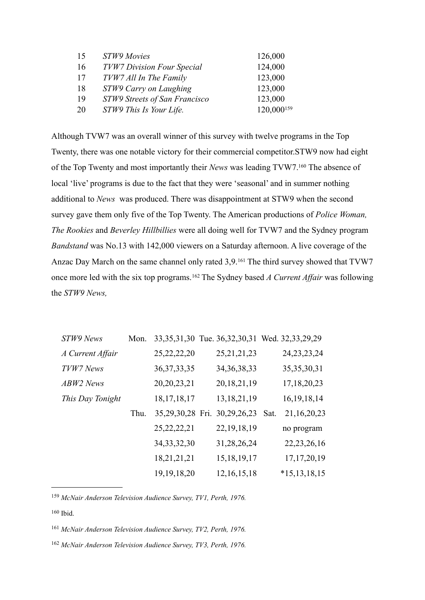| 15 | STW9 Movies                       | 126,000    |
|----|-----------------------------------|------------|
| 16 | <b>TVW7 Division Four Special</b> | 124,000    |
| 17 | TVW7 All In The Family            | 123,000    |
| 18 | STW9 Carry on Laughing            | 123,000    |
| 19 | STW9 Streets of San Francisco     | 123,000    |
| 20 | STW9 This Is Your Life.           | 120,000159 |

Although TVW7 was an overall winner of this survey with twelve programs in the Top Twenty, there was one notable victory for their commercial competitor.STW9 now had eight of the Top Twenty and most importantly their *News* was leading TVW7[.160](#page-35-1) The absence of local 'live' programs is due to the fact that they were 'seasonal' and in summer nothing additional to *News* was produced. There was disappointment at STW9 when the second survey gave them only five of the Top Twenty. The American productions of *Police Woman, The Rookies* and *Beverley Hillbillies* were all doing well for TVW7 and the Sydney program *Bandstand* was No.13 with 142,000 viewers on a Saturday afternoon. A live coverage of the Anzac Day March on the same channel only rated 3,9.[161](#page-35-2) The third survey showed that TVW7 once more led with the six top programs.[162](#page-35-3) The Sydney based *A Current Affair* was following the *STW9 News,*

| STW9 News        | Mon. |                |                              | 33, 35, 31, 30 Tue. 36, 32, 30, 31 Wed. 32, 33, 29, 29 |
|------------------|------|----------------|------------------------------|--------------------------------------------------------|
| A Current Affair |      | 25, 22, 22, 20 | 25, 21, 21, 23               | 24, 23, 23, 24                                         |
| TVW7 News        |      | 36, 37, 33, 35 | 34, 36, 38, 33               | 35, 35, 30, 31                                         |
| ABW2 News        |      | 20, 20, 23, 21 | 20, 18, 21, 19               | 17, 18, 20, 23                                         |
| This Day Tonight |      | 18, 17, 18, 17 | 13, 18, 21, 19               | 16, 19, 18, 14                                         |
|                  | Thu. |                | 35,29,30,28 Fri. 30,29,26,23 | 21, 16, 20, 23<br>Sat.                                 |
|                  |      | 25, 22, 22, 21 | 22, 19, 18, 19               | no program                                             |
|                  |      | 34, 33, 32, 30 | 31,28,26,24                  | 22, 23, 26, 16                                         |
|                  |      | 18,21,21,21    | 15, 18, 19, 17               | 17, 17, 20, 19                                         |
|                  |      | 19, 19, 18, 20 | 12, 16, 15, 18               | $*15, 13, 18, 15$                                      |

<span id="page-35-0"></span><sup>159</sup> *McNair Anderson Television Audience Survey, TV1, Perth, 1976.*

<span id="page-35-2"></span><sup>161</sup> *McNair Anderson Television Audience Survey, TV2, Perth, 1976.*

<span id="page-35-3"></span><sup>162</sup> *McNair Anderson Television Audience Survey, TV3, Perth, 1976.*

<span id="page-35-1"></span> $160$  Ibid.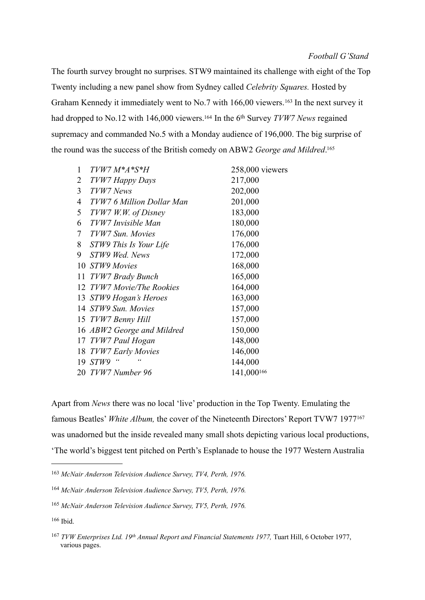The fourth survey brought no surprises. STW9 maintained its challenge with eight of the Top Twenty including a new panel show from Sydney called *Celebrity Squares.* Hosted by Graham Kennedy it immediately went to No.7 with 166,00 viewers.<sup>163</sup> In the next survey it had dropped to No.12 with 146,000 viewers[.164](#page-36-1) In the 6th Survey *TVW7 News* regained supremacy and commanded No.5 with a Monday audience of 196,000. The big surprise of the round was the success of the British comedy on ABW2 *George and Mildred*. [165](#page-36-2)

| 1  | TVW7 M*A*S*H               | 258,000 viewers |
|----|----------------------------|-----------------|
| 2  | TVW7 Happy Days            | 217,000         |
| 3  | TVW7 News                  | 202,000         |
| 4  | TVW7 6 Million Dollar Man  | 201,000         |
| 5  | TVW7 W.W. of Disney        | 183,000         |
| 6  | TVW7 Invisible Man         | 180,000         |
| 7  | TVW7 Sun. Movies           | 176,000         |
| 8  | STW9 This Is Your Life     | 176,000         |
| 9  | STW9 Wed. News             | 172,000         |
|    | 10 STW9 Movies             | 168,000         |
| 11 | TVW7 Brady Bunch           | 165,000         |
| 12 | TVW7 Movie/The Rookies     | 164,000         |
|    | 13 STW9 Hogan's Heroes     | 163,000         |
|    | 14 STW9 Sun. Movies        | 157,000         |
|    | 15 TVW7 Benny Hill         | 157,000         |
|    | 16 ABW2 George and Mildred | 150,000         |
|    | 17 TVW7 Paul Hogan         | 148,000         |
|    | 18 TVW7 Early Movies       | 146,000         |
| 19 | "<br>STW9                  | 144,000         |
|    | 20 TVW7 Number 96          | 141,000166      |
|    |                            |                 |

Apart from *News* there was no local 'live' production in the Top Twenty. Emulating the famous Beatles' *White Album*, the cover of the Nineteenth Directors' Report TVW7 1977<sup>[167](#page-36-4)</sup> was unadorned but the inside revealed many small shots depicting various local productions, 'The world's biggest tent pitched on Perth's Esplanade to house the 1977 Western Australia

<span id="page-36-0"></span>*McNair Anderson Television Audience Survey, TV4, Perth, 1976.*

<span id="page-36-1"></span>*McNair Anderson Television Audience Survey, TV5, Perth, 1976.*

<span id="page-36-2"></span>*McNair Anderson Television Audience Survey, TV5, Perth, 1976.*

<span id="page-36-3"></span>Ibid.

<span id="page-36-4"></span> *TVW Enterprises Ltd. 19th Annual Report and Financial Statements 1977,* Tuart Hill, 6 October 1977, various pages.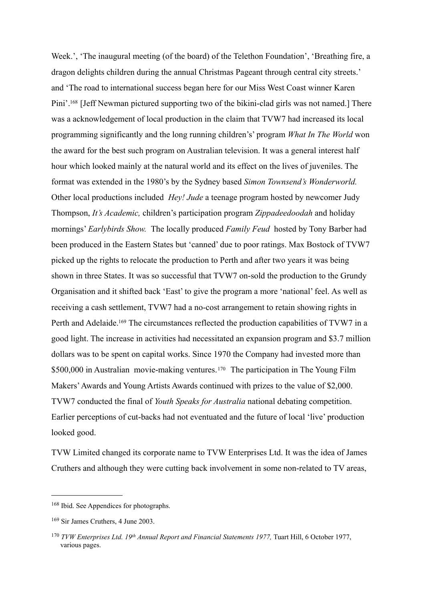Week.', 'The inaugural meeting (of the board) of the Telethon Foundation', 'Breathing fire, a dragon delights children during the annual Christmas Pageant through central city streets.' and 'The road to international success began here for our Miss West Coast winner Karen Pini'.<sup>168</sup> [Jeff Newman pictured supporting two of the bikini-clad girls was not named.] There was a acknowledgement of local production in the claim that TVW7 had increased its local programming significantly and the long running children's' program *What In The World* won the award for the best such program on Australian television. It was a general interest half hour which looked mainly at the natural world and its effect on the lives of juveniles. The format was extended in the 1980's by the Sydney based *Simon Townsend's Wonderworld.*  Other local productions included *Hey! Jude* a teenage program hosted by newcomer Judy Thompson, *It's Academic,* children's participation program *Zippadeedoodah* and holiday mornings' *Earlybirds Show.* The locally produced *Family Feud* hosted by Tony Barber had been produced in the Eastern States but 'canned' due to poor ratings. Max Bostock of TVW7 picked up the rights to relocate the production to Perth and after two years it was being shown in three States. It was so successful that TVW7 on-sold the production to the Grundy Organisation and it shifted back 'East' to give the program a more 'national' feel. As well as receiving a cash settlement, TVW7 had a no-cost arrangement to retain showing rights in Perth and Adelaide.<sup>169</sup> The circumstances reflected the production capabilities of TVW7 in a good light. The increase in activities had necessitated an expansion program and \$3.7 million dollars was to be spent on capital works. Since 1970 the Company had invested more than \$500,000 in Australian movie-making ventures.<sup>[170](#page-37-2)</sup> The participation in The Young Film Makers' Awards and Young Artists Awards continued with prizes to the value of \$2,000. TVW7 conducted the final of *Youth Speaks for Australia* national debating competition. Earlier perceptions of cut-backs had not eventuated and the future of local 'live' production looked good.

TVW Limited changed its corporate name to TVW Enterprises Ltd. It was the idea of James Cruthers and although they were cutting back involvement in some non-related to TV areas,

<span id="page-37-0"></span><sup>168</sup> Ibid. See Appendices for photographs.

<span id="page-37-1"></span><sup>169</sup> Sir James Cruthers, 4 June 2003.

<span id="page-37-2"></span><sup>170</sup> *TVW Enterprises Ltd. 19th Annual Report and Financial Statements 1977,* Tuart Hill, 6 October 1977, various pages.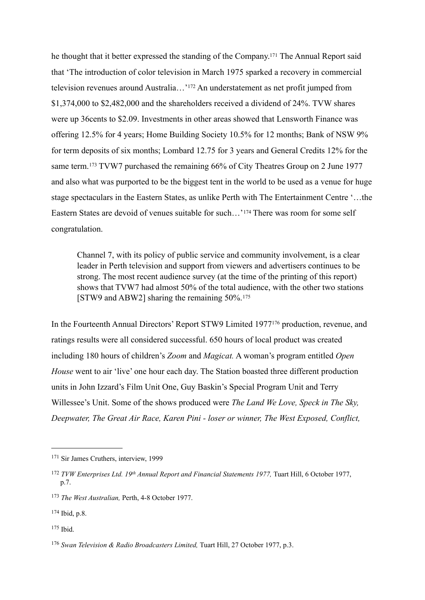he thought that it better expressed the standing of the Company[.171](#page-38-0) The Annual Report said that 'The introduction of color television in March 1975 sparked a recovery in commercial television revenues around Australia…'[172](#page-38-1) An understatement as net profit jumped from \$1,374,000 to \$2,482,000 and the shareholders received a dividend of 24%. TVW shares were up 36cents to \$2.09. Investments in other areas showed that Lensworth Finance was offering 12.5% for 4 years; Home Building Society 10.5% for 12 months; Bank of NSW 9% for term deposits of six months; Lombard 12.75 for 3 years and General Credits 12% for the same term.<sup>173</sup> TVW7 purchased the remaining 66% of City Theatres Group on 2 June 1977 and also what was purported to be the biggest tent in the world to be used as a venue for huge stage spectaculars in the Eastern States, as unlike Perth with The Entertainment Centre '…the Eastern States are devoid of venues suitable for such…'[174](#page-38-3) There was room for some self congratulation.

Channel 7, with its policy of public service and community involvement, is a clear leader in Perth television and support from viewers and advertisers continues to be strong. The most recent audience survey (at the time of the printing of this report) shows that TVW7 had almost 50% of the total audience, with the other two stations [STW9 and ABW2] sharing the remaining 50%.[175](#page-38-4)

In the Fourteenth Annual Directors' Report STW9 Limited 197[7176](#page-38-5) production, revenue, and ratings results were all considered successful. 650 hours of local product was created including 180 hours of children's *Zoom* and *Magicat.* A woman's program entitled *Open House* went to air 'live' one hour each day. The Station boasted three different production units in John Izzard's Film Unit One, Guy Baskin's Special Program Unit and Terry Willessee's Unit. Some of the shows produced were *The Land We Love, Speck in The Sky, Deepwater, The Great Air Race, Karen Pini - loser or winner, The West Exposed, Conflict,* 

<span id="page-38-0"></span><sup>171</sup> Sir James Cruthers, interview, 1999

<span id="page-38-1"></span><sup>172</sup> *TVW Enterprises Ltd. 19th Annual Report and Financial Statements 1977,* Tuart Hill, 6 October 1977, p.7.

<span id="page-38-2"></span><sup>173</sup> *The West Australian,* Perth, 4-8 October 1977.

<span id="page-38-3"></span><sup>174</sup> Ibid, p.8.

<span id="page-38-4"></span> $175$  Ihid.

<span id="page-38-5"></span><sup>176</sup> *Swan Television & Radio Broadcasters Limited,* Tuart Hill, 27 October 1977, p.3.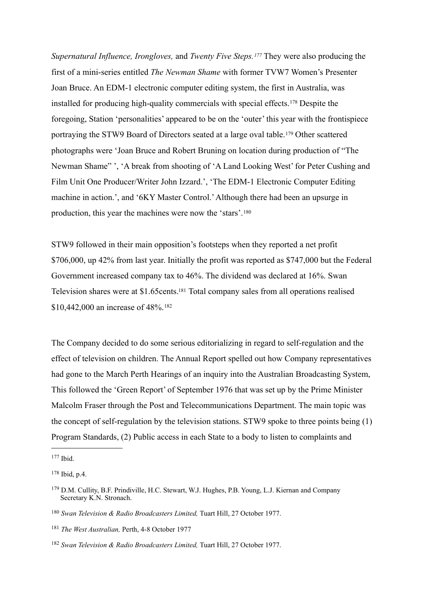*Supernatural Influence, Irongloves,* and *Twenty Five Steps.[177](#page-39-0)* They were also producing the first of a mini-series entitled *The Newman Shame* with former TVW7 Women's Presenter Joan Bruce. An EDM-1 electronic computer editing system, the first in Australia, was installed for producing high-quality commercials with special effects.[178](#page-39-1) Despite the foregoing, Station 'personalities' appeared to be on the 'outer' this year with the frontispiece portraying the STW9 Board of Directors seated at a large oval table.[179](#page-39-2) Other scattered photographs were 'Joan Bruce and Robert Bruning on location during production of "The Newman Shame" ', 'A break from shooting of 'A Land Looking West' for Peter Cushing and Film Unit One Producer/Writer John Izzard.', 'The EDM-1 Electronic Computer Editing machine in action.', and '6KY Master Control.' Although there had been an upsurge in production, this year the machines were now the 'stars'.[180](#page-39-3)

STW9 followed in their main opposition's footsteps when they reported a net profit \$706,000, up 42% from last year. Initially the profit was reported as \$747,000 but the Federal Government increased company tax to 46%. The dividend was declared at 16%. Swan Television shares were at \$1.65cents[.181](#page-39-4) Total company sales from all operations realised \$10,442,000 an increase of 48%.<sup>[182](#page-39-5)</sup>

The Company decided to do some serious editorializing in regard to self-regulation and the effect of television on children. The Annual Report spelled out how Company representatives had gone to the March Perth Hearings of an inquiry into the Australian Broadcasting System, This followed the 'Green Report' of September 1976 that was set up by the Prime Minister Malcolm Fraser through the Post and Telecommunications Department. The main topic was the concept of self-regulation by the television stations. STW9 spoke to three points being (1) Program Standards, (2) Public access in each State to a body to listen to complaints and

<span id="page-39-0"></span> $177$  Ibid.

<span id="page-39-1"></span><sup>178</sup> Ibid, p.4.

<span id="page-39-2"></span><sup>179</sup> D.M. Cullity, B.F. Prindiville, H.C. Stewart, W.J. Hughes, P.B. Young, L.J. Kiernan and Company Secretary K.N. Stronach.

<span id="page-39-3"></span><sup>180</sup> *Swan Television & Radio Broadcasters Limited,* Tuart Hill, 27 October 1977.

<span id="page-39-4"></span><sup>181</sup> *The West Australian,* Perth, 4-8 October 1977

<span id="page-39-5"></span><sup>182</sup> *Swan Television & Radio Broadcasters Limited,* Tuart Hill, 27 October 1977.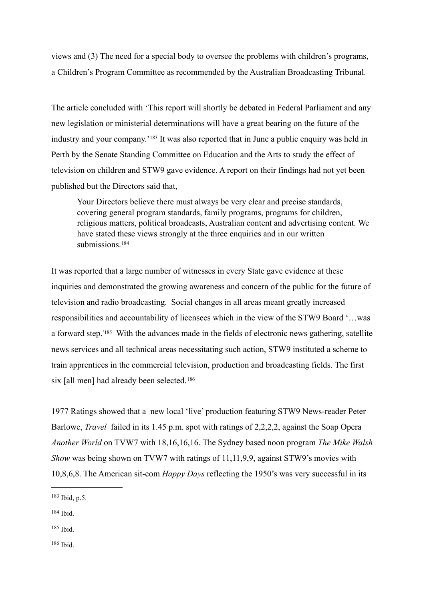views and (3) The need for a special body to oversee the problems with children's programs, a Children's Program Committee as recommended by the Australian Broadcasting Tribunal.

The article concluded with 'This report will shortly be debated in Federal Parliament and any new legislation or ministerial determinations will have a great bearing on the future of the industry and your company.'[183](#page-40-0) It was also reported that in June a public enquiry was held in Perth by the Senate Standing Committee on Education and the Arts to study the effect of television on children and STW9 gave evidence. A report on their findings had not yet been published but the Directors said that,

Your Directors believe there must always be very clear and precise standards, covering general program standards, family programs, programs for children, religious matters, political broadcasts, Australian content and advertising content. We have stated these views strongly at the three enquiries and in our written submissions<sup>[184](#page-40-1)</sup>

It was reported that a large number of witnesses in every State gave evidence at these inquiries and demonstrated the growing awareness and concern of the public for the future of television and radio broadcasting. Social changes in all areas meant greatly increased responsibilities and accountability of licensees which in the view of the STW9 Board '…was a forward step.['185](#page-40-2) With the advances made in the fields of electronic news gathering, satellite news services and all technical areas necessitating such action, STW9 instituted a scheme to train apprentices in the commercial television, production and broadcasting fields. The first six [all men] had already been selected.[186](#page-40-3)

1977 Ratings showed that a new local 'live' production featuring STW9 News-reader Peter Barlowe, *Travel* failed in its 1.45 p.m. spot with ratings of 2,2,2,2, against the Soap Opera *Another World* on TVW7 with 18,16,16,16. The Sydney based noon program *The Mike Walsh Show* was being shown on TVW7 with ratings of 11,11,9,9, against STW9's movies with 10,8,6,8. The American sit-com *Happy Days* reflecting the 1950's was very successful in its

<span id="page-40-0"></span><sup>183</sup> Ibid, p.5.

<span id="page-40-1"></span> $184$  Ibid.

<span id="page-40-2"></span> $185$  Ihid.

<span id="page-40-3"></span> $186$  Ihid.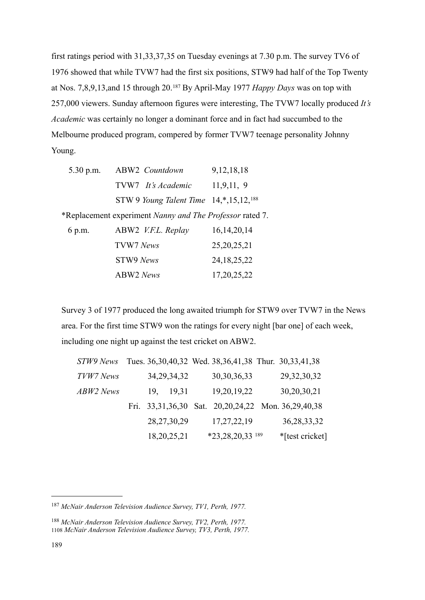first ratings period with 31,33,37,35 on Tuesday evenings at 7.30 p.m. The survey TV6 of 1976 showed that while TVW7 had the first six positions, STW9 had half of the Top Twenty at Nos. 7,8,9,13,and 15 through 20.[187](#page-41-0) By April-May 1977 *Happy Days* was on top with 257,000 viewers. Sunday afternoon figures were interesting, The TVW7 locally produced *It's Academic* was certainly no longer a dominant force and in fact had succumbed to the Melbourne produced program, compered by former TVW7 teenage personality Johnny Young.

| $5.30$ p.m. | ABW2 Countdown                                           | 9, 12, 18, 18  |
|-------------|----------------------------------------------------------|----------------|
|             | TVW7 It's Academic                                       | 11,9,11,9      |
|             | STW 9 Young Talent Time $14,*,15,12,188$                 |                |
|             | *Replacement experiment Nanny and The Professor rated 7. |                |
| 6 p.m.      | ABW2 V.F.L. Replay                                       | 16, 14, 20, 14 |
|             | TVW7 News                                                | 25, 20, 25, 21 |
|             | STW9 News                                                | 24, 18, 25, 22 |
|             | <b>ABW2</b> News                                         | 17, 20, 25, 22 |
|             |                                                          |                |

Survey 3 of 1977 produced the long awaited triumph for STW9 over TVW7 in the News area. For the first time STW9 won the ratings for every night [bar one] of each week, including one night up against the test cricket on ABW2.

| STW9 News |     |                | Tues. 36, 30, 40, 32 Wed. 38, 36, 41, 38 Thur. 30, 33, 41, 38 |                 |  |
|-----------|-----|----------------|---------------------------------------------------------------|-----------------|--|
| TVW7 News |     | 34, 29, 34, 32 | 30, 30, 36, 33                                                | 29, 32, 30, 32  |  |
| ABW2 News | 19, | 19,31          | 19,20,19,22                                                   | 30,20,30,21     |  |
|           |     |                | Fri. 33,31,36,30 Sat. 20,20,24,22 Mon. 36,29,40,38            |                 |  |
|           |     | 28, 27, 30, 29 | 17, 27, 22, 19                                                | 36, 28, 33, 32  |  |
|           |     | 18,20,25,21    | *23,28,20,33 189                                              | *[test cricket] |  |

<span id="page-41-0"></span><sup>187</sup> *McNair Anderson Television Audience Survey, TV1, Perth, 1977.*

<span id="page-41-2"></span><span id="page-41-1"></span><sup>188</sup> *McNair Anderson Television Audience Survey, TV2, Perth, 1977.* 1108 *McNair Anderson Television Audience Survey, TV3, Perth, 1977.*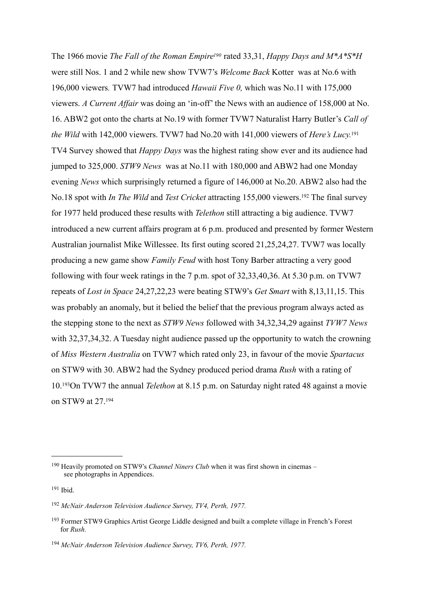The 1966 movie *The Fall of the Roman Empir[e190](#page-42-0)* rated 33,31, *Happy Days and M\*A\*S\*H*  were still Nos. 1 and 2 while new show TVW7's *Welcome Back* Kotter was at No.6 with 196,000 viewers*.* TVW7 had introduced *Hawaii Five 0,* which was No.11 with 175,000 viewers. *A Current Affair* was doing an 'in-off' the News with an audience of 158,000 at No. 16. ABW2 got onto the charts at No.19 with former TVW7 Naturalist Harry Butler's *Call of the Wild* with 142,000 viewers. TVW7 had No.20 with 141,000 viewers of *Here's Lucy.*[191](#page-42-1) TV4 Survey showed that *Happy Days* was the highest rating show ever and its audience had jumped to 325,000. *STW9 News* was at No.11 with 180,000 and ABW2 had one Monday evening *News* which surprisingly returned a figure of 146,000 at No.20. ABW2 also had the No.18 spot with *In The Wild* and *Test Cricket* attracting 155,000 viewers[.192](#page-42-2) The final survey for 1977 held produced these results with *Telethon* still attracting a big audience. TVW7 introduced a new current affairs program at 6 p.m. produced and presented by former Western Australian journalist Mike Willessee. Its first outing scored 21,25,24,27. TVW7 was locally producing a new game show *Family Feud* with host Tony Barber attracting a very good following with four week ratings in the 7 p.m. spot of 32,33,40,36. At 5.30 p.m. on TVW7 repeats of *Lost in Space* 24,27,22,23 were beating STW9's *Get Smart* with 8,13,11,15. This was probably an anomaly, but it belied the belief that the previous program always acted as the stepping stone to the next as *STW9 News* followed with 34,32,34,29 against *TVW7 News*  with 32,37,34,32. A Tuesday night audience passed up the opportunity to watch the crowning of *Miss Western Australia* on TVW7 which rated only 23, in favour of the movie *Spartacus*  on STW9 with 30. ABW2 had the Sydney produced period drama *Rush* with a rating of 10.[193O](#page-42-3)n TVW7 the annual *Telethon* at 8.15 p.m. on Saturday night rated 48 against a movie on STW9 at 27.[194](#page-42-4)

<span id="page-42-0"></span><sup>190</sup> Heavily promoted on STW9's *Channel Niners Club* when it was first shown in cinemas – see photographs in Appendices.

<span id="page-42-1"></span><sup>191</sup> Ibid.

<span id="page-42-2"></span><sup>192</sup> *McNair Anderson Television Audience Survey, TV4, Perth, 1977.*

<span id="page-42-3"></span><sup>193</sup> Former STW9 Graphics Artist George Liddle designed and built a complete village in French's Forest for *Rush.*

<span id="page-42-4"></span><sup>194</sup> *McNair Anderson Television Audience Survey, TV6, Perth, 1977.*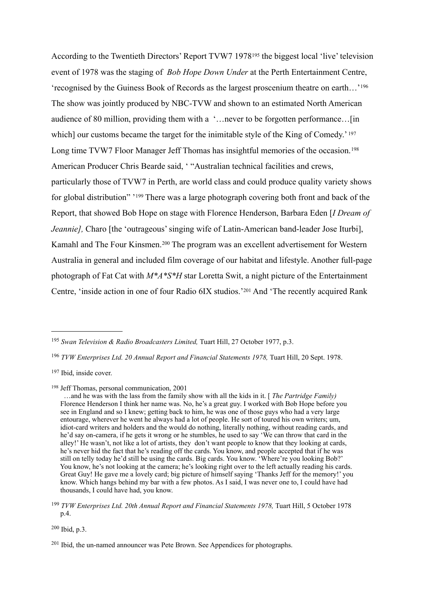According to the Twentieth Directors' Report TVW7 1978[195](#page-43-0) the biggest local 'live' television event of 1978 was the staging of *Bob Hope Down Under* at the Perth Entertainment Centre, 'recognised by the Guiness Book of Records as the largest proscenium theatre on earth…'[196](#page-43-1) The show was jointly produced by NBC-TVW and shown to an estimated North American audience of 80 million, providing them with a '…never to be forgotten performance…[in which] our customs became the target for the inimitable style of the King of Comedy.' [197](#page-43-2) Long time TVW7 Floor Manager Jeff Thomas has insightful memories of the occasion.<sup>[198](#page-43-3)</sup> American Producer Chris Bearde said, ' "Australian technical facilities and crews, particularly those of TVW7 in Perth, are world class and could produce quality variety shows for global distribution" '[199](#page-43-4) There was a large photograph covering both front and back of the Report, that showed Bob Hope on stage with Florence Henderson, Barbara Eden [*I Dream of Jeannie]*, Charo [the 'outrageous' singing wife of Latin-American band-leader Jose Iturbi], Kamahl and The Four Kinsmen.[200](#page-43-5) The program was an excellent advertisement for Western Australia in general and included film coverage of our habitat and lifestyle. Another full-page photograph of Fat Cat with *M\*A\*S\*H* star Loretta Swit, a night picture of the Entertainment Centre, 'inside action in one of four Radio 6IX studios.'[201](#page-43-6) And 'The recently acquired Rank

<span id="page-43-3"></span>198 Jeff Thomas, personal communication, 2001

<span id="page-43-5"></span>200 Ibid, p.3.

<span id="page-43-0"></span><sup>195</sup> *Swan Television & Radio Broadcasters Limited,* Tuart Hill, 27 October 1977, p.3.

<span id="page-43-1"></span><sup>&</sup>lt;sup>196</sup> TVW Enterprises Ltd. 20 Annual Report and Financial Statements 1978, Tuart Hill, 20 Sept. 1978.

<span id="page-43-2"></span><sup>197</sup> Ibid, inside cover.

 <sup>…</sup>and he was with the lass from the family show with all the kids in it. [ *The Partridge Family)*  **Florence Henderson I think her name was. No, he's a great guy. I worked with Bob Hope before you**  see in England and so I knew; getting back to him, he was one of those guys who had a very large entourage, wherever he went he always had a lot of people. He sort of toured his own writers; um, idiot-card writers and holders and the would do nothing, literally nothing, without reading cards, and he'd say on-camera, if he gets it wrong or he stumbles, he used to say 'We can throw that card in the alley!' He wasn't, not like a lot of artists, they don't want people to know that they looking at cards, he's never hid the fact that he's reading off the cards. You know, and people accepted that if he was still on telly today he'd still be using the cards. Big cards. You know. 'Where're you looking Bob?' You know, he's not looking at the camera; he's looking right over to the left actually reading his cards. Great Guy! He gave me a lovely card; big picture of himself saying 'Thanks Jeff for the memory!' you know. Which hangs behind my bar with a few photos. As I said, I was never one to, I could have had thousands, I could have had, you know.

<span id="page-43-4"></span><sup>&</sup>lt;sup>199</sup> *TVW Enterprises Ltd. 20th Annual Report and Financial Statements 1978*, Tuart Hill, 5 October 1978 p.4.

<span id="page-43-6"></span> $201$  Ibid, the un-named announcer was Pete Brown. See Appendices for photographs.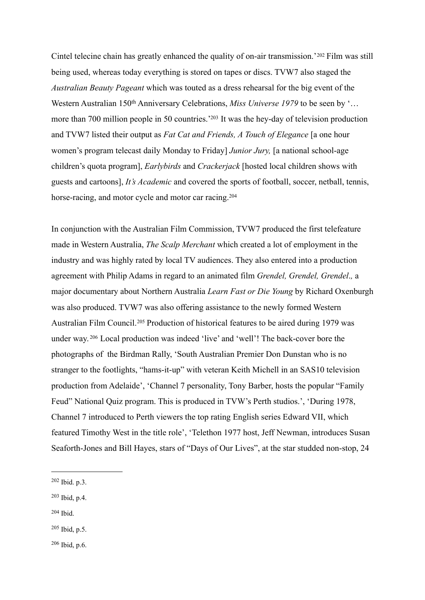Cintel telecine chain has greatly enhanced the quality of on-air transmission.'[202](#page-44-0) Film was still being used, whereas today everything is stored on tapes or discs. TVW7 also staged the *Australian Beauty Pageant* which was touted as a dress rehearsal for the big event of the Western Australian 150<sup>th</sup> Anniversary Celebrations, *Miss Universe 1979* to be seen by '... more than 700 million people in 50 countries.['203](#page-44-1) It was the hey-day of television production and TVW7 listed their output as *Fat Cat and Friends, A Touch of Elegance* [a one hour women's program telecast daily Monday to Friday] *Junior Jury,* [a national school-age children's quota program], *Earlybirds* and *Crackerjack* [hosted local children shows with guests and cartoons], *It's Academic* and covered the sports of football, soccer, netball, tennis, horse-racing, and motor cycle and motor car racing.<sup>[204](#page-44-2)</sup>

In conjunction with the Australian Film Commission, TVW7 produced the first telefeature made in Western Australia, *The Scalp Merchant* which created a lot of employment in the industry and was highly rated by local TV audiences. They also entered into a production agreement with Philip Adams in regard to an animated film *Grendel, Grendel, Grendel*.*,* a major documentary about Northern Australia *Learn Fast or Die Young* by Richard Oxenburgh was also produced. TVW7 was also offering assistance to the newly formed Western Australian Film Council.[205](#page-44-3) Production of historical features to be aired during 1979 was under way. [206](#page-44-4) Local production was indeed 'live' and 'well'! The back-cover bore the photographs of the Birdman Rally, 'South Australian Premier Don Dunstan who is no stranger to the footlights, "hams-it-up" with veteran Keith Michell in an SAS10 television production from Adelaide', 'Channel 7 personality, Tony Barber, hosts the popular "Family Feud" National Quiz program. This is produced in TVW's Perth studios.', 'During 1978, Channel 7 introduced to Perth viewers the top rating English series Edward VII, which featured Timothy West in the title role', 'Telethon 1977 host, Jeff Newman, introduces Susan Seaforth-Jones and Bill Hayes, stars of "Days of Our Lives", at the star studded non-stop, 24

- <span id="page-44-1"></span>203 Ibid, p.4.
- <span id="page-44-2"></span>204 Ibid.
- <span id="page-44-3"></span>205 Ibid, p.5.
- <span id="page-44-4"></span> $206$  Ibid, p.6.

<span id="page-44-0"></span><sup>202</sup> Ibid. p.3.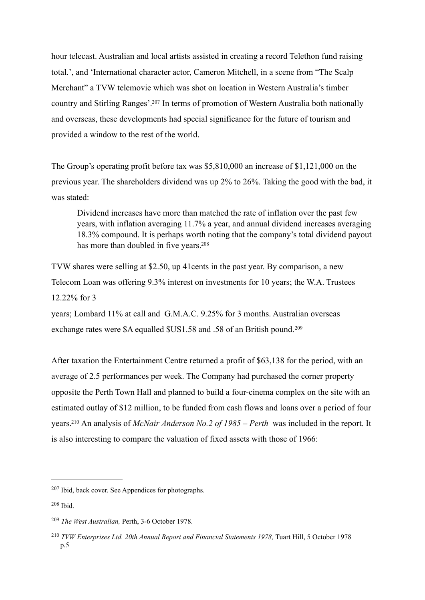hour telecast. Australian and local artists assisted in creating a record Telethon fund raising total.', and 'International character actor, Cameron Mitchell, in a scene from "The Scalp Merchant" a TVW telemovie which was shot on location in Western Australia's timber country and Stirling Ranges'[.207](#page-45-0) In terms of promotion of Western Australia both nationally and overseas, these developments had special significance for the future of tourism and provided a window to the rest of the world.

The Group's operating profit before tax was \$5,810,000 an increase of \$1,121,000 on the previous year. The shareholders dividend was up 2% to 26%. Taking the good with the bad, it was stated:

Dividend increases have more than matched the rate of inflation over the past few years, with inflation averaging 11.7% a year, and annual dividend increases averaging 18.3% compound. It is perhaps worth noting that the company's total dividend payout has more than doubled in five years.<sup>208</sup>

TVW shares were selling at \$2.50, up 41cents in the past year. By comparison, a new Telecom Loan was offering 9.3% interest on investments for 10 years; the W.A. Trustees 12.22% for 3

years; Lombard 11% at call and G.M.A.C. 9.25% for 3 months. Australian overseas exchange rates were \$A equalled \$US1.58 and .58 of an British pound.[209](#page-45-2)

After taxation the Entertainment Centre returned a profit of \$63,138 for the period, with an average of 2.5 performances per week. The Company had purchased the corner property opposite the Perth Town Hall and planned to build a four-cinema complex on the site with an estimated outlay of \$12 million, to be funded from cash flows and loans over a period of four years[.210](#page-45-3) An analysis of *McNair Anderson No.2 of 1985 – Perth* was included in the report. It is also interesting to compare the valuation of fixed assets with those of 1966:

<span id="page-45-0"></span><sup>207</sup> Ibid, back cover. See Appendices for photographs.

<span id="page-45-1"></span><sup>208</sup> Ibid.

<span id="page-45-2"></span><sup>209</sup> *The West Australian,* Perth, 3-6 October 1978.

<span id="page-45-3"></span><sup>210</sup> *TVW Enterprises Ltd. 20th Annual Report and Financial Statements 1978,* Tuart Hill, 5 October 1978 p.5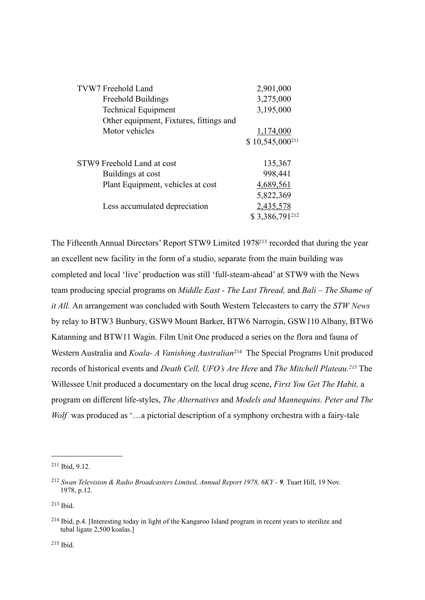| TVW7 Freehold Land                      | 2,901,000           |
|-----------------------------------------|---------------------|
| <b>Freehold Buildings</b>               | 3,275,000           |
| <b>Technical Equipment</b>              | 3,195,000           |
| Other equipment, Fixtures, fittings and |                     |
| Motor vehicles                          | 1,174,000           |
|                                         | $$10,545,000^{211}$ |
|                                         |                     |
| STW9 Freehold Land at cost              | 135,367             |
| Buildings at cost                       | 998,441             |
| Plant Equipment, vehicles at cost       | 4,689,561           |
|                                         | 5,822,369           |
| Less accumulated depreciation           | 2,435,578           |
|                                         | \$3,386,791212      |
|                                         |                     |

The Fifteenth Annual Directors' Report STW9 Limited 197[8213](#page-46-2) recorded that during the year an excellent new facility in the form of a studio, separate from the main building was completed and local 'live' production was still 'full-steam-ahead' at STW9 with the News team producing special programs on *Middle East - The Last Thread,* and *Bali – The Shame of it All.* An arrangement was concluded with South Western Telecasters to carry the *STW News*  by relay to BTW3 Bunbury, GSW9 Mount Barker, BTW6 Narrogin, GSW110 Albany, BTW6 Katanning and BTW11 Wagin. Film Unit One produced a series on the flora and fauna of Western Australia and *Koala- A Vanishing Australian*<sup>[214](#page-46-3)</sup> The Special Programs Unit produced records of historical events and *Death Cell, UFO's Are Here* and *The Mitchell Plateau.[215](#page-46-4)* The Willessee Unit produced a documentary on the local drug scene, *First You Get The Habit,* a program on different life-styles, *The Alternatives* and *Models and Mannequins. Peter and The Wolf* was produced as '...a pictorial description of a symphony orchestra with a fairy-tale

<span id="page-46-0"></span><sup>211</sup> Ibid, 9.12.

<span id="page-46-1"></span><sup>212</sup> *Swan Television & Radio Broadcasters Limited, Annual Report 1978, 6KY - 9,* Tuart Hill, 19 Nov. 1978, p.12.

<span id="page-46-2"></span><sup>213</sup> Ibid.

<span id="page-46-4"></span><span id="page-46-3"></span><sup>214</sup> Ibid, p.4. [Interesting today in light of the Kangaroo Island program in recent years to sterilize and tubal ligate 2,500 koalas.]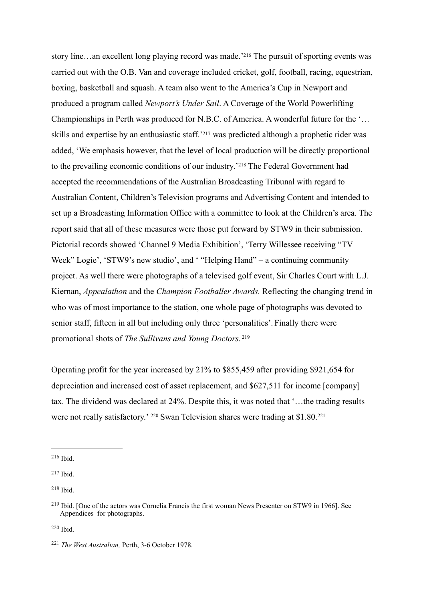story line…an excellent long playing record was made.['216](#page-47-0) The pursuit of sporting events was carried out with the O.B. Van and coverage included cricket, golf, football, racing, equestrian, boxing, basketball and squash. A team also went to the America's Cup in Newport and produced a program called *Newport's Under Sail*. A Coverage of the World Powerlifting Championships in Perth was produced for N.B.C. of America. A wonderful future for the '… skills and expertise by an enthusiastic staff.['217](#page-47-1) was predicted although a prophetic rider was added, 'We emphasis however, that the level of local production will be directly proportional to the prevailing economic conditions of our industry.'[218](#page-47-2) The Federal Government had accepted the recommendations of the Australian Broadcasting Tribunal with regard to Australian Content, Children's Television programs and Advertising Content and intended to set up a Broadcasting Information Office with a committee to look at the Children's area. The report said that all of these measures were those put forward by STW9 in their submission. Pictorial records showed 'Channel 9 Media Exhibition', 'Terry Willessee receiving "TV Week" Logie', 'STW9's new studio', and ' "Helping Hand" – a continuing community project. As well there were photographs of a televised golf event, Sir Charles Court with L.J. Kiernan, *Appealathon* and the *Champion Footballer Awards.* Reflecting the changing trend in who was of most importance to the station, one whole page of photographs was devoted to senior staff, fifteen in all but including only three 'personalities'. Finally there were promotional shots of *The Sullivans and Young Doctors.* [219](#page-47-3)

Operating profit for the year increased by 21% to \$855,459 after providing \$921,654 for depreciation and increased cost of asset replacement, and \$627,511 for income [company] tax. The dividend was declared at 24%. Despite this, it was noted that '…the trading results were not really satisfactory.' [220](#page-47-4) Swan Television shares were trading at \$1.80.[221](#page-47-5)

<span id="page-47-2"></span>218 Ibid.

<span id="page-47-4"></span>220 Ibid.

<span id="page-47-0"></span><sup>216</sup> Ibid.

<span id="page-47-1"></span> $217$  Ibid.

<span id="page-47-3"></span><sup>219</sup> Ibid. [One of the actors was Cornelia Francis the first woman News Presenter on STW9 in 1966]. See Appendices for photographs.

<span id="page-47-5"></span><sup>221</sup> *The West Australian,* Perth, 3-6 October 1978.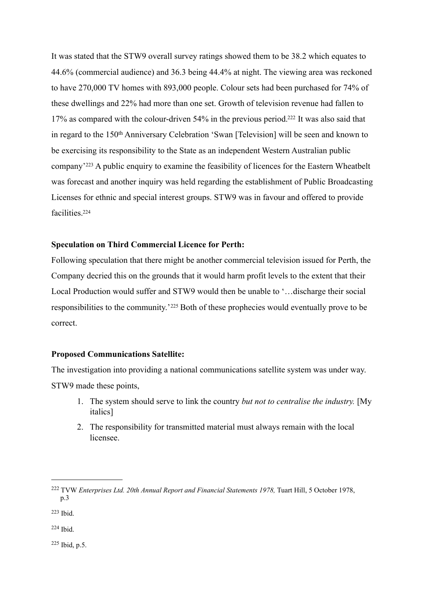It was stated that the STW9 overall survey ratings showed them to be 38.2 which equates to 44.6% (commercial audience) and 36.3 being 44.4% at night. The viewing area was reckoned to have 270,000 TV homes with 893,000 people. Colour sets had been purchased for 74% of these dwellings and 22% had more than one set. Growth of television revenue had fallen to 17% as compared with the colour-driven 54% in the previous period[.222](#page-48-0) It was also said that in regard to the 150<sup>th</sup> Anniversary Celebration 'Swan [Television] will be seen and known to be exercising its responsibility to the State as an independent Western Australian public company'[223](#page-48-1) A public enquiry to examine the feasibility of licences for the Eastern Wheatbelt was forecast and another inquiry was held regarding the establishment of Public Broadcasting Licenses for ethnic and special interest groups. STW9 was in favour and offered to provide facilities[.224](#page-48-2)

### **Speculation on Third Commercial Licence for Perth:**

Following speculation that there might be another commercial television issued for Perth, the Company decried this on the grounds that it would harm profit levels to the extent that their Local Production would suffer and STW9 would then be unable to '…discharge their social responsibilities to the community.'[225](#page-48-3) Both of these prophecies would eventually prove to be correct.

### **Proposed Communications Satellite:**

The investigation into providing a national communications satellite system was under way. STW9 made these points,

- 1. The system should serve to link the country *but not to centralise the industry.* [My italics]
- 2. The responsibility for transmitted material must always remain with the local licensee.

<span id="page-48-2"></span>224 Ibid.

<span id="page-48-3"></span> $225$  Ibid, p.5.

<span id="page-48-0"></span><sup>222</sup> TVW *Enterprises Ltd. 20th Annual Report and Financial Statements 1978,* Tuart Hill, 5 October 1978, p.3

<span id="page-48-1"></span><sup>223</sup> Ibid.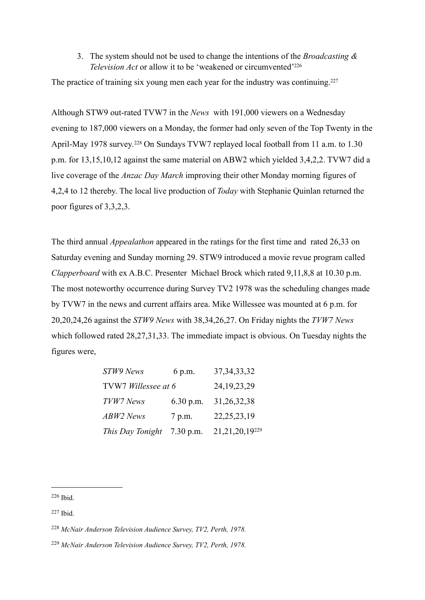# 3. The system should not be used to change the intentions of the *Broadcasting & Television Act* or allow it to be 'weakened or circumvented['226](#page-49-0)

The practice of training six young men each year for the industry was continuing.<sup>227</sup>

Although STW9 out-rated TVW7 in the *News* with 191,000 viewers on a Wednesday evening to 187,000 viewers on a Monday, the former had only seven of the Top Twenty in the April-May 1978 survey.<sup>228</sup> On Sundays TVW7 replayed local football from 11 a.m. to 1.30 p.m. for 13,15,10,12 against the same material on ABW2 which yielded 3,4,2,2. TVW7 did a live coverage of the *Anzac Day March* improving their other Monday morning figures of 4,2,4 to 12 thereby. The local live production of *Today* with Stephanie Quinlan returned the poor figures of 3,3,2,3.

The third annual *Appealathon* appeared in the ratings for the first time and rated 26,33 on Saturday evening and Sunday morning 29. STW9 introduced a movie revue program called *Clapperboard* with ex A.B.C. Presenter Michael Brock which rated 9,11,8,8 at 10.30 p.m. The most noteworthy occurrence during Survey TV2 1978 was the scheduling changes made by TVW7 in the news and current affairs area. Mike Willessee was mounted at 6 p.m. for 20,20,24,26 against the *STW9 News* with 38,34,26,27. On Friday nights the *TVW7 News*  which followed rated 28,27,31,33. The immediate impact is obvious. On Tuesday nights the figures were,

| STW9 News                  | 6 p.m.      | 37, 34, 33, 32    |
|----------------------------|-------------|-------------------|
| TVW7 Willessee at 6        |             | 24, 19, 23, 29    |
| TVW7 News                  | $6.30$ p.m. | 31,26,32,38       |
| ABW2 News                  | 7 p.m.      | 22, 25, 23, 19    |
| This Day Tonight 7.30 p.m. |             | 21, 21, 20, 19229 |

<span id="page-49-0"></span>226 Ibid.

<span id="page-49-1"></span><sup>227</sup> Ibid.

<span id="page-49-2"></span><sup>228</sup> *McNair Anderson Television Audience Survey, TV2, Perth, 1978.*

<span id="page-49-3"></span><sup>229</sup> *McNair Anderson Television Audience Survey, TV2, Perth, 1978.*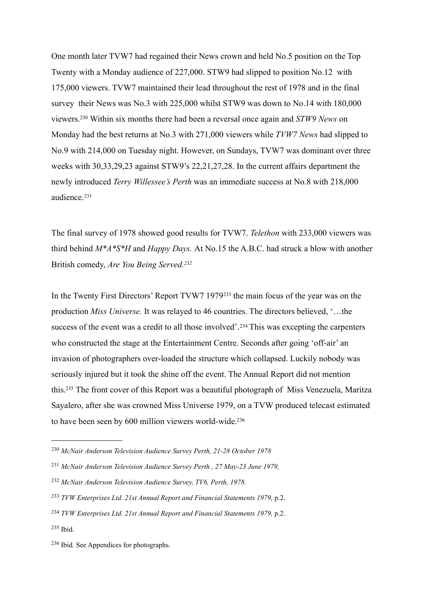One month later TVW7 had regained their News crown and held No.5 position on the Top Twenty with a Monday audience of 227,000. STW9 had slipped to position No.12 with 175,000 viewers. TVW7 maintained their lead throughout the rest of 1978 and in the final survey their News was No.3 with 225,000 whilst STW9 was down to No.14 with 180,000 viewers[.230](#page-50-0) Within six months there had been a reversal once again and *STW9 News* on Monday had the best returns at No.3 with 271,000 viewers while *TVW7 News* had slipped to No.9 with 214,000 on Tuesday night. However, on Sundays, TVW7 was dominant over three weeks with 30,33,29,23 against STW9's 22,21,27,28. In the current affairs department the newly introduced *Terry Willessee's Perth* was an immediate success at No.8 with 218,000 audience.[231](#page-50-1)

The final survey of 1978 showed good results for TVW7. *Telethon* with 233,000 viewers was third behind *M\*A\*S\*H* and *Happy Days.* At No.15 the A.B.C. had struck a blow with another British comedy, *Are You Being Served.[232](#page-50-2)*

In the Twenty First Directors' Report TVW7 1979[233](#page-50-3) the main focus of the year was on the production *Miss Universe.* It was relayed to 46 countries. The directors believed, '…the success of the event was a credit to all those involved'.<sup>234</sup> This was excepting the carpenters who constructed the stage at the Entertainment Centre. Seconds after going 'off-air' an invasion of photographers over-loaded the structure which collapsed. Luckily nobody was seriously injured but it took the shine off the event. The Annual Report did not mention this[.235](#page-50-5) The front cover of this Report was a beautiful photograph of Miss Venezuela, Maritza Sayalero, after she was crowned Miss Universe 1979, on a TVW produced telecast estimated to have been seen by 600 million viewers world-wide[.236](#page-50-6)

- <span id="page-50-2"></span><sup>232</sup> *McNair Anderson Television Audience Survey, TV6, Perth, 1978.*
- <span id="page-50-3"></span><sup>233</sup> *TVW Enterprises Ltd. 21st Annual Report and Financial Statements 1979,* p.2.
- <span id="page-50-4"></span><sup>234</sup> *TVW Enterprises Ltd. 21st Annual Report and Financial Statements 1979,* p.2.

<span id="page-50-5"></span>235 Ibid.

<span id="page-50-0"></span><sup>230</sup> *McNair Anderson Television Audience Survey Perth, 21-28 October 1978*

<span id="page-50-1"></span><sup>231</sup> *McNair Anderson Television Audience Survey Perth , 27 May-23 June 1979,*

<span id="page-50-6"></span><sup>236</sup> Ibid. See Appendices for photographs.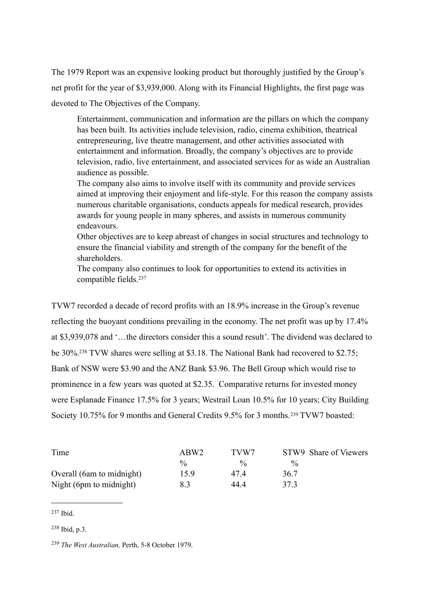The 1979 Report was an expensive looking product but thoroughly justified by the Group's net profit for the year of \$3,939,000. Along with its Financial Highlights, the first page was devoted to The Objectives of the Company.

Entertainment, communication and information are the pillars on which the company has been built. Its activities include television, radio, cinema exhibition, theatrical entrepreneuring, live theatre management, and other activities associated with entertainment and information. Broadly, the company's objectives are to provide television, radio, live entertainment, and associated services for as wide an Australian audience as possible.

The company also aims to involve itself with its community and provide services aimed at improving their enjoyment and life-style. For this reason the company assists numerous charitable organisations, conducts appeals for medical research, provides awards for young people in many spheres, and assists in numerous community endeavours.

Other objectives are to keep abreast of changes in social structures and technology to ensure the financial viability and strength of the company for the benefit of the shareholders.

The company also continues to look for opportunities to extend its activities in compatible fields.[237](#page-51-0)

TVW7 recorded a decade of record profits with an 18.9% increase in the Group's revenue reflecting the buoyant conditions prevailing in the economy. The net profit was up by 17.4% at \$3,939,078 and '…the directors consider this a sound result'. The dividend was declared to be 30%[.238](#page-51-1) TVW shares were selling at \$3.18. The National Bank had recovered to \$2.75; Bank of NSW were \$3.90 and the ANZ Bank \$3.96. The Bell Group which would rise to prominence in a few years was quoted at \$2.35. Comparative returns for invested money were Esplanade Finance 17.5% for 3 years; Westrail Loan 10.5% for 10 years; City Building Society 10.75% for 9 months and General Credits 9.5% for 3 months.[239](#page-51-2) TVW7 boasted:

| Time                      | ABW <sub>2</sub> | TVW7          | STW9 Share of Viewers |
|---------------------------|------------------|---------------|-----------------------|
|                           | $\frac{0}{0}$    | $\frac{0}{0}$ | $\frac{0}{0}$         |
| Overall (6am to midnight) | 15.9             | 474           | 36.7                  |
| Night (6pm to midnight)   | 8.3              | 44 4          | 373                   |

<span id="page-51-0"></span><sup>237</sup> Ibid.

<span id="page-51-1"></span><sup>238</sup> Ibid, p.3.

<span id="page-51-2"></span><sup>239</sup> *The West Australian,* Perth, 5-8 October 1979.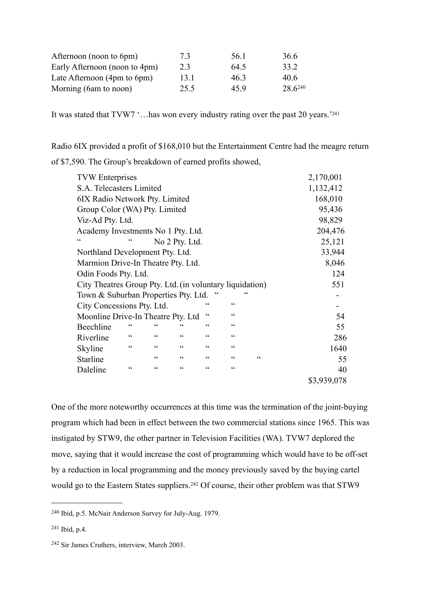| Afternoon (noon to 6pm)       | 7.3  | 56 1 | 36.6    |
|-------------------------------|------|------|---------|
| Early Afternoon (noon to 4pm) | 2.3  | 64.5 | 33 2    |
| Late Afternoon (4pm to 6pm)   | 13.1 | 463  | 40.6    |
| Morning (6am to noon)         | 25.5 | 459  | 28 6240 |

It was stated that TVW7 '... has won every industry rating over the past 20 years.<sup>['241](#page-52-1)</sup>

Radio 6IX provided a profit of \$168,010 but the Entertainment Centre had the meagre return of \$7,590. The Group's breakdown of earned profits showed,

|    | <b>TVW</b> Enterprises                                   |            |                 |                |                 |                 |   | 2,170,001   |
|----|----------------------------------------------------------|------------|-----------------|----------------|-----------------|-----------------|---|-------------|
|    | S.A. Telecasters Limited                                 |            |                 |                |                 |                 |   | 1,132,412   |
|    | 6IX Radio Network Pty. Limited                           |            |                 |                |                 |                 |   | 168,010     |
|    | Group Color (WA) Pty. Limited                            |            |                 |                |                 |                 |   | 95,436      |
|    | Viz-Ad Pty. Ltd.                                         |            |                 |                |                 |                 |   | 98,829      |
|    | Academy Investments No 1 Pty. Ltd.                       |            |                 |                |                 |                 |   | 204,476     |
| cc |                                                          | $\epsilon$ |                 | No 2 Pty. Ltd. |                 |                 |   | 25,121      |
|    | Northland Development Pty. Ltd.                          |            |                 |                |                 |                 |   | 33,944      |
|    | Marmion Drive-In Theatre Pty. Ltd.                       |            |                 |                |                 |                 |   | 8,046       |
|    | Odin Foods Pty. Ltd.                                     |            |                 |                |                 |                 |   | 124         |
|    | City Theatres Group Pty. Ltd. (in voluntary liquidation) |            |                 |                |                 |                 |   | 551         |
|    | Town & Suburban Properties Pty. Ltd.                     |            |                 |                |                 | ۷Ç              |   |             |
|    | City Concessions Pty. Ltd.                               |            |                 |                | cc              | cc              |   |             |
|    | Moonline Drive-In Theatre Pty. Ltd                       |            |                 |                | cc              | $\zeta\,\zeta$  |   | 54          |
|    | Beechline                                                | $\epsilon$ | C               | ረረ             | cc              | $\zeta$ $\zeta$ |   | 55          |
|    | Riverline                                                | cc         | $\zeta\,\zeta$  | cc             | cc              | $\zeta\,\zeta$  |   | 286         |
|    | Skyline                                                  | cc         | cc              | cc             | cc              | cc              |   | 1640        |
|    | Starline                                                 |            | cc              | cc             | $\zeta\,\zeta$  | $\zeta\,\zeta$  | C | 55          |
|    | Daleline                                                 | C C        | $\zeta$ $\zeta$ | cc             | $\zeta$ $\zeta$ | $\zeta\,\zeta$  |   | 40          |
|    |                                                          |            |                 |                |                 |                 |   | \$3,939,078 |
|    |                                                          |            |                 |                |                 |                 |   |             |

One of the more noteworthy occurrences at this time was the termination of the joint-buying program which had been in effect between the two commercial stations since 1965. This was instigated by STW9, the other partner in Television Facilities (WA). TVW7 deplored the move, saying that it would increase the cost of programming which would have to be off-set by a reduction in local programming and the money previously saved by the buying cartel would go to the Eastern States suppliers.<sup>242</sup> Of course, their other problem was that STW9

<span id="page-52-0"></span><sup>240</sup> Ibid, p.5. McNair Anderson Survey for July-Aug. 1979.

<span id="page-52-1"></span><sup>241</sup> Ibid, p.4.

<span id="page-52-2"></span><sup>242</sup> Sir James Cruthers, interview, March 2003.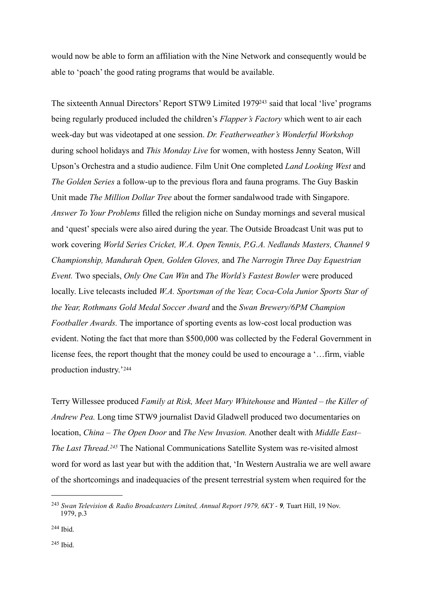would now be able to form an affiliation with the Nine Network and consequently would be able to 'poach' the good rating programs that would be available.

The sixteenth Annual Directors' Report STW9 Limited 197[9243](#page-53-0) said that local 'live' programs being regularly produced included the children's *Flapper's Factory* which went to air each week-day but was videotaped at one session. *Dr. Featherweather's Wonderful Workshop*  during school holidays and *This Monday Live* for women, with hostess Jenny Seaton, Will Upson's Orchestra and a studio audience. Film Unit One completed *Land Looking West* and *The Golden Series* a follow-up to the previous flora and fauna programs. The Guy Baskin Unit made *The Million Dollar Tree* about the former sandalwood trade with Singapore. *Answer To Your Problems* filled the religion niche on Sunday mornings and several musical and 'quest' specials were also aired during the year. The Outside Broadcast Unit was put to work covering *World Series Cricket, W.A. Open Tennis, P.G.A. Nedlands Masters, Channel 9 Championship, Mandurah Open, Golden Gloves,* and *The Narrogin Three Day Equestrian Event.* Two specials, *Only One Can Win* and *The World's Fastest Bowler* were produced locally. Live telecasts included *W.A. Sportsman of the Year, Coca-Cola Junior Sports Star of the Year, Rothmans Gold Medal Soccer Award* and the *Swan Brewery/6PM Champion Footballer Awards.* The importance of sporting events as low-cost local production was evident. Noting the fact that more than \$500,000 was collected by the Federal Government in license fees, the report thought that the money could be used to encourage a '…firm, viable production industry.'[244](#page-53-1)

Terry Willessee produced *Family at Risk, Meet Mary Whitehouse* and *Wanted – the Killer of Andrew Pea.* Long time STW9 journalist David Gladwell produced two documentaries on location, *China – The Open Door* and *The New Invasion.* Another dealt with *Middle East– The Last Thread.[245](#page-53-2)* The National Communications Satellite System was re-visited almost word for word as last year but with the addition that, 'In Western Australia we are well aware of the shortcomings and inadequacies of the present terrestrial system when required for the

<span id="page-53-0"></span><sup>243</sup> *Swan Television & Radio Broadcasters Limited, Annual Report 1979, 6KY - 9,* Tuart Hill, 19 Nov. 1979, p.3

<span id="page-53-2"></span><span id="page-53-1"></span><sup>244</sup> Ibid.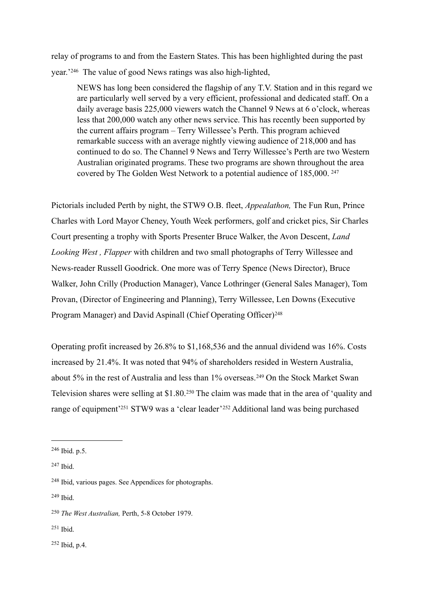relay of programs to and from the Eastern States. This has been highlighted during the past year.'[246](#page-54-0) The value of good News ratings was also high-lighted,

NEWS has long been considered the flagship of any T.V. Station and in this regard we are particularly well served by a very efficient, professional and dedicated staff. On a daily average basis 225,000 viewers watch the Channel 9 News at 6 o'clock, whereas less that 200,000 watch any other news service. This has recently been supported by the current affairs program – Terry Willessee's Perth. This program achieved remarkable success with an average nightly viewing audience of 218,000 and has continued to do so. The Channel 9 News and Terry Willessee's Perth are two Western Australian originated programs. These two programs are shown throughout the area covered by The Golden West Network to a potential audience of 185,000. [247](#page-54-1)

Pictorials included Perth by night, the STW9 O.B. fleet, *Appealathon,* The Fun Run, Prince Charles with Lord Mayor Cheney, Youth Week performers, golf and cricket pics, Sir Charles Court presenting a trophy with Sports Presenter Bruce Walker, the Avon Descent, *Land Looking West , Flapper* with children and two small photographs of Terry Willessee and News-reader Russell Goodrick. One more was of Terry Spence (News Director), Bruce Walker, John Crilly (Production Manager), Vance Lothringer (General Sales Manager), Tom Provan, (Director of Engineering and Planning), Terry Willessee, Len Downs (Executive Program Manager) and David Aspinall (Chief Operating Officer)<sup>[248](#page-54-2)</sup>

Operating profit increased by 26.8% to \$1,168,536 and the annual dividend was 16%. Costs increased by 21.4%. It was noted that 94% of shareholders resided in Western Australia, about 5% in the rest of Australia and less than 1% overseas.<sup>249</sup> On the Stock Market Swan Television shares were selling at \$1.80.[250](#page-54-4) The claim was made that in the area of 'quality and range of equipment<sup>['251](#page-54-5)</sup> STW9 was a 'clear leader'<sup>252</sup> Additional land was being purchased

<span id="page-54-3"></span>249 Ibid.

<span id="page-54-5"></span> $251$  Ibid.

<span id="page-54-6"></span>252 Ibid, p.4.

<span id="page-54-0"></span> $246$  Ibid. p. 5.

<span id="page-54-1"></span><sup>247</sup> Ibid.

<span id="page-54-2"></span><sup>248</sup> Ibid, various pages. See Appendices for photographs.

<span id="page-54-4"></span><sup>250</sup> *The West Australian,* Perth, 5-8 October 1979.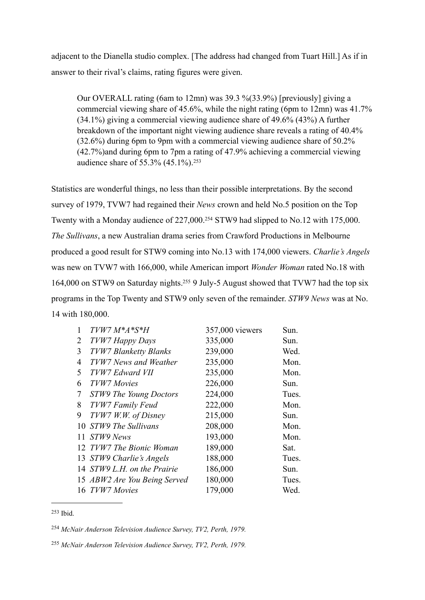adjacent to the Dianella studio complex. [The address had changed from Tuart Hill.] As if in answer to their rival's claims, rating figures were given.

Our OVERALL rating (6am to 12mn) was 39.3 %(33.9%) [previously] giving a commercial viewing share of 45.6%, while the night rating (6pm to 12mn) was  $41.7\%$ (34.1%) giving a commercial viewing audience share of 49.6% (43%) A further breakdown of the important night viewing audience share reveals a rating of 40.4% (32.6%) during 6pm to 9pm with a commercial viewing audience share of 50.2% (42.7%)and during 6pm to 7pm a rating of 47.9% achieving a commercial viewing audience share of 55.3% (45.1%).[253](#page-55-0)

Statistics are wonderful things, no less than their possible interpretations. By the second survey of 1979, TVW7 had regained their *News* crown and held No.5 position on the Top Twenty with a Monday audience of 227,000.<sup>254</sup> STW9 had slipped to No.12 with 175,000. *The Sullivans*, a new Australian drama series from Crawford Productions in Melbourne produced a good result for STW9 coming into No.13 with 174,000 viewers. *Charlie's Angels*  was new on TVW7 with 166,000, while American import *Wonder Woman* rated No.18 with 164,000 on STW9 on Saturday nights[.255](#page-55-2) 9 July-5 August showed that TVW7 had the top six programs in the Top Twenty and STW9 only seven of the remainder. *STW9 News* was at No. 14 with 180,000.

| 1   | $TWW7M*A*S*H$                | 357,000 viewers | Sun.  |
|-----|------------------------------|-----------------|-------|
| 2   | TVW7 Happy Days              | 335,000         | Sun.  |
| 3   | <b>TVW7 Blanketty Blanks</b> | 239,000         | Wed.  |
| 4   | TVW7 News and Weather        | 235,000         | Mon.  |
| 5   | TVW7 Edward VII              | 235,000         | Mon.  |
| 6   | <b>TVW7</b> Movies           | 226,000         | Sun.  |
| 7   | STW9 The Young Doctors       | 224,000         | Tues. |
| 8   | TVW7 Family Feud             | 222,000         | Mon.  |
| 9   | TVW7 W.W. of Disney          | 215,000         | Sun.  |
|     | 10 STW9 The Sullivans        | 208,000         | Mon.  |
| 11. | STW9 News                    | 193,000         | Mon.  |
|     | 12 TVW7 The Bionic Woman     | 189,000         | Sat.  |
|     | 13 STW9 Charlie's Angels     | 188,000         | Tues. |
|     | 14 STW9 L.H. on the Prairie  | 186,000         | Sun.  |
|     | 15 ABW2 Are You Being Served | 180,000         | Tues. |
|     | 16 TVW7 Movies               | 179,000         | Wed.  |

<span id="page-55-0"></span><sup>253</sup> Ibid.

<span id="page-55-1"></span><sup>254</sup> *McNair Anderson Television Audience Survey, TV2, Perth, 1979.*

<span id="page-55-2"></span><sup>255</sup> *McNair Anderson Television Audience Survey, TV2, Perth, 1979.*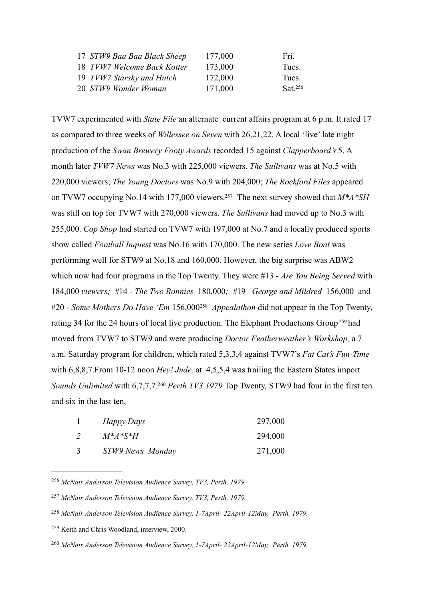| 177,000                                                                                                         | Fri.    |
|-----------------------------------------------------------------------------------------------------------------|---------|
| 173,000                                                                                                         | Tues.   |
| 172,000                                                                                                         | Tues.   |
| 171,000                                                                                                         | Sat.256 |
| 17 STW9 Baa Baa Black Sheep<br>18 TVW7 Welcome Back Kotter<br>19 TVW7 Starsky and Hutch<br>20 STW9 Wonder Woman |         |

TVW7 experimented with *State File* an alternate current affairs program at 6 p.m. It rated 17 as compared to three weeks of *Willessee on Seven* with 26,21,22. A local 'live' late night production of the *Swan Brewery Footy Awards* recorded 15 against *Clapperboard's* 5. A month later *TVW7 News* was No.3 with 225,000 viewers. *The Sullivans* was at No.5 with 220,000 viewers; *The Young Doctors* was No.9 with 204,000; *The Rockford Files* appeared on TVW7 occupying No.14 with 177,000 viewers[.257](#page-56-1) The next survey showed that *M\*A\*SH*  was still on top for TVW7 with 270,000 viewers. *The Sullivans* had moved up to No.3 with 255,000. *Cop Shop* had started on TVW7 with 197,000 at No.7 and a locally produced sports show called *Football Inquest* was No.16 with 170,000. The new series *Love Boat* was performing well for STW9 at No.18 and 160,000. However, the big surprise was ABW2 which now had four programs in the Top Twenty. They were #13 - *Are You Being Served* with 184,000 *viewers; #*14 *- The Two Ronnies* 180,000*; #*19 *George and Mildred* 156,000 and #20 - *Some Mothers Do Have 'Em* 156,000[258](#page-56-2) *Appealathon* did not appear in the Top Twenty, rating 34 for the 24 hours of local live production. The Elephant Productions Group<sup>259</sup> had moved from TVW7 to STW9 and were producing *Doctor Featherweather's Workshop,* a 7 a.m. Saturday program for children, which rated 5,3,3,4 against TVW7's *Fat Cat's Fun-Time*  with 6,8,8,7.From 10-12 noon *Hey! Jude*, at 4,5,5,4 was trailing the Eastern States import *Sounds Unlimited* with 6,7,7,7.[260](#page-56-4) *Perth TV3 1979* Top Twenty, STW9 had four in the first ten and six in the last ten,

| Happy Days       | 297,000 |
|------------------|---------|
| $M^*A^*S^*H$     | 294,000 |
| STW9 News Monday | 271,000 |

<span id="page-56-0"></span><sup>256</sup> *McNair Anderson Television Audience Survey, TV3, Perth, 1979.*

<span id="page-56-1"></span><sup>257</sup> *McNair Anderson Television Audience Survey, TV3, Perth, 1979.*

<span id="page-56-2"></span><sup>258</sup> *McNair Anderson Television Audience Survey, 1-7April- 22April-12May, Perth, 1979.*

<span id="page-56-3"></span><sup>259</sup> Keith and Chris Woodland, interview, 2000.

<span id="page-56-4"></span><sup>260</sup> *McNair Anderson Television Audience Survey, 1-7April- 22April-12May, Perth, 1979.*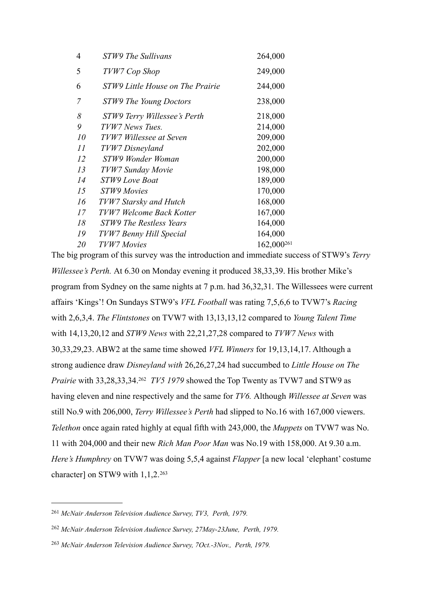| 4  | STW9 The Sullivans               | 264,000                |
|----|----------------------------------|------------------------|
| 5  | TVW7 Cop Shop                    | 249,000                |
| 6  | STW9 Little House on The Prairie | 244,000                |
| 7  | <b>STW9 The Young Doctors</b>    | 238,000                |
| 8  | STW9 Terry Willessee's Perth     | 218,000                |
| 9  | TVW7 News Tues.                  | 214,000                |
| 10 | TVW7 Willessee at Seven          | 209,000                |
| II | TVW7 Disneyland                  | 202,000                |
| 12 | STW9 Wonder Woman                | 200,000                |
| 13 | TVW7 Sunday Movie                | 198,000                |
| 14 | STW9 Love Boat                   | 189,000                |
| 15 | <b>STW9 Movies</b>               | 170,000                |
| 16 | TVW7 Starsky and Hutch           | 168,000                |
| 17 | TVW7 Welcome Back Kotter         | 167,000                |
| 18 | STW9 The Restless Years          | 164,000                |
| 19 | TVW7 Benny Hill Special          | 164,000                |
| 20 | TVW7 Movies                      | 162,000 <sup>261</sup> |
|    |                                  |                        |

The big program of this survey was the introduction and immediate success of STW9's *Terry Willessee's Perth.* At 6.30 on Monday evening it produced 38,33,39. His brother Mike's program from Sydney on the same nights at 7 p.m. had 36,32,31. The Willessees were current affairs 'Kings'! On Sundays STW9's *VFL Football* was rating 7,5,6,6 to TVW7's *Racing*  with 2,6,3,4. *The Flintstones* on TVW7 with 13,13,13,12 compared to *Young Talent Time*  with 14,13,20,12 and *STW9 News* with 22,21,27,28 compared to *TVW7 News* with 30,33,29,23. ABW2 at the same time showed *VFL Winners* for 19,13,14,17. Although a strong audience draw *Disneyland with* 26,26,27,24 had succumbed to *Little House on The Prairie* with 33,28,33,34.[262](#page-57-1) *TV5 1979* showed the Top Twenty as TVW7 and STW9 as having eleven and nine respectively and the same for *TV6.* Although *Willessee at Seven* was still No.9 with 206,000, *Terry Willessee's Perth* had slipped to No.16 with 167,000 viewers. *Telethon* once again rated highly at equal fifth with 243,000, the *Muppets* on TVW7 was No. 11 with 204,000 and their new *Rich Man Poor Man* was No.19 with 158,000. At 9.30 a.m. *Here's Humphrey* on TVW7 was doing 5,5,4 against *Flapper* [a new local 'elephant' costume character] on STW9 with 1,1,2.<sup>[263](#page-57-2)</sup>

<span id="page-57-0"></span><sup>261</sup> *McNair Anderson Television Audience Survey, TV3, Perth, 1979.*

<span id="page-57-1"></span><sup>262</sup> *McNair Anderson Television Audience Survey, 27May-23June, Perth, 1979.*

<span id="page-57-2"></span><sup>263</sup> *McNair Anderson Television Audience Survey, 7Oct.-3Nov., Perth, 1979.*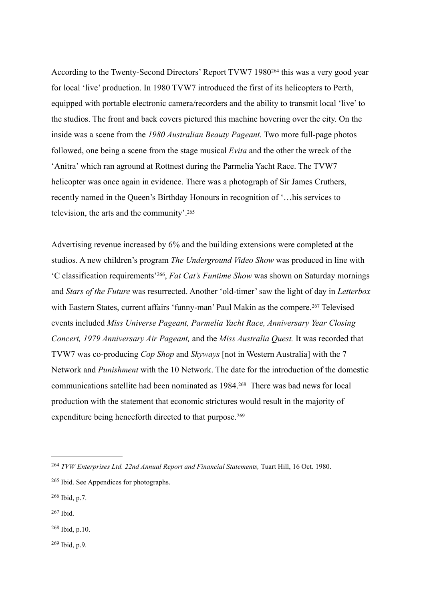According to the Twenty-Second Directors' Report TVW7 198[0264](#page-58-0) this was a very good year for local 'live' production. In 1980 TVW7 introduced the first of its helicopters to Perth, equipped with portable electronic camera/recorders and the ability to transmit local 'live' to the studios. The front and back covers pictured this machine hovering over the city. On the inside was a scene from the *1980 Australian Beauty Pageant.* Two more full-page photos followed, one being a scene from the stage musical *Evita* and the other the wreck of the 'Anitra' which ran aground at Rottnest during the Parmelia Yacht Race. The TVW7 helicopter was once again in evidence. There was a photograph of Sir James Cruthers, recently named in the Queen's Birthday Honours in recognition of '…his services to television, the arts and the community'[.265](#page-58-1)

Advertising revenue increased by 6% and the building extensions were completed at the studios. A new children's program *The Underground Video Show* was produced in line with 'C classification requirements'[266,](#page-58-2) *Fat Cat's Funtime Show* was shown on Saturday mornings and *Stars of the Future* was resurrected. Another 'old-timer' saw the light of day in *Letterbox*  with Eastern States, current affairs 'funny-man' Paul Makin as the compere.<sup>267</sup> Televised events included *Miss Universe Pageant, Parmelia Yacht Race, Anniversary Year Closing Concert, 1979 Anniversary Air Pageant,* and the *Miss Australia Quest.* It was recorded that TVW7 was co-producing *Cop Shop* and *Skyways* [not in Western Australia] with the 7 Network and *Punishment* with the 10 Network. The date for the introduction of the domestic communications satellite had been nominated as 1984[.268](#page-58-4) There was bad news for local production with the statement that economic strictures would result in the majority of expenditure being henceforth directed to that purpose.<sup>[269](#page-58-5)</sup>

- <span id="page-58-2"></span>266 Ibid, p.7.
- <span id="page-58-3"></span>267 Ibid.
- <span id="page-58-4"></span>268 Ibid, p.10.
- <span id="page-58-5"></span> $269$  Ibid, p.9.

<span id="page-58-0"></span><sup>264</sup> *TVW Enterprises Ltd. 22nd Annual Report and Financial Statements,* Tuart Hill, 16 Oct. 1980.

<span id="page-58-1"></span><sup>265</sup> Ibid. See Appendices for photographs.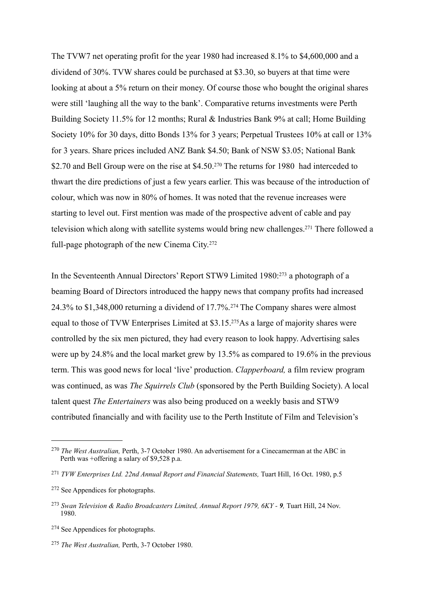The TVW7 net operating profit for the year 1980 had increased 8.1% to \$4,600,000 and a dividend of 30%. TVW shares could be purchased at \$3.30, so buyers at that time were looking at about a 5% return on their money. Of course those who bought the original shares were still 'laughing all the way to the bank'. Comparative returns investments were Perth Building Society 11.5% for 12 months; Rural & Industries Bank 9% at call; Home Building Society 10% for 30 days, ditto Bonds 13% for 3 years; Perpetual Trustees 10% at call or 13% for 3 years. Share prices included ANZ Bank \$4.50; Bank of NSW \$3.05; National Bank \$2.70 and Bell Group were on the rise at \$4.50.<sup>270</sup> The returns for 1980 had interceded to thwart the dire predictions of just a few years earlier. This was because of the introduction of colour, which was now in 80% of homes. It was noted that the revenue increases were starting to level out. First mention was made of the prospective advent of cable and pay television which along with satellite systems would bring new challenges[.271](#page-59-1) There followed a full-page photograph of the new Cinema City.[272](#page-59-2)

In the Seventeenth Annual Directors' Report STW9 Limited 1980[:273](#page-59-3) a photograph of a beaming Board of Directors introduced the happy news that company profits had increased 24.3% to \$1,348,000 returning a dividend of 17.7%.[274](#page-59-4) The Company shares were almost equal to those of TVW Enterprises Limited at \$3.15[.275](#page-59-5)As a large of majority shares were controlled by the six men pictured, they had every reason to look happy. Advertising sales were up by 24.8% and the local market grew by 13.5% as compared to 19.6% in the previous term. This was good news for local 'live' production. *Clapperboard,* a film review program was continued, as was *The Squirrels Club* (sponsored by the Perth Building Society). A local talent quest *The Entertainers* was also being produced on a weekly basis and STW9 contributed financially and with facility use to the Perth Institute of Film and Television's

<span id="page-59-0"></span><sup>270</sup> *The West Australian,* Perth, 3-7 October 1980. An advertisement for a Cinecamerman at the ABC in Perth was +offering a salary of \$9,528 p.a.

<span id="page-59-1"></span><sup>&</sup>lt;sup>271</sup> *TVW Enterprises Ltd. 22nd Annual Report and Financial Statements, Tuart Hill, 16 Oct. 1980, p.5* 

<span id="page-59-2"></span><sup>272</sup> See Appendices for photographs.

<span id="page-59-3"></span><sup>273</sup> *Swan Television & Radio Broadcasters Limited, Annual Report 1979, 6KY - 9,* Tuart Hill, 24 Nov. 1980.

<span id="page-59-4"></span><sup>274</sup> See Appendices for photographs.

<span id="page-59-5"></span><sup>275</sup> *The West Australian,* Perth, 3-7 October 1980.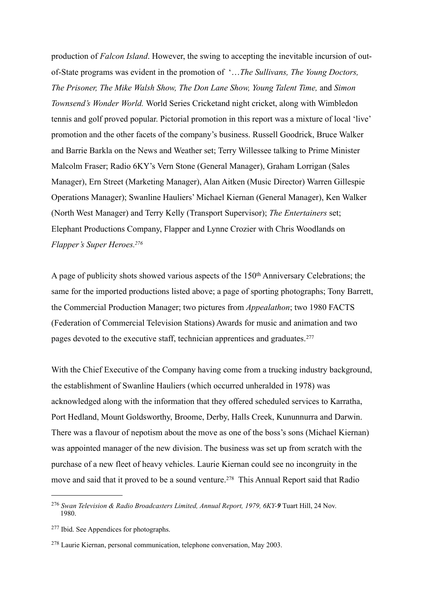production of *Falcon Island*. However, the swing to accepting the inevitable incursion of outof-State programs was evident in the promotion of '…*The Sullivans, The Young Doctors, The Prisoner, The Mike Walsh Show, The Don Lane Show, Young Talent Time,* and *Simon Townsend's Wonder World.* World Series Cricketand night cricket, along with Wimbledon tennis and golf proved popular. Pictorial promotion in this report was a mixture of local 'live' promotion and the other facets of the company's business. Russell Goodrick, Bruce Walker and Barrie Barkla on the News and Weather set; Terry Willessee talking to Prime Minister Malcolm Fraser; Radio 6KY's Vern Stone (General Manager), Graham Lorrigan (Sales Manager), Ern Street (Marketing Manager), Alan Aitken (Music Director) Warren Gillespie Operations Manager); Swanline Hauliers' Michael Kiernan (General Manager), Ken Walker (North West Manager) and Terry Kelly (Transport Supervisor); *The Entertainers* set; Elephant Productions Company, Flapper and Lynne Crozier with Chris Woodlands on *Flapper's Super Heroes[.276](#page-60-0)*

A page of publicity shots showed various aspects of the 150th Anniversary Celebrations; the same for the imported productions listed above; a page of sporting photographs; Tony Barrett, the Commercial Production Manager; two pictures from *Appealathon*; two 1980 FACTS (Federation of Commercial Television Stations) Awards for music and animation and two pages devoted to the executive staff, technician apprentices and graduates.[277](#page-60-1)

With the Chief Executive of the Company having come from a trucking industry background, the establishment of Swanline Hauliers (which occurred unheralded in 1978) was acknowledged along with the information that they offered scheduled services to Karratha, Port Hedland, Mount Goldsworthy, Broome, Derby, Halls Creek, Kununnurra and Darwin. There was a flavour of nepotism about the move as one of the boss's sons (Michael Kiernan) was appointed manager of the new division. The business was set up from scratch with the purchase of a new fleet of heavy vehicles. Laurie Kiernan could see no incongruity in the move and said that it proved to be a sound venture.<sup>[278](#page-60-2)</sup> This Annual Report said that Radio

<span id="page-60-0"></span><sup>276</sup> *Swan Television & Radio Broadcasters Limited, Annual Report, 1979, 6KY-9* Tuart Hill, 24 Nov. 1980.

<span id="page-60-1"></span><sup>277</sup> Ibid. See Appendices for photographs.

<span id="page-60-2"></span><sup>278</sup> Laurie Kiernan, personal communication, telephone conversation, May 2003.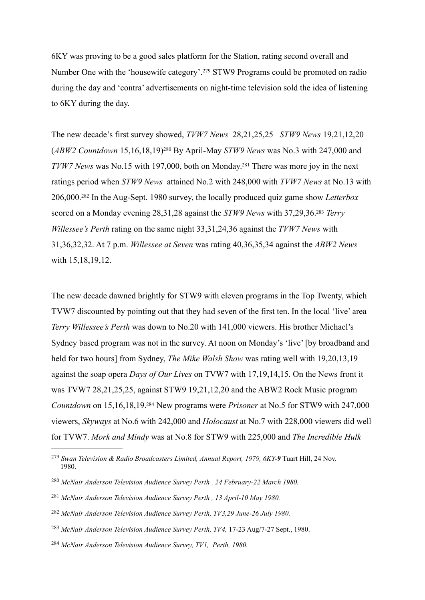6KY was proving to be a good sales platform for the Station, rating second overall and Number One with the 'housewife category'.[279](#page-61-0) STW9 Programs could be promoted on radio during the day and 'contra' advertisements on night-time television sold the idea of listening to 6KY during the day.

The new decade's first survey showed, *TVW7 News* 28,21,25,25 *STW9 News* 19,21,12,20 (*ABW2 Countdown* 15,16,18,19)[280](#page-61-1) By April-May *STW9 News* was No.3 with 247,000 and *TVW7 News* was No.15 with 197,000, both on Monday[.281](#page-61-2) There was more joy in the next ratings period when *STW9 News* attained No.2 with 248,000 with *TVW7 News* at No.13 with 206,000.[282](#page-61-3) In the Aug-Sept. 1980 survey, the locally produced quiz game show *Letterbox*  scored on a Monday evening 28,31,28 against the *STW9 News* with 37,29,36[.283](#page-61-4) *Terry Willessee's Perth* rating on the same night 33,31,24,36 against the *TVW7 News* with 31,36,32,32. At 7 p.m. *Willessee at Seven* was rating 40,36,35,34 against the *ABW2 News*  with  $15,18,19,12$ .

The new decade dawned brightly for STW9 with eleven programs in the Top Twenty, which TVW7 discounted by pointing out that they had seven of the first ten. In the local 'live' area *Terry Willessee's Perth* was down to No.20 with 141,000 viewers. His brother Michael's Sydney based program was not in the survey. At noon on Monday's 'live' [by broadband and held for two hours] from Sydney, *The Mike Walsh Show* was rating well with 19,20,13,19 against the soap opera *Days of Our Lives* on TVW7 with 17,19,14,15. On the News front it was TVW7 28,21,25,25, against STW9 19,21,12,20 and the ABW2 Rock Music program *Countdown* on 15,16,18,19[.284](#page-61-5) New programs were *Prisoner* at No.5 for STW9 with 247,000 viewers, *Skyways* at No.6 with 242,000 and *Holocaust* at No.7 with 228,000 viewers did well for TVW7. *Mork and Mindy* was at No.8 for STW9 with 225,000 and *The Incredible Hulk* 

- <span id="page-61-2"></span><sup>281</sup> *McNair Anderson Television Audience Survey Perth , 13 April-10 May 1980.*
- <span id="page-61-3"></span><sup>282</sup> *McNair Anderson Television Audience Survey Perth, TV3,29 June-26 July 1980.*
- <span id="page-61-4"></span><sup>283</sup> *McNair Anderson Television Audience Survey Perth, TV4,* 17-23 Aug/7-27 Sept., 1980.
- <span id="page-61-5"></span><sup>284</sup> *McNair Anderson Television Audience Survey, TV1, Perth, 1980.*

<span id="page-61-0"></span><sup>279</sup> *Swan Television & Radio Broadcasters Limited, Annual Report, 1979, 6KY-9* Tuart Hill, 24 Nov. 1980.

<span id="page-61-1"></span><sup>280</sup> *McNair Anderson Television Audience Survey Perth , 24 February-22 March 1980.*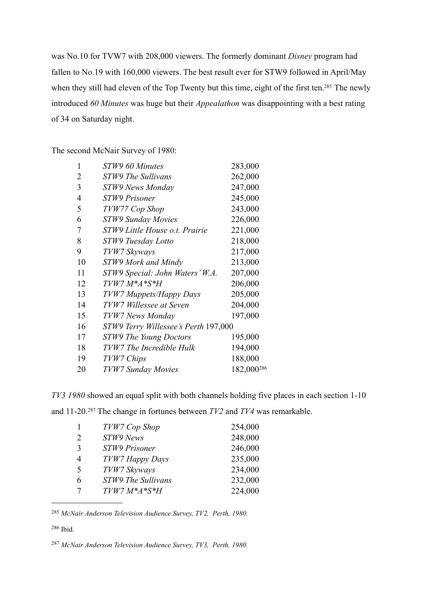was No.10 for TVW7 with 208,000 viewers. The formerly dominant *Disney* program had fallen to No.19 with 160,000 viewers. The best result ever for STW9 followed in April/May when they still had eleven of the Top Twenty but this time, eight of the first ten.<sup>285</sup> The newly introduced *60 Minutes* was huge but their *Appealathon* was disappointing with a best rating of 34 on Saturday night.

The second McNair Survey of 1980:

| 1              | STW9 60 Minutes                      | 283,000                |
|----------------|--------------------------------------|------------------------|
| 2              | STW9 The Sullivans                   | 262,000                |
| 3              | STW9 News Monday                     | 247,000                |
| $\overline{4}$ | <b>STW9 Prisoner</b>                 | 245,000                |
| 5              | TVW77 Cop Shop                       | 243,000                |
| 6              | <b>STW9 Sunday Movies</b>            | 226,000                |
| 7              | STW9 Little House o.t. Prairie       | 221,000                |
| 8              | STW9 Tuesday Lotto                   | 218,000                |
| 9              | TVW7 Skyways                         | 217,000                |
| 10             | STW9 Mork and Mindy                  | 213,000                |
| 11             | STW9 Special: John Waters' W.A.      | 207,000                |
| 12             | $TWW7M*A*S*H$                        | 206,000                |
| 13             | TVW7 Muppets/Happy Days              | 205,000                |
| 14             | TVW7 Willessee at Seven              | 204,000                |
| 15             | TVW7 News Monday                     | 197,000                |
| 16             | STW9 Terry Willessee's Perth 197,000 |                        |
| 17             | <b>STW9 The Young Doctors</b>        | 195,000                |
| 18             | TVW7 The Incredible Hulk             | 194,000                |
| 19             | TVW7 Chips                           | 188,000                |
| 20             | <b>TVW7 Sunday Movies</b>            | 182,000 <sup>286</sup> |

*TV3 1980* showed an equal split with both channels holding five places in each section 1-10

and 11-20.[287](#page-62-2) The change in fortunes between *TV2* and *TV4* was remarkable.

|                          | TVW7 Cop Shop        | 254,000 |
|--------------------------|----------------------|---------|
| $\mathcal{L}$            | STW9 News            | 248,000 |
| 3                        | <b>STW9 Prisoner</b> | 246,000 |
| 4                        | TVW7 Happy Days      | 235,000 |
| $\overline{\mathcal{L}}$ | TVW7 Skyways         | 234,000 |
| 6                        | STW9 The Sullivans   | 232,000 |
|                          | $TWW7M*A*S*H$        | 224,000 |

<span id="page-62-0"></span>*McNair Anderson Television Audience Survey, TV2, Perth, 1980.*

<span id="page-62-1"></span>286 Ibid.

<span id="page-62-2"></span>*McNair Anderson Television Audience Survey, TV3, Perth, 1980.*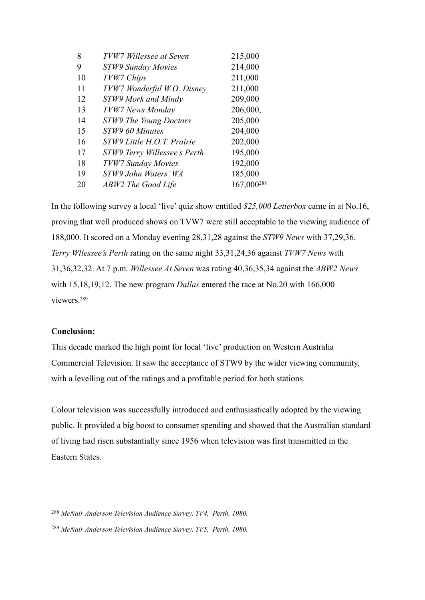| TVW7 Willessee at Seven      | 215,000                |
|------------------------------|------------------------|
| STW9 Sunday Movies           | 214,000                |
| TVW7 Chips                   | 211,000                |
| TVW7 Wonderful W.O. Disney   | 211,000                |
| STW9 Mork and Mindy          | 209,000                |
| TVW7 News Monday             | 206,000,               |
| STW9 The Young Doctors       | 205,000                |
| STW9 60 Minutes              | 204,000                |
| STW9 Little H.O.T. Prairie   | 202,000                |
| STW9 Terry Willessee's Perth | 195,000                |
| TVW7 Sunday Movies           | 192,000                |
| STW9 John Waters' WA         | 185,000                |
| ABW2 The Good Life           | 167,000 <sup>288</sup> |
|                              |                        |

In the following survey a local 'live' quiz show entitled *\$25,000 Letterbox* came in at No.16, proving that well produced shows on TVW7 were still acceptable to the viewing audience of 188,000. It scored on a Monday evening 28,31,28 against the *STW9 News* with 37,29,36. *Terry Wllessee's Perth* rating on the same night 33,31,24,36 against *TVW7 News* with 31,36,32,32. At 7 p.m. *Willessee At Seven* was rating 40,36,35,34 against the *ABW2 News*  with 15,18,19,12. The new program *Dallas* entered the race at No.20 with 166,000 viewers[.289](#page-63-1)

# **Conclusion:**

This decade marked the high point for local 'live' production on Western Australia Commercial Television. It saw the acceptance of STW9 by the wider viewing community, with a levelling out of the ratings and a profitable period for both stations.

Colour television was successfully introduced and enthusiastically adopted by the viewing public. It provided a big boost to consumer spending and showed that the Australian standard of living had risen substantially since 1956 when television was first transmitted in the Eastern States.

<span id="page-63-0"></span><sup>288</sup> *McNair Anderson Television Audience Survey, TV4, Perth, 1980.*

<span id="page-63-1"></span><sup>289</sup> *McNair Anderson Television Audience Survey, TV5, Perth, 1980.*